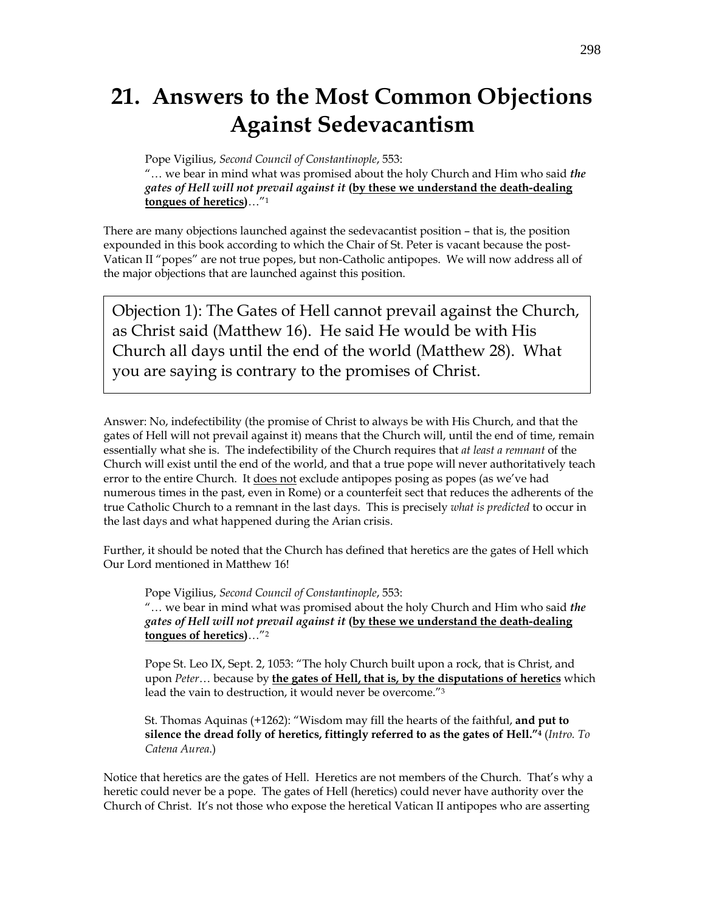# **21. Answers to the Most Common Objections Against Sedevacantism**

Pope Vigilius, *Second Council of Constantinople*, 553:

"… we bear in mind what was promised about the holy Church and Him who said *the gates of Hell will not prevail against it* **(by these we understand the death-dealing tongues of heretics)**…"1

There are many objections launched against the sedevacantist position – that is, the position expounded in this book according to which the Chair of St. Peter is vacant because the post-Vatican II "popes" are not true popes, but non-Catholic antipopes. We will now address all of the major objections that are launched against this position.

Objection 1): The Gates of Hell cannot prevail against the Church, as Christ said (Matthew 16). He said He would be with His Church all days until the end of the world (Matthew 28). What you are saying is contrary to the promises of Christ.

Answer: No, indefectibility (the promise of Christ to always be with His Church, and that the gates of Hell will not prevail against it) means that the Church will, until the end of time, remain essentially what she is. The indefectibility of the Church requires that *at least a remnant* of the Church will exist until the end of the world, and that a true pope will never authoritatively teach error to the entire Church. It does not exclude antipopes posing as popes (as we've had numerous times in the past, even in Rome) or a counterfeit sect that reduces the adherents of the true Catholic Church to a remnant in the last days. This is precisely *what is predicted* to occur in the last days and what happened during the Arian crisis.

Further, it should be noted that the Church has defined that heretics are the gates of Hell which Our Lord mentioned in Matthew 16!

Pope Vigilius, *Second Council of Constantinople*, 553: "… we bear in mind what was promised about the holy Church and Him who said *the gates of Hell will not prevail against it* **(by these we understand the death-dealing tongues of heretics)**…"2

Pope St. Leo IX, Sept. 2, 1053: "The holy Church built upon a rock, that is Christ, and upon *Peter*… because by **the gates of Hell, that is, by the disputations of heretics** which lead the vain to destruction, it would never be overcome."3

St. Thomas Aquinas (+1262): "Wisdom may fill the hearts of the faithful, **and put to silence the dread folly of heretics, fittingly referred to as the gates of Hell."4** (*Intro. To Catena Aurea*.)

Notice that heretics are the gates of Hell. Heretics are not members of the Church. That's why a heretic could never be a pope. The gates of Hell (heretics) could never have authority over the Church of Christ. It's not those who expose the heretical Vatican II antipopes who are asserting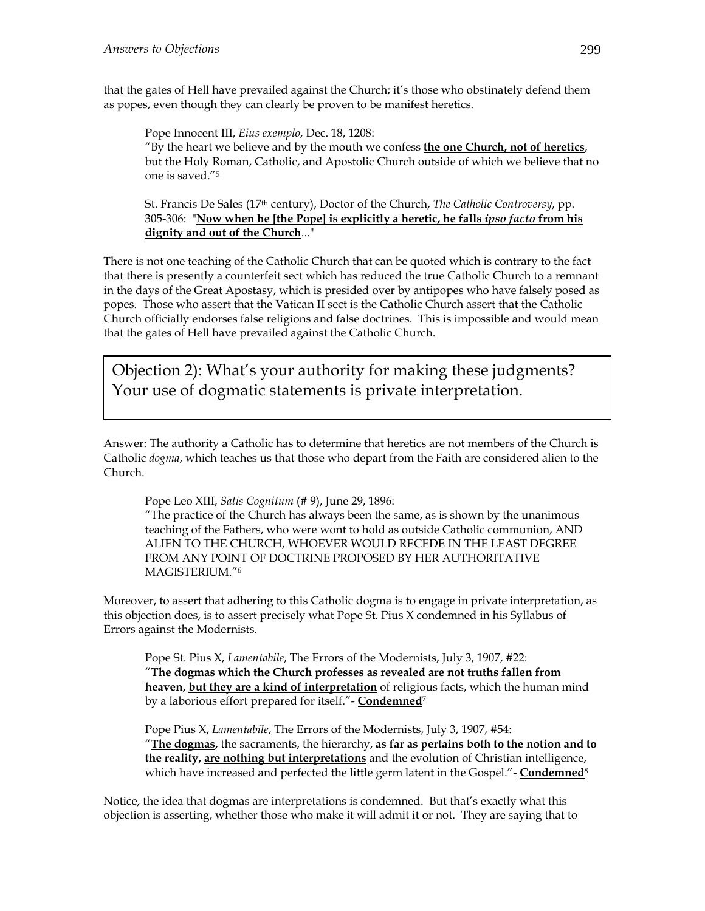that the gates of Hell have prevailed against the Church; it's those who obstinately defend them as popes, even though they can clearly be proven to be manifest heretics.

Pope Innocent III, *Eius exemplo*, Dec. 18, 1208: "By the heart we believe and by the mouth we confess **the one Church, not of heretics**, but the Holy Roman, Catholic, and Apostolic Church outside of which we believe that no one is saved."5

St. Francis De Sales (17th century), Doctor of the Church, *The Catholic Controversy*, pp. 305-306: "**Now when he [the Pope] is explicitly a heretic, he falls** *ipso facto* **from his dignity and out of the Church**..."

There is not one teaching of the Catholic Church that can be quoted which is contrary to the fact that there is presently a counterfeit sect which has reduced the true Catholic Church to a remnant in the days of the Great Apostasy, which is presided over by antipopes who have falsely posed as popes. Those who assert that the Vatican II sect is the Catholic Church assert that the Catholic Church officially endorses false religions and false doctrines. This is impossible and would mean that the gates of Hell have prevailed against the Catholic Church.

Objection 2): What's your authority for making these judgments? Your use of dogmatic statements is private interpretation.

Answer: The authority a Catholic has to determine that heretics are not members of the Church is Catholic *dogma*, which teaches us that those who depart from the Faith are considered alien to the Church.

Pope Leo XIII, *Satis Cognitum* (# 9), June 29, 1896:

"The practice of the Church has always been the same, as is shown by the unanimous teaching of the Fathers, who were wont to hold as outside Catholic communion, AND ALIEN TO THE CHURCH, WHOEVER WOULD RECEDE IN THE LEAST DEGREE FROM ANY POINT OF DOCTRINE PROPOSED BY HER AUTHORITATIVE MAGISTERIUM."6

Moreover, to assert that adhering to this Catholic dogma is to engage in private interpretation, as this objection does, is to assert precisely what Pope St. Pius X condemned in his Syllabus of Errors against the Modernists.

Pope St. Pius X, *Lamentabile*, The Errors of the Modernists, July 3, 1907, #22: "**The dogmas which the Church professes as revealed are not truths fallen from heaven, but they are a kind of interpretation** of religious facts, which the human mind by a laborious effort prepared for itself."- **Condemned**7

Pope Pius X, *Lamentabile*, The Errors of the Modernists, July 3, 1907, #54: "**The dogmas,** the sacraments, the hierarchy, **as far as pertains both to the notion and to the reality, are nothing but interpretations** and the evolution of Christian intelligence, which have increased and perfected the little germ latent in the Gospel."- **Condemned**8

Notice, the idea that dogmas are interpretations is condemned. But that's exactly what this objection is asserting, whether those who make it will admit it or not. They are saying that to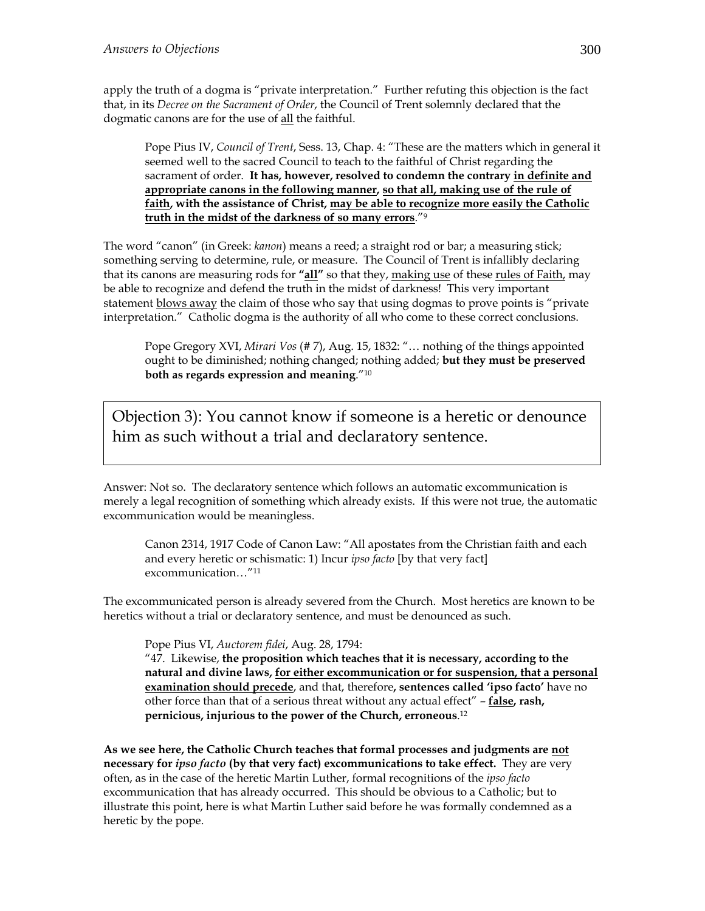apply the truth of a dogma is "private interpretation." Further refuting this objection is the fact that, in its *Decree on the Sacrament of Order*, the Council of Trent solemnly declared that the dogmatic canons are for the use of all the faithful.

Pope Pius IV, *Council of Trent*, Sess. 13, Chap. 4: "These are the matters which in general it seemed well to the sacred Council to teach to the faithful of Christ regarding the sacrament of order. **It has, however, resolved to condemn the contrary in definite and appropriate canons in the following manner, so that all, making use of the rule of faith, with the assistance of Christ, may be able to recognize more easily the Catholic truth in the midst of the darkness of so many errors**."9

The word "canon" (in Greek: *kanon*) means a reed; a straight rod or bar; a measuring stick; something serving to determine, rule, or measure. The Council of Trent is infallibly declaring that its canons are measuring rods for **"all"** so that they, making use of these rules of Faith, may be able to recognize and defend the truth in the midst of darkness! This very important statement blows away the claim of those who say that using dogmas to prove points is "private" interpretation." Catholic dogma is the authority of all who come to these correct conclusions.

Pope Gregory XVI, *Mirari Vos* (# 7), Aug. 15, 1832: "… nothing of the things appointed ought to be diminished; nothing changed; nothing added; **but they must be preserved both as regards expression and meaning**."10

Objection 3): You cannot know if someone is a heretic or denounce him as such without a trial and declaratory sentence.

Answer: Not so. The declaratory sentence which follows an automatic excommunication is merely a legal recognition of something which already exists. If this were not true, the automatic excommunication would be meaningless.

Canon 2314, 1917 Code of Canon Law: "All apostates from the Christian faith and each and every heretic or schismatic: 1) Incur *ipso facto* [by that very fact] excommunication…"11

The excommunicated person is already severed from the Church. Most heretics are known to be heretics without a trial or declaratory sentence, and must be denounced as such.

Pope Pius VI, *Auctorem fidei*, Aug. 28, 1794:

"47. Likewise, **the proposition which teaches that it is necessary, according to the natural and divine laws, for either excommunication or for suspension, that a personal examination should precede**, and that, therefore**, sentences called 'ipso facto'** have no other force than that of a serious threat without any actual effect" – **false, rash, pernicious, injurious to the power of the Church, erroneous**. 12

**As we see here, the Catholic Church teaches that formal processes and judgments are not necessary for** *ipso facto* **(by that very fact) excommunications to take effect.** They are very often, as in the case of the heretic Martin Luther, formal recognitions of the *ipso facto* excommunication that has already occurred. This should be obvious to a Catholic; but to illustrate this point, here is what Martin Luther said before he was formally condemned as a heretic by the pope.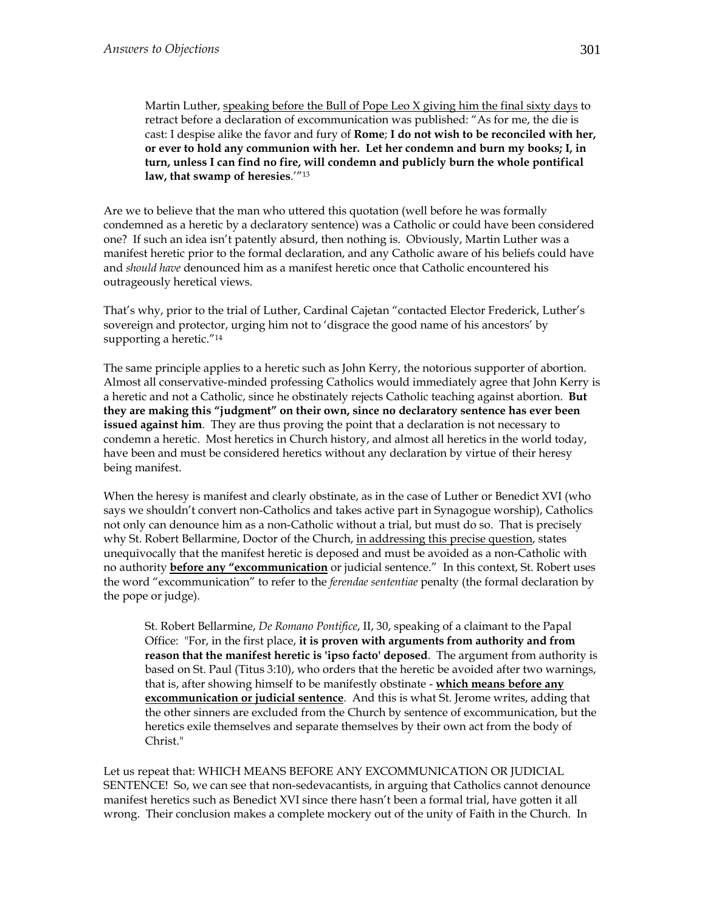Martin Luther, speaking before the Bull of Pope Leo X giving him the final sixty days to retract before a declaration of excommunication was published: "As for me, the die is cast: I despise alike the favor and fury of **Rome**; **I do not wish to be reconciled with her, or ever to hold any communion with her. Let her condemn and burn my books; I, in turn, unless I can find no fire, will condemn and publicly burn the whole pontifical law, that swamp of heresies**.'"13

Are we to believe that the man who uttered this quotation (well before he was formally condemned as a heretic by a declaratory sentence) was a Catholic or could have been considered one? If such an idea isn't patently absurd, then nothing is. Obviously, Martin Luther was a manifest heretic prior to the formal declaration, and any Catholic aware of his beliefs could have and *should have* denounced him as a manifest heretic once that Catholic encountered his outrageously heretical views.

That's why, prior to the trial of Luther, Cardinal Cajetan "contacted Elector Frederick, Luther's sovereign and protector, urging him not to 'disgrace the good name of his ancestors' by supporting a heretic."<sup>14</sup>

The same principle applies to a heretic such as John Kerry, the notorious supporter of abortion. Almost all conservative-minded professing Catholics would immediately agree that John Kerry is a heretic and not a Catholic, since he obstinately rejects Catholic teaching against abortion. **But they are making this "judgment" on their own, since no declaratory sentence has ever been issued against him**. They are thus proving the point that a declaration is not necessary to condemn a heretic. Most heretics in Church history, and almost all heretics in the world today, have been and must be considered heretics without any declaration by virtue of their heresy being manifest.

When the heresy is manifest and clearly obstinate, as in the case of Luther or Benedict XVI (who says we shouldn't convert non-Catholics and takes active part in Synagogue worship), Catholics not only can denounce him as a non-Catholic without a trial, but must do so. That is precisely why St. Robert Bellarmine, Doctor of the Church, in addressing this precise question, states unequivocally that the manifest heretic is deposed and must be avoided as a non-Catholic with no authority **before any "excommunication** or judicial sentence." In this context, St. Robert uses the word "excommunication" to refer to the *ferendae sententiae* penalty (the formal declaration by the pope or judge).

St. Robert Bellarmine, *De Romano Pontifice*, II, 30, speaking of a claimant to the Papal Office: "For, in the first place, **it is proven with arguments from authority and from reason that the manifest heretic is 'ipso facto' deposed**. The argument from authority is based on St. Paul (Titus 3:10), who orders that the heretic be avoided after two warnings, that is, after showing himself to be manifestly obstinate - **which means before any excommunication or judicial sentence**. And this is what St. Jerome writes, adding that the other sinners are excluded from the Church by sentence of excommunication, but the heretics exile themselves and separate themselves by their own act from the body of Christ."

Let us repeat that: WHICH MEANS BEFORE ANY EXCOMMUNICATION OR JUDICIAL SENTENCE! So, we can see that non-sedevacantists, in arguing that Catholics cannot denounce manifest heretics such as Benedict XVI since there hasn't been a formal trial, have gotten it all wrong. Their conclusion makes a complete mockery out of the unity of Faith in the Church. In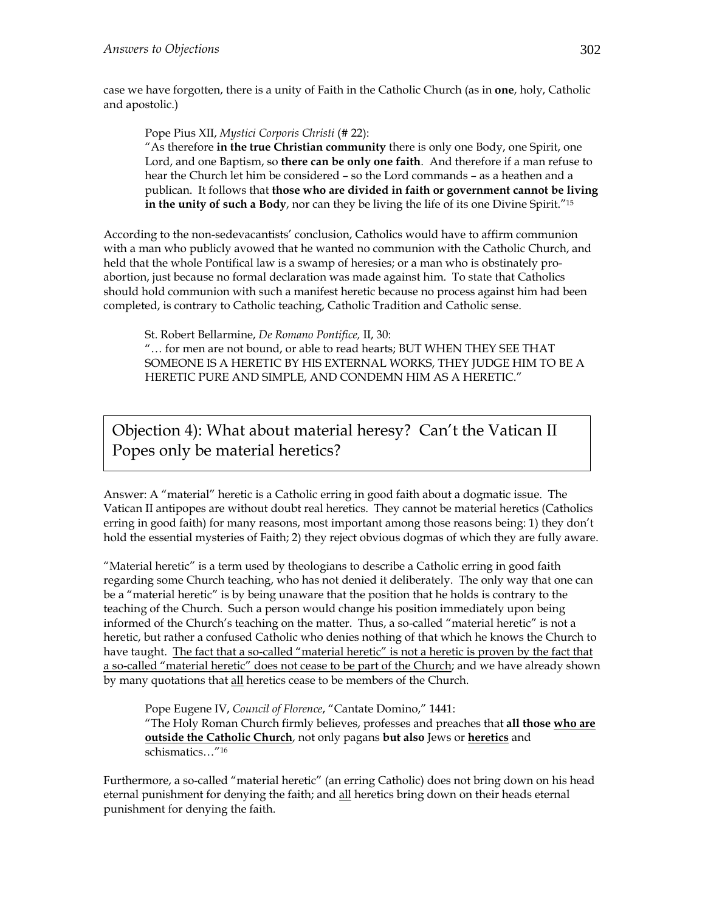case we have forgotten, there is a unity of Faith in the Catholic Church (as in **one**, holy, Catholic and apostolic.)

Pope Pius XII, *Mystici Corporis Christi* (# 22):

"As therefore **in the true Christian community** there is only one Body, one Spirit, one Lord, and one Baptism, so **there can be only one faith**. And therefore if a man refuse to hear the Church let him be considered – so the Lord commands – as a heathen and a publican. It follows that **those who are divided in faith or government cannot be living in the unity of such a Body**, nor can they be living the life of its one Divine Spirit."15

According to the non-sedevacantists' conclusion, Catholics would have to affirm communion with a man who publicly avowed that he wanted no communion with the Catholic Church, and held that the whole Pontifical law is a swamp of heresies; or a man who is obstinately proabortion, just because no formal declaration was made against him. To state that Catholics should hold communion with such a manifest heretic because no process against him had been completed, is contrary to Catholic teaching, Catholic Tradition and Catholic sense.

St. Robert Bellarmine, *De Romano Pontifice,* II, 30:

"… for men are not bound, or able to read hearts; BUT WHEN THEY SEE THAT SOMEONE IS A HERETIC BY HIS EXTERNAL WORKS, THEY JUDGE HIM TO BE A HERETIC PURE AND SIMPLE, AND CONDEMN HIM AS A HERETIC."

Objection 4): What about material heresy? Can't the Vatican II Popes only be material heretics?

Answer: A "material" heretic is a Catholic erring in good faith about a dogmatic issue. The Vatican II antipopes are without doubt real heretics. They cannot be material heretics (Catholics erring in good faith) for many reasons, most important among those reasons being: 1) they don't hold the essential mysteries of Faith; 2) they reject obvious dogmas of which they are fully aware.

"Material heretic" is a term used by theologians to describe a Catholic erring in good faith regarding some Church teaching, who has not denied it deliberately. The only way that one can be a "material heretic" is by being unaware that the position that he holds is contrary to the teaching of the Church. Such a person would change his position immediately upon being informed of the Church's teaching on the matter. Thus, a so-called "material heretic" is not a heretic, but rather a confused Catholic who denies nothing of that which he knows the Church to have taught. The fact that a so-called "material heretic" is not a heretic is proven by the fact that a so-called "material heretic" does not cease to be part of the Church; and we have already shown by many quotations that all heretics cease to be members of the Church.

Pope Eugene IV, *Council of Florence*, "Cantate Domino," 1441: "The Holy Roman Church firmly believes, professes and preaches that **all those who are outside the Catholic Church**, not only pagans **but also** Jews or **heretics** and schismatics…"16

Furthermore, a so-called "material heretic" (an erring Catholic) does not bring down on his head eternal punishment for denying the faith; and all heretics bring down on their heads eternal punishment for denying the faith.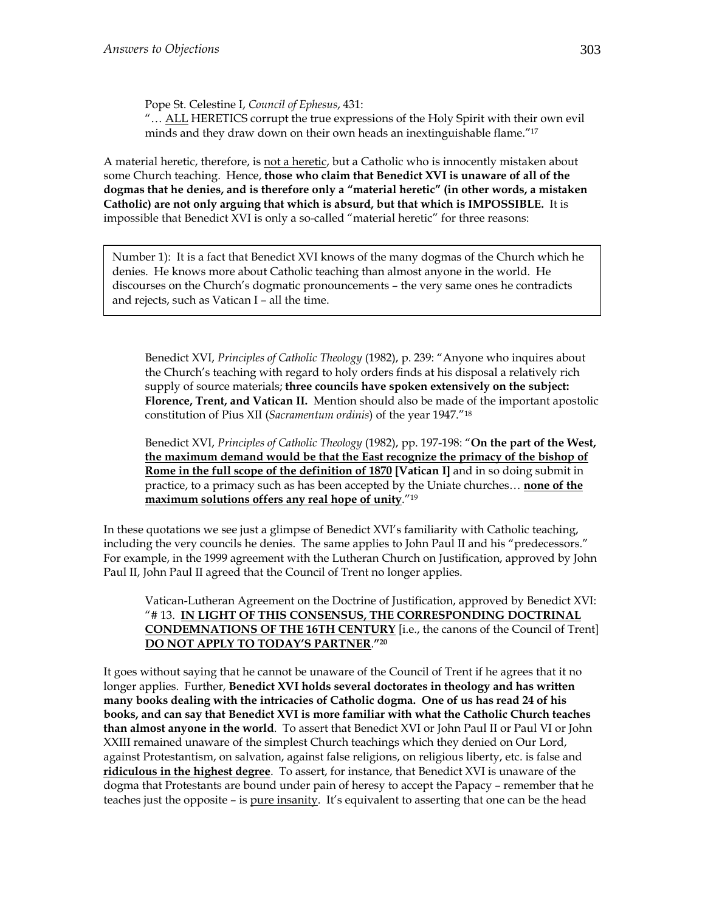Pope St. Celestine I, *Council of Ephesus*, 431:

"... ALL HERETICS corrupt the true expressions of the Holy Spirit with their own evil minds and they draw down on their own heads an inextinguishable flame."17

A material heretic, therefore, is not a heretic, but a Catholic who is innocently mistaken about some Church teaching. Hence, **those who claim that Benedict XVI is unaware of all of the dogmas that he denies, and is therefore only a "material heretic" (in other words, a mistaken Catholic) are not only arguing that which is absurd, but that which is IMPOSSIBLE.** It is impossible that Benedict XVI is only a so-called "material heretic" for three reasons:

Number 1): It is a fact that Benedict XVI knows of the many dogmas of the Church which he denies. He knows more about Catholic teaching than almost anyone in the world. He discourses on the Church's dogmatic pronouncements – the very same ones he contradicts and rejects, such as Vatican I – all the time.

Benedict XVI, *Principles of Catholic Theology* (1982), p. 239: "Anyone who inquires about the Church's teaching with regard to holy orders finds at his disposal a relatively rich supply of source materials; **three councils have spoken extensively on the subject: Florence, Trent, and Vatican II.** Mention should also be made of the important apostolic constitution of Pius XII (*Sacramentum ordinis*) of the year 1947."18

Benedict XVI, *Principles of Catholic Theology* (1982), pp. 197-198: "**On the part of the West, the maximum demand would be that the East recognize the primacy of the bishop of Rome in the full scope of the definition of 1870 [Vatican I]** and in so doing submit in practice, to a primacy such as has been accepted by the Uniate churches… **none of the maximum solutions offers any real hope of unity**."19

In these quotations we see just a glimpse of Benedict XVI's familiarity with Catholic teaching, including the very councils he denies. The same applies to John Paul II and his "predecessors." For example, in the 1999 agreement with the Lutheran Church on Justification, approved by John Paul II, John Paul II agreed that the Council of Trent no longer applies.

Vatican-Lutheran Agreement on the Doctrine of Justification, approved by Benedict XVI: "# 13. **IN LIGHT OF THIS CONSENSUS, THE CORRESPONDING DOCTRINAL CONDEMNATIONS OF THE 16TH CENTURY** [i.e., the canons of the Council of Trent] **DO NOT APPLY TO TODAY'S PARTNER**.**"20**

It goes without saying that he cannot be unaware of the Council of Trent if he agrees that it no longer applies. Further, **Benedict XVI holds several doctorates in theology and has written many books dealing with the intricacies of Catholic dogma. One of us has read 24 of his books, and can say that Benedict XVI is more familiar with what the Catholic Church teaches than almost anyone in the world**. To assert that Benedict XVI or John Paul II or Paul VI or John XXIII remained unaware of the simplest Church teachings which they denied on Our Lord, against Protestantism, on salvation, against false religions, on religious liberty, etc. is false and **ridiculous in the highest degree**. To assert, for instance, that Benedict XVI is unaware of the dogma that Protestants are bound under pain of heresy to accept the Papacy – remember that he teaches just the opposite – is pure insanity. It's equivalent to asserting that one can be the head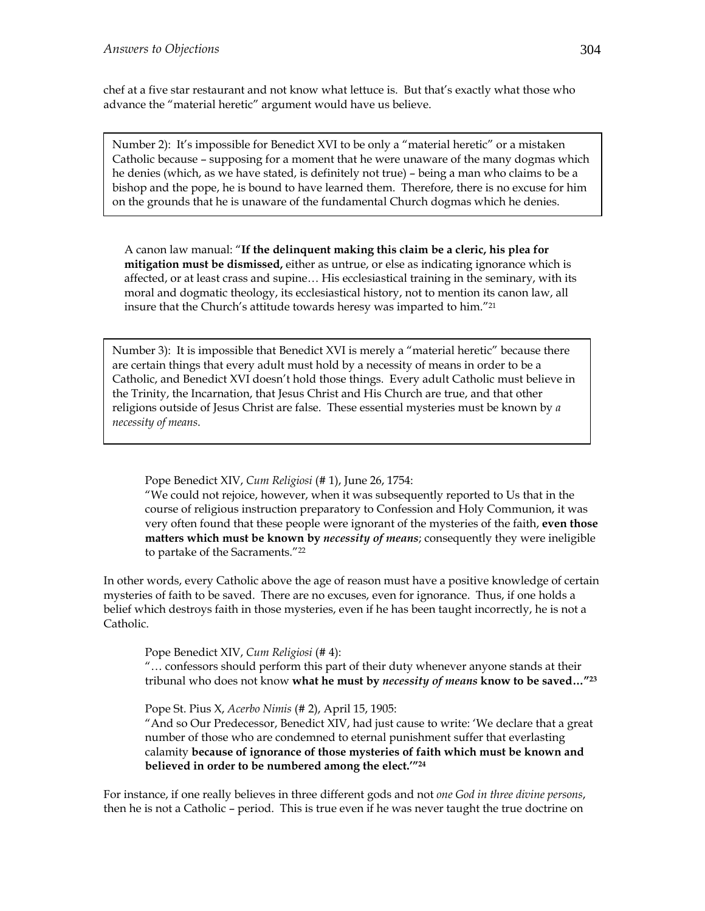chef at a five star restaurant and not know what lettuce is. But that's exactly what those who advance the "material heretic" argument would have us believe.

Number 2): It's impossible for Benedict XVI to be only a "material heretic" or a mistaken Catholic because – supposing for a moment that he were unaware of the many dogmas which he denies (which, as we have stated, is definitely not true) – being a man who claims to be a bishop and the pope, he is bound to have learned them. Therefore, there is no excuse for him on the grounds that he is unaware of the fundamental Church dogmas which he denies.

A canon law manual: "**If the delinquent making this claim be a cleric, his plea for mitigation must be dismissed,** either as untrue, or else as indicating ignorance which is affected, or at least crass and supine… His ecclesiastical training in the seminary, with its moral and dogmatic theology, its ecclesiastical history, not to mention its canon law, all insure that the Church's attitude towards heresy was imparted to him."21

Number 3): It is impossible that Benedict XVI is merely a "material heretic" because there are certain things that every adult must hold by a necessity of means in order to be a Catholic, and Benedict XVI doesn't hold those things. Every adult Catholic must believe in the Trinity, the Incarnation, that Jesus Christ and His Church are true, and that other religions outside of Jesus Christ are false. These essential mysteries must be known by *a necessity of means*.

Pope Benedict XIV, *Cum Religiosi* (# 1), June 26, 1754:

"We could not rejoice, however, when it was subsequently reported to Us that in the course of religious instruction preparatory to Confession and Holy Communion, it was very often found that these people were ignorant of the mysteries of the faith, **even those matters which must be known by** *necessity of means*; consequently they were ineligible to partake of the Sacraments."22

In other words, every Catholic above the age of reason must have a positive knowledge of certain mysteries of faith to be saved. There are no excuses, even for ignorance. Thus, if one holds a belief which destroys faith in those mysteries, even if he has been taught incorrectly, he is not a Catholic.

Pope Benedict XIV, *Cum Religiosi* (# 4):

"… confessors should perform this part of their duty whenever anyone stands at their tribunal who does not know **what he must by** *necessity of means* **know to be saved…"23**

Pope St. Pius X, *Acerbo Nimis* (# 2), April 15, 1905:

"And so Our Predecessor, Benedict XIV, had just cause to write: 'We declare that a great number of those who are condemned to eternal punishment suffer that everlasting calamity **because of ignorance of those mysteries of faith which must be known and believed in order to be numbered among the elect.'"24**

For instance, if one really believes in three different gods and not *one God in three divine persons*, then he is not a Catholic – period. This is true even if he was never taught the true doctrine on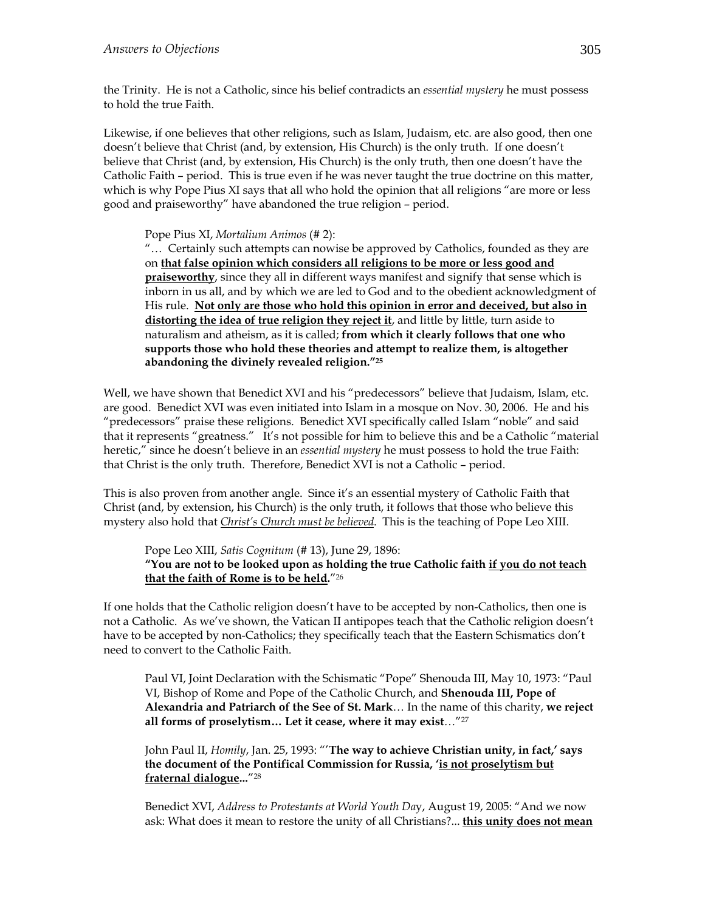the Trinity. He is not a Catholic, since his belief contradicts an *essential mystery* he must possess to hold the true Faith.

Likewise, if one believes that other religions, such as Islam, Judaism, etc. are also good, then one doesn't believe that Christ (and, by extension, His Church) is the only truth. If one doesn't believe that Christ (and, by extension, His Church) is the only truth, then one doesn't have the Catholic Faith – period. This is true even if he was never taught the true doctrine on this matter, which is why Pope Pius XI says that all who hold the opinion that all religions "are more or less good and praiseworthy" have abandoned the true religion – period.

#### Pope Pius XI, *Mortalium Animos* (# 2):

"… Certainly such attempts can nowise be approved by Catholics, founded as they are on **that false opinion which considers all religions to be more or less good and praiseworthy**, since they all in different ways manifest and signify that sense which is inborn in us all, and by which we are led to God and to the obedient acknowledgment of His rule. **Not only are those who hold this opinion in error and deceived, but also in distorting the idea of true religion they reject it**, and little by little, turn aside to naturalism and atheism, as it is called; **from which it clearly follows that one who supports those who hold these theories and attempt to realize them, is altogether abandoning the divinely revealed religion."25**

Well, we have shown that Benedict XVI and his "predecessors" believe that Judaism, Islam, etc. are good. Benedict XVI was even initiated into Islam in a mosque on Nov. 30, 2006. He and his "predecessors" praise these religions. Benedict XVI specifically called Islam "noble" and said that it represents "greatness." It's not possible for him to believe this and be a Catholic "material heretic," since he doesn't believe in an *essential mystery* he must possess to hold the true Faith: that Christ is the only truth. Therefore, Benedict XVI is not a Catholic – period.

This is also proven from another angle. Since it's an essential mystery of Catholic Faith that Christ (and, by extension, his Church) is the only truth, it follows that those who believe this mystery also hold that *Christ's Church must be believed*. This is the teaching of Pope Leo XIII.

Pope Leo XIII, *Satis Cognitum* (# 13), June 29, 1896: **"You are not to be looked upon as holding the true Catholic faith if you do not teach that the faith of Rome is to be held.**"26

If one holds that the Catholic religion doesn't have to be accepted by non-Catholics, then one is not a Catholic. As we've shown, the Vatican II antipopes teach that the Catholic religion doesn't have to be accepted by non-Catholics; they specifically teach that the Eastern Schismatics don't need to convert to the Catholic Faith.

Paul VI, Joint Declaration with the Schismatic "Pope" Shenouda III, May 10, 1973: "Paul VI, Bishop of Rome and Pope of the Catholic Church, and **Shenouda III, Pope of Alexandria and Patriarch of the See of St. Mark**… In the name of this charity, **we reject all forms of proselytism… Let it cease, where it may exist**…"27

John Paul II, *Homily*, Jan. 25, 1993: "'**The way to achieve Christian unity, in fact,' says the document of the Pontifical Commission for Russia, 'is not proselytism but fraternal dialogue...**"28

Benedict XVI, *Address to Protestants at World Youth Da*y, August 19, 2005: "And we now ask: What does it mean to restore the unity of all Christians?... **this unity does not mean**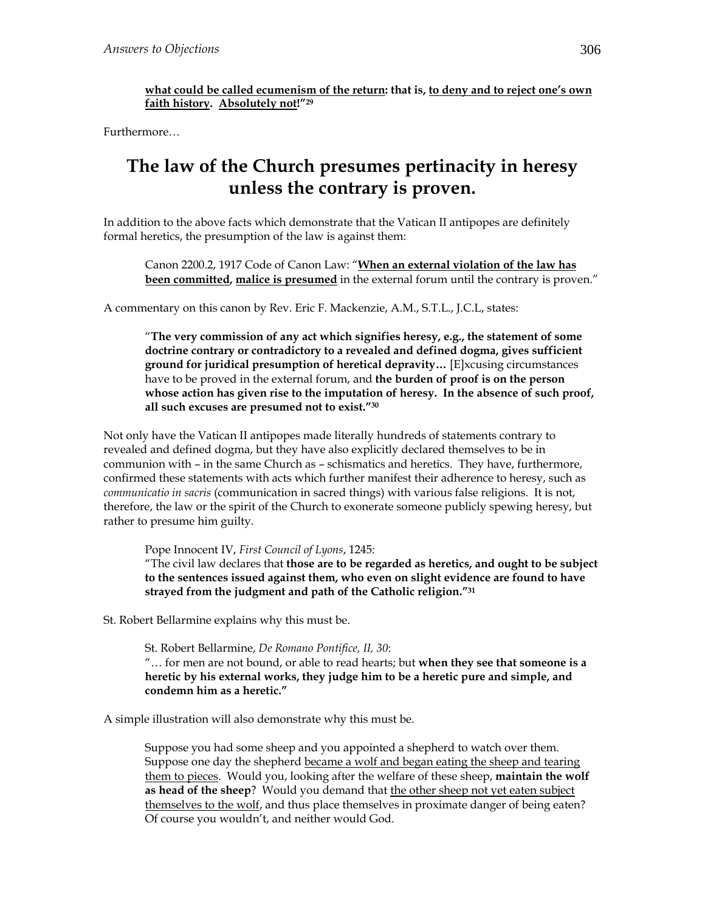**what could be called ecumenism of the return: that is, to deny and to reject one's own faith history. Absolutely not!"29**

Furthermore…

## **The law of the Church presumes pertinacity in heresy unless the contrary is proven.**

In addition to the above facts which demonstrate that the Vatican II antipopes are definitely formal heretics, the presumption of the law is against them:

Canon 2200.2, 1917 Code of Canon Law: "**When an external violation of the law has been committed, malice is presumed** in the external forum until the contrary is proven."

A commentary on this canon by Rev. Eric F. Mackenzie, A.M., S.T.L., J.C.L, states:

"**The very commission of any act which signifies heresy, e.g., the statement of some doctrine contrary or contradictory to a revealed and defined dogma, gives sufficient ground for juridical presumption of heretical depravity…** [E]xcusing circumstances have to be proved in the external forum, and **the burden of proof is on the person whose action has given rise to the imputation of heresy. In the absence of such proof, all such excuses are presumed not to exist."30**

Not only have the Vatican II antipopes made literally hundreds of statements contrary to revealed and defined dogma, but they have also explicitly declared themselves to be in communion with – in the same Church as – schismatics and heretics. They have, furthermore, confirmed these statements with acts which further manifest their adherence to heresy, such as *communicatio in sacris* (communication in sacred things) with various false religions. It is not, therefore, the law or the spirit of the Church to exonerate someone publicly spewing heresy, but rather to presume him guilty.

Pope Innocent IV, *First Council of Lyons*, 1245:

"The civil law declares that **those are to be regarded as heretics, and ought to be subject to the sentences issued against them, who even on slight evidence are found to have strayed from the judgment and path of the Catholic religion."31**

St. Robert Bellarmine explains why this must be.

St. Robert Bellarmine, *De Romano Pontifice, II, 30*:

"… for men are not bound, or able to read hearts; but **when they see that someone is a heretic by his external works, they judge him to be a heretic pure and simple, and condemn him as a heretic."**

A simple illustration will also demonstrate why this must be.

Suppose you had some sheep and you appointed a shepherd to watch over them. Suppose one day the shepherd became a wolf and began eating the sheep and tearing them to pieces. Would you, looking after the welfare of these sheep, **maintain the wolf as head of the sheep**? Would you demand that the other sheep not yet eaten subject themselves to the wolf, and thus place themselves in proximate danger of being eaten? Of course you wouldn't, and neither would God.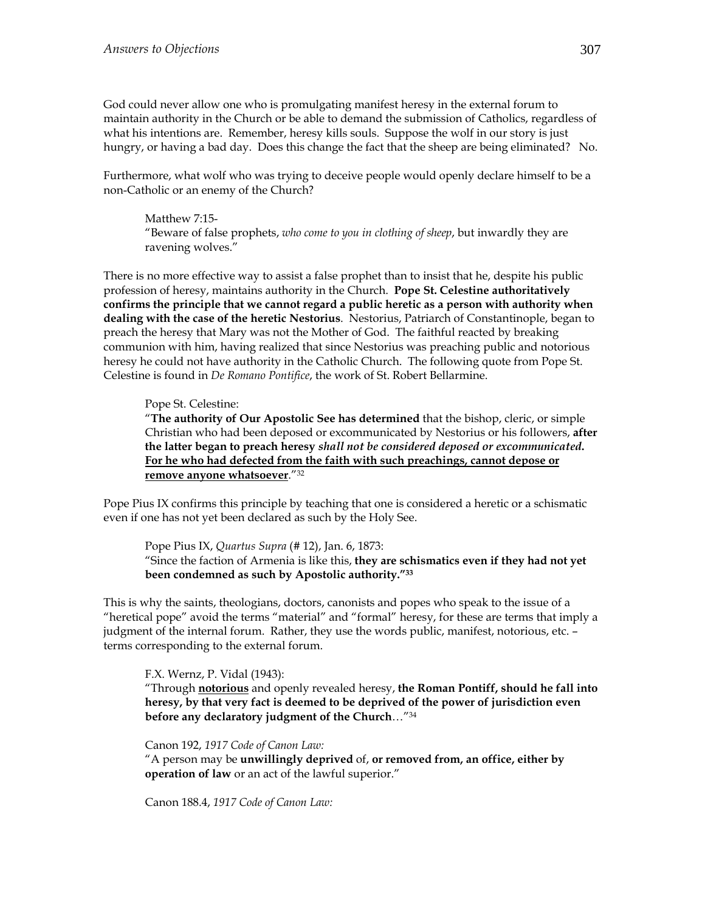God could never allow one who is promulgating manifest heresy in the external forum to maintain authority in the Church or be able to demand the submission of Catholics, regardless of what his intentions are. Remember, heresy kills souls. Suppose the wolf in our story is just hungry, or having a bad day. Does this change the fact that the sheep are being eliminated? No.

Furthermore, what wolf who was trying to deceive people would openly declare himself to be a non-Catholic or an enemy of the Church?

Matthew 7:15- "Beware of false prophets, *who come to you in clothing of sheep*, but inwardly they are ravening wolves."

There is no more effective way to assist a false prophet than to insist that he, despite his public profession of heresy, maintains authority in the Church. **Pope St. Celestine authoritatively confirms the principle that we cannot regard a public heretic as a person with authority when dealing with the case of the heretic Nestorius**. Nestorius, Patriarch of Constantinople, began to preach the heresy that Mary was not the Mother of God. The faithful reacted by breaking communion with him, having realized that since Nestorius was preaching public and notorious heresy he could not have authority in the Catholic Church. The following quote from Pope St. Celestine is found in *De Romano Pontifice*, the work of St. Robert Bellarmine.

#### Pope St. Celestine:

"**The authority of Our Apostolic See has determined** that the bishop, cleric, or simple Christian who had been deposed or excommunicated by Nestorius or his followers, **after the latter began to preach heresy** *shall not be considered deposed or excommunicated***. For he who had defected from the faith with such preachings, cannot depose or remove anyone whatsoever**."32

Pope Pius IX confirms this principle by teaching that one is considered a heretic or a schismatic even if one has not yet been declared as such by the Holy See.

Pope Pius IX, *Quartus Supra* (# 12), Jan. 6, 1873: "Since the faction of Armenia is like this, **they are schismatics even if they had not yet been condemned as such by Apostolic authority."33**

This is why the saints, theologians, doctors, canonists and popes who speak to the issue of a "heretical pope" avoid the terms "material" and "formal" heresy, for these are terms that imply a judgment of the internal forum. Rather, they use the words public, manifest, notorious, etc. – terms corresponding to the external forum.

F.X. Wernz, P. Vidal (1943):

"Through **notorious** and openly revealed heresy, **the Roman Pontiff, should he fall into heresy, by that very fact is deemed to be deprived of the power of jurisdiction even before any declaratory judgment of the Church**…"34

Canon 192, *1917 Code of Canon Law:*

"A person may be **unwillingly deprived** of, **or removed from, an office, either by operation of law** or an act of the lawful superior."

Canon 188.4, *1917 Code of Canon Law:*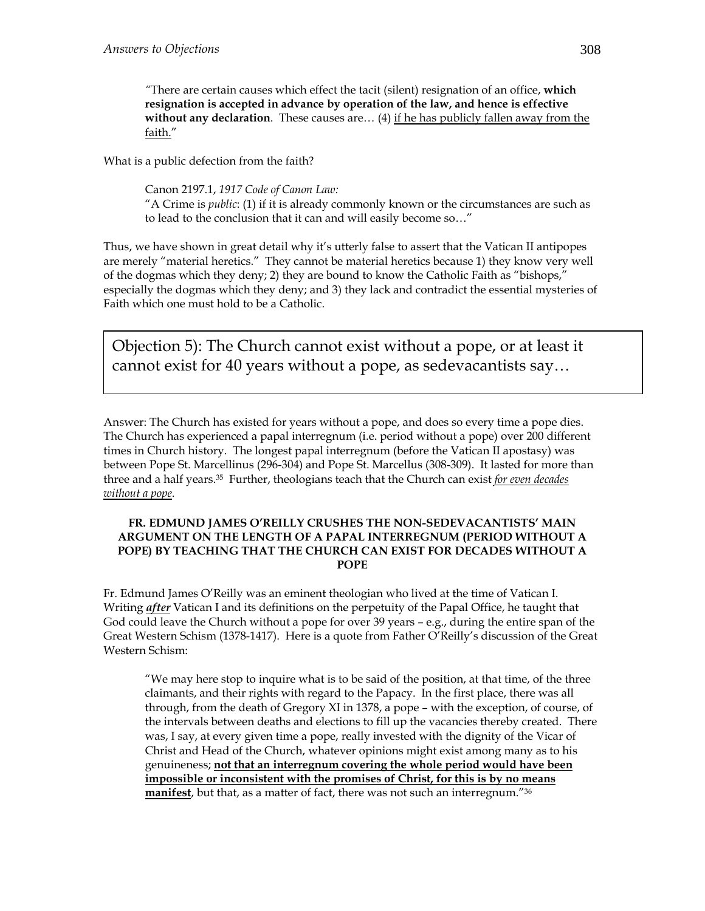*"*There are certain causes which effect the tacit (silent) resignation of an office, **which resignation is accepted in advance by operation of the law, and hence is effective without any declaration**. These causes are... (4) if he has publicly fallen away from the faith."

What is a public defection from the faith?

Canon 2197.1, *1917 Code of Canon Law:*  "A Crime is *public*: (1) if it is already commonly known or the circumstances are such as to lead to the conclusion that it can and will easily become so…"

Thus, we have shown in great detail why it's utterly false to assert that the Vatican II antipopes are merely "material heretics." They cannot be material heretics because 1) they know very well of the dogmas which they deny; 2) they are bound to know the Catholic Faith as "bishops," especially the dogmas which they deny; and 3) they lack and contradict the essential mysteries of Faith which one must hold to be a Catholic.

Objection 5): The Church cannot exist without a pope, or at least it cannot exist for 40 years without a pope, as sedevacantists say…

Answer: The Church has existed for years without a pope, and does so every time a pope dies. The Church has experienced a papal interregnum (i.e. period without a pope) over 200 different times in Church history. The longest papal interregnum (before the Vatican II apostasy) was between Pope St. Marcellinus (296-304) and Pope St. Marcellus (308-309). It lasted for more than three and a half years.35 Further, theologians teach that the Church can exist *for even decades without a pope*.

#### **FR. EDMUND JAMES O'REILLY CRUSHES THE NON-SEDEVACANTISTS' MAIN ARGUMENT ON THE LENGTH OF A PAPAL INTERREGNUM (PERIOD WITHOUT A POPE) BY TEACHING THAT THE CHURCH CAN EXIST FOR DECADES WITHOUT A POPE**

Fr. Edmund James O'Reilly was an eminent theologian who lived at the time of Vatican I. Writing *after* Vatican I and its definitions on the perpetuity of the Papal Office, he taught that God could leave the Church without a pope for over 39 years – e.g., during the entire span of the Great Western Schism (1378-1417). Here is a quote from Father O'Reilly's discussion of the Great Western Schism:

"We may here stop to inquire what is to be said of the position, at that time, of the three claimants, and their rights with regard to the Papacy. In the first place, there was all through, from the death of Gregory XI in 1378, a pope – with the exception, of course, of the intervals between deaths and elections to fill up the vacancies thereby created. There was, I say, at every given time a pope, really invested with the dignity of the Vicar of Christ and Head of the Church, whatever opinions might exist among many as to his genuineness; **not that an interregnum covering the whole period would have been impossible or inconsistent with the promises of Christ, for this is by no means manifest**, but that, as a matter of fact, there was not such an interregnum."36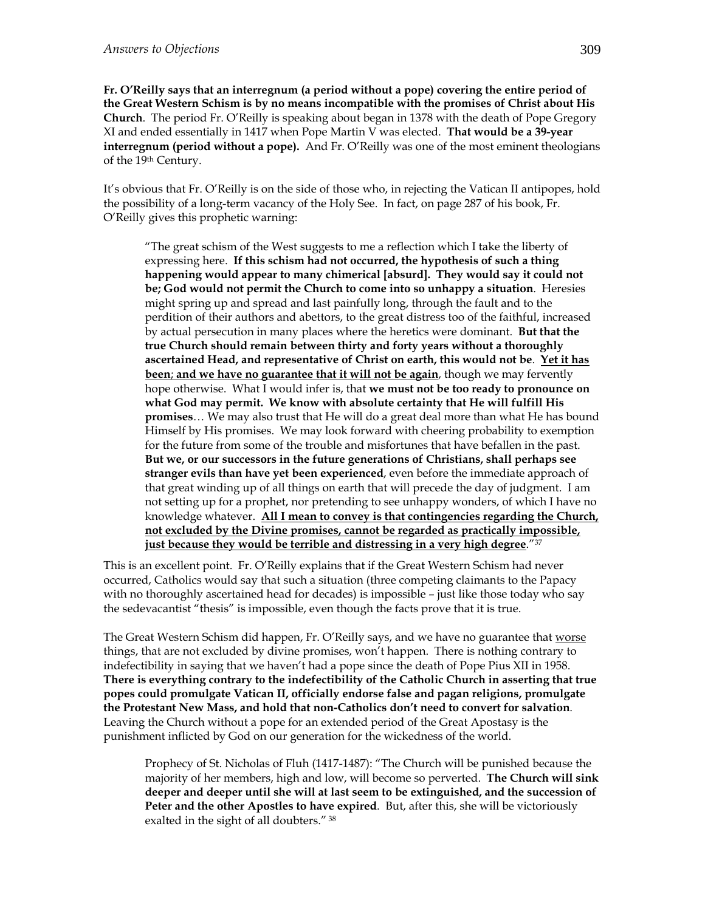**Fr. O'Reilly says that an interregnum (a period without a pope) covering the entire period of the Great Western Schism is by no means incompatible with the promises of Christ about His Church**. The period Fr. O'Reilly is speaking about began in 1378 with the death of Pope Gregory XI and ended essentially in 1417 when Pope Martin V was elected. **That would be a 39-year interregnum (period without a pope).** And Fr. O'Reilly was one of the most eminent theologians of the 19th Century.

It's obvious that Fr. O'Reilly is on the side of those who, in rejecting the Vatican II antipopes, hold the possibility of a long-term vacancy of the Holy See. In fact, on page 287 of his book, Fr. O'Reilly gives this prophetic warning:

"The great schism of the West suggests to me a reflection which I take the liberty of expressing here. **If this schism had not occurred, the hypothesis of such a thing happening would appear to many chimerical [absurd]. They would say it could not be; God would not permit the Church to come into so unhappy a situation**. Heresies might spring up and spread and last painfully long, through the fault and to the perdition of their authors and abettors, to the great distress too of the faithful, increased by actual persecution in many places where the heretics were dominant. **But that the true Church should remain between thirty and forty years without a thoroughly ascertained Head, and representative of Christ on earth, this would not be**. **Yet it has been**; **and we have no guarantee that it will not be again**, though we may fervently hope otherwise. What I would infer is, that **we must not be too ready to pronounce on what God may permit. We know with absolute certainty that He will fulfill His promises**… We may also trust that He will do a great deal more than what He has bound Himself by His promises. We may look forward with cheering probability to exemption for the future from some of the trouble and misfortunes that have befallen in the past. **But we, or our successors in the future generations of Christians, shall perhaps see stranger evils than have yet been experienced**, even before the immediate approach of that great winding up of all things on earth that will precede the day of judgment. I am not setting up for a prophet, nor pretending to see unhappy wonders, of which I have no knowledge whatever. **All I mean to convey is that contingencies regarding the Church, not excluded by the Divine promises, cannot be regarded as practically impossible, just because they would be terrible and distressing in a very high degree**."37

This is an excellent point. Fr. O'Reilly explains that if the Great Western Schism had never occurred, Catholics would say that such a situation (three competing claimants to the Papacy with no thoroughly ascertained head for decades) is impossible – just like those today who say the sedevacantist "thesis" is impossible, even though the facts prove that it is true.

The Great Western Schism did happen, Fr. O'Reilly says, and we have no guarantee that worse things, that are not excluded by divine promises, won't happen. There is nothing contrary to indefectibility in saying that we haven't had a pope since the death of Pope Pius XII in 1958. **There is everything contrary to the indefectibility of the Catholic Church in asserting that true popes could promulgate Vatican II, officially endorse false and pagan religions, promulgate the Protestant New Mass, and hold that non-Catholics don't need to convert for salvation**. Leaving the Church without a pope for an extended period of the Great Apostasy is the punishment inflicted by God on our generation for the wickedness of the world.

Prophecy of St. Nicholas of Fluh (1417-1487): "The Church will be punished because the majority of her members, high and low, will become so perverted. **The Church will sink deeper and deeper until she will at last seem to be extinguished, and the succession of Peter and the other Apostles to have expired**. But, after this, she will be victoriously exalted in the sight of all doubters." 38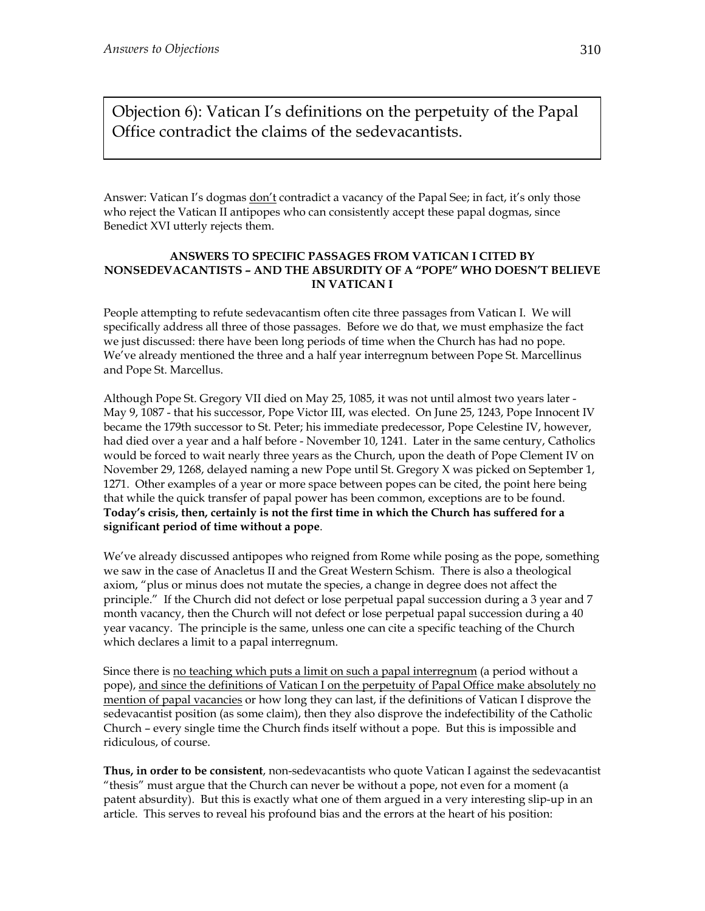Objection 6): Vatican I's definitions on the perpetuity of the Papal Office contradict the claims of the sedevacantists.

Answer: Vatican I's dogmas don't contradict a vacancy of the Papal See; in fact, it's only those who reject the Vatican II antipopes who can consistently accept these papal dogmas, since Benedict XVI utterly rejects them.

#### **ANSWERS TO SPECIFIC PASSAGES FROM VATICAN I CITED BY NONSEDEVACANTISTS – AND THE ABSURDITY OF A "POPE" WHO DOESN'T BELIEVE IN VATICAN I**

People attempting to refute sedevacantism often cite three passages from Vatican I. We will specifically address all three of those passages. Before we do that, we must emphasize the fact we just discussed: there have been long periods of time when the Church has had no pope. We've already mentioned the three and a half year interregnum between Pope St. Marcellinus and Pope St. Marcellus.

Although Pope St. Gregory VII died on May 25, 1085, it was not until almost two years later - May 9, 1087 - that his successor, Pope Victor III, was elected. On June 25, 1243, Pope Innocent IV became the 179th successor to St. Peter; his immediate predecessor, Pope Celestine IV, however, had died over a year and a half before - November 10, 1241. Later in the same century, Catholics would be forced to wait nearly three years as the Church, upon the death of Pope Clement IV on November 29, 1268, delayed naming a new Pope until St. Gregory X was picked on September 1, 1271. Other examples of a year or more space between popes can be cited, the point here being that while the quick transfer of papal power has been common, exceptions are to be found. **Today's crisis, then, certainly is not the first time in which the Church has suffered for a significant period of time without a pope**.

We've already discussed antipopes who reigned from Rome while posing as the pope, something we saw in the case of Anacletus II and the Great Western Schism. There is also a theological axiom, "plus or minus does not mutate the species, a change in degree does not affect the principle." If the Church did not defect or lose perpetual papal succession during a 3 year and 7 month vacancy, then the Church will not defect or lose perpetual papal succession during a 40 year vacancy. The principle is the same, unless one can cite a specific teaching of the Church which declares a limit to a papal interregnum.

Since there is no teaching which puts a limit on such a papal interregnum (a period without a pope), and since the definitions of Vatican I on the perpetuity of Papal Office make absolutely no mention of papal vacancies or how long they can last, if the definitions of Vatican I disprove the sedevacantist position (as some claim), then they also disprove the indefectibility of the Catholic Church – every single time the Church finds itself without a pope. But this is impossible and ridiculous, of course.

**Thus, in order to be consistent**, non-sedevacantists who quote Vatican I against the sedevacantist "thesis" must argue that the Church can never be without a pope, not even for a moment (a patent absurdity). But this is exactly what one of them argued in a very interesting slip-up in an article. This serves to reveal his profound bias and the errors at the heart of his position: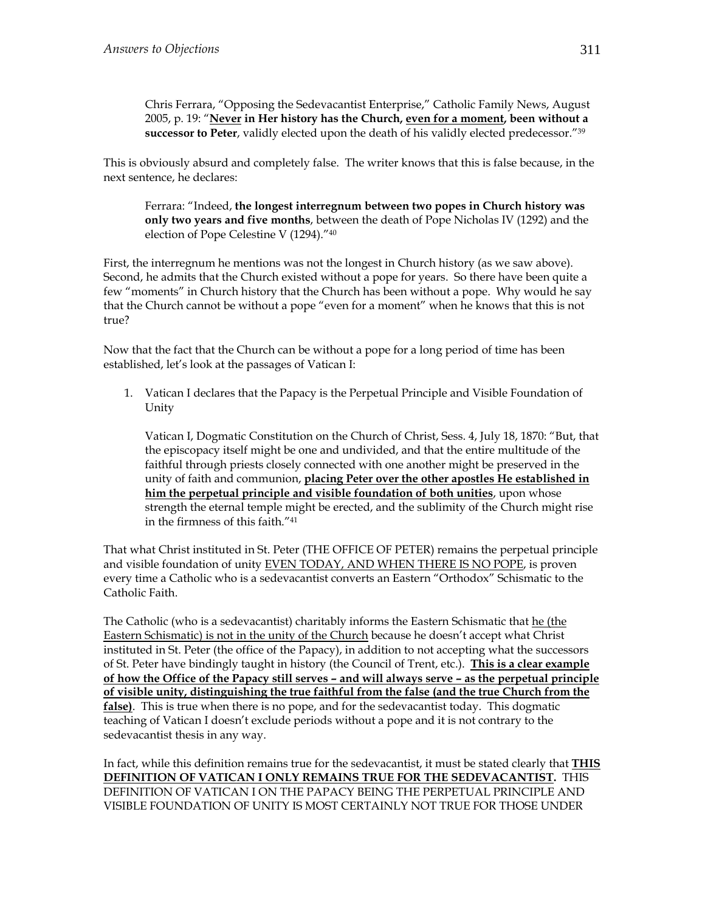Chris Ferrara, "Opposing the Sedevacantist Enterprise," Catholic Family News, August 2005, p. 19: "**Never in Her history has the Church, even for a moment, been without a successor to Peter**, validly elected upon the death of his validly elected predecessor."39

This is obviously absurd and completely false. The writer knows that this is false because, in the next sentence, he declares:

Ferrara: "Indeed, **the longest interregnum between two popes in Church history was only two years and five months**, between the death of Pope Nicholas IV (1292) and the election of Pope Celestine V (1294)."40

First, the interregnum he mentions was not the longest in Church history (as we saw above). Second, he admits that the Church existed without a pope for years. So there have been quite a few "moments" in Church history that the Church has been without a pope. Why would he say that the Church cannot be without a pope "even for a moment" when he knows that this is not true?

Now that the fact that the Church can be without a pope for a long period of time has been established, let's look at the passages of Vatican I:

1. Vatican I declares that the Papacy is the Perpetual Principle and Visible Foundation of Unity

Vatican I, Dogmatic Constitution on the Church of Christ, Sess. 4, July 18, 1870: "But, that the episcopacy itself might be one and undivided, and that the entire multitude of the faithful through priests closely connected with one another might be preserved in the unity of faith and communion, **placing Peter over the other apostles He established in him the perpetual principle and visible foundation of both unities**, upon whose strength the eternal temple might be erected, and the sublimity of the Church might rise in the firmness of this faith."41

That what Christ instituted in St. Peter (THE OFFICE OF PETER) remains the perpetual principle and visible foundation of unity EVEN TODAY, AND WHEN THERE IS NO POPE, is proven every time a Catholic who is a sedevacantist converts an Eastern "Orthodox" Schismatic to the Catholic Faith.

The Catholic (who is a sedevacantist) charitably informs the Eastern Schismatic that he (the Eastern Schismatic) is not in the unity of the Church because he doesn't accept what Christ instituted in St. Peter (the office of the Papacy), in addition to not accepting what the successors of St. Peter have bindingly taught in history (the Council of Trent, etc.). **This is a clear example of how the Office of the Papacy still serves – and will always serve – as the perpetual principle of visible unity, distinguishing the true faithful from the false (and the true Church from the false)**. This is true when there is no pope, and for the sedevacantist today. This dogmatic teaching of Vatican I doesn't exclude periods without a pope and it is not contrary to the sedevacantist thesis in any way.

In fact, while this definition remains true for the sedevacantist, it must be stated clearly that **THIS DEFINITION OF VATICAN I ONLY REMAINS TRUE FOR THE SEDEVACANTIST.** THIS DEFINITION OF VATICAN I ON THE PAPACY BEING THE PERPETUAL PRINCIPLE AND VISIBLE FOUNDATION OF UNITY IS MOST CERTAINLY NOT TRUE FOR THOSE UNDER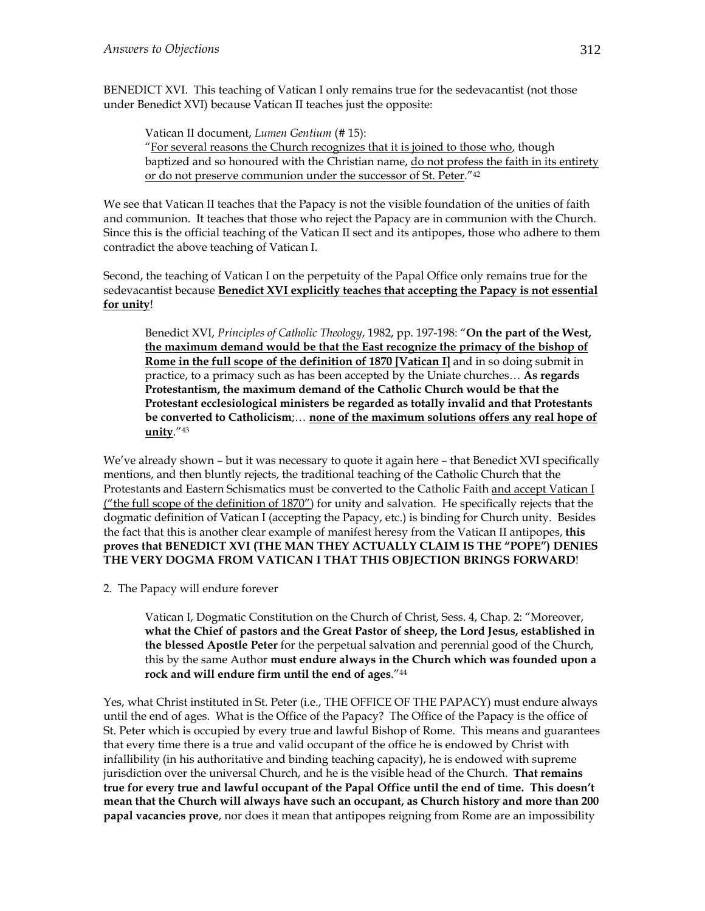BENEDICT XVI. This teaching of Vatican I only remains true for the sedevacantist (not those under Benedict XVI) because Vatican II teaches just the opposite:

Vatican II document, *Lumen Gentium* (# 15): "For several reasons the Church recognizes that it is joined to those who, though baptized and so honoured with the Christian name, do not profess the faith in its entirety or do not preserve communion under the successor of St. Peter."42

We see that Vatican II teaches that the Papacy is not the visible foundation of the unities of faith and communion. It teaches that those who reject the Papacy are in communion with the Church. Since this is the official teaching of the Vatican II sect and its antipopes, those who adhere to them contradict the above teaching of Vatican I.

Second, the teaching of Vatican I on the perpetuity of the Papal Office only remains true for the sedevacantist because **Benedict XVI explicitly teaches that accepting the Papacy is not essential for unity**!

Benedict XVI, *Principles of Catholic Theology*, 1982, pp. 197-198: "**On the part of the West, the maximum demand would be that the East recognize the primacy of the bishop of Rome in the full scope of the definition of 1870 [Vatican I]** and in so doing submit in practice, to a primacy such as has been accepted by the Uniate churches… **As regards Protestantism, the maximum demand of the Catholic Church would be that the Protestant ecclesiological ministers be regarded as totally invalid and that Protestants be converted to Catholicism**;… **none of the maximum solutions offers any real hope of unity**."43

We've already shown – but it was necessary to quote it again here – that Benedict XVI specifically mentions, and then bluntly rejects, the traditional teaching of the Catholic Church that the Protestants and Eastern Schismatics must be converted to the Catholic Faith and accept Vatican I ("the full scope of the definition of 1870") for unity and salvation. He specifically rejects that the dogmatic definition of Vatican I (accepting the Papacy, etc.) is binding for Church unity. Besides the fact that this is another clear example of manifest heresy from the Vatican II antipopes, **this proves that BENEDICT XVI (THE MAN THEY ACTUALLY CLAIM IS THE "POPE") DENIES THE VERY DOGMA FROM VATICAN I THAT THIS OBJECTION BRINGS FORWARD**!

2. The Papacy will endure forever

Vatican I, Dogmatic Constitution on the Church of Christ, Sess. 4, Chap. 2: "Moreover, **what the Chief of pastors and the Great Pastor of sheep, the Lord Jesus, established in the blessed Apostle Peter** for the perpetual salvation and perennial good of the Church, this by the same Author **must endure always in the Church which was founded upon a rock and will endure firm until the end of ages**."44

Yes, what Christ instituted in St. Peter (i.e., THE OFFICE OF THE PAPACY) must endure always until the end of ages. What is the Office of the Papacy? The Office of the Papacy is the office of St. Peter which is occupied by every true and lawful Bishop of Rome. This means and guarantees that every time there is a true and valid occupant of the office he is endowed by Christ with infallibility (in his authoritative and binding teaching capacity), he is endowed with supreme jurisdiction over the universal Church, and he is the visible head of the Church. **That remains true for every true and lawful occupant of the Papal Office until the end of time. This doesn't mean that the Church will always have such an occupant, as Church history and more than 200 papal vacancies prove**, nor does it mean that antipopes reigning from Rome are an impossibility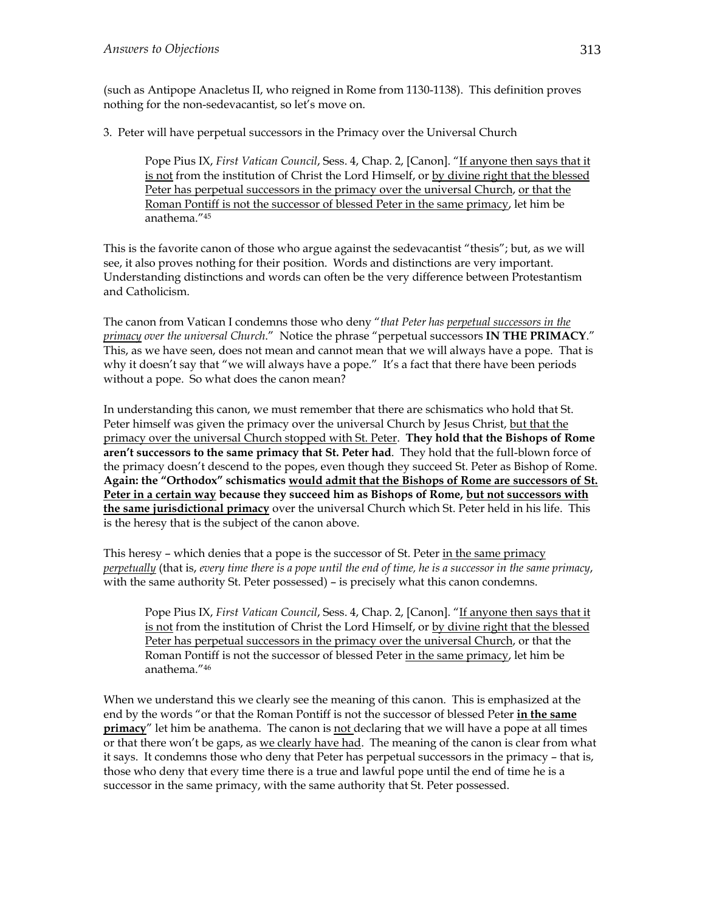(such as Antipope Anacletus II, who reigned in Rome from 1130-1138). This definition proves nothing for the non-sedevacantist, so let's move on.

3. Peter will have perpetual successors in the Primacy over the Universal Church

Pope Pius IX, *First Vatican Council*, Sess. 4, Chap. 2, [Canon]. "If anyone then says that it is not from the institution of Christ the Lord Himself, or by divine right that the blessed Peter has perpetual successors in the primacy over the universal Church, or that the Roman Pontiff is not the successor of blessed Peter in the same primacy, let him be anathema."45

This is the favorite canon of those who argue against the sedevacantist "thesis"; but, as we will see, it also proves nothing for their position. Words and distinctions are very important. Understanding distinctions and words can often be the very difference between Protestantism and Catholicism.

The canon from Vatican I condemns those who deny "*that Peter has perpetual successors in the primacy over the universal Church*." Notice the phrase "perpetual successors **IN THE PRIMACY**." This, as we have seen, does not mean and cannot mean that we will always have a pope. That is why it doesn't say that "we will always have a pope." It's a fact that there have been periods without a pope. So what does the canon mean?

In understanding this canon, we must remember that there are schismatics who hold that St. Peter himself was given the primacy over the universal Church by Jesus Christ, but that the primacy over the universal Church stopped with St. Peter. **They hold that the Bishops of Rome aren't successors to the same primacy that St. Peter had**. They hold that the full-blown force of the primacy doesn't descend to the popes, even though they succeed St. Peter as Bishop of Rome. **Again: the "Orthodox" schismatics would admit that the Bishops of Rome are successors of St. Peter in a certain way because they succeed him as Bishops of Rome, but not successors with the same jurisdictional primacy** over the universal Church which St. Peter held in his life. This is the heresy that is the subject of the canon above.

This heresy – which denies that a pope is the successor of St. Peter in the same primacy *perpetually* (that is, *every time there is a pope until the end of time, he is a successor in the same primacy*, with the same authority St. Peter possessed) – is precisely what this canon condemns.

Pope Pius IX, *First Vatican Council*, Sess. 4, Chap. 2, [Canon]. "If anyone then says that it is not from the institution of Christ the Lord Himself, or by divine right that the blessed Peter has perpetual successors in the primacy over the universal Church, or that the Roman Pontiff is not the successor of blessed Peter in the same primacy, let him be anathema."46

When we understand this we clearly see the meaning of this canon. This is emphasized at the end by the words "or that the Roman Pontiff is not the successor of blessed Peter **in the same primacy**" let him be anathema. The canon is not declaring that we will have a pope at all times or that there won't be gaps, as we clearly have had. The meaning of the canon is clear from what it says. It condemns those who deny that Peter has perpetual successors in the primacy – that is, those who deny that every time there is a true and lawful pope until the end of time he is a successor in the same primacy, with the same authority that St. Peter possessed.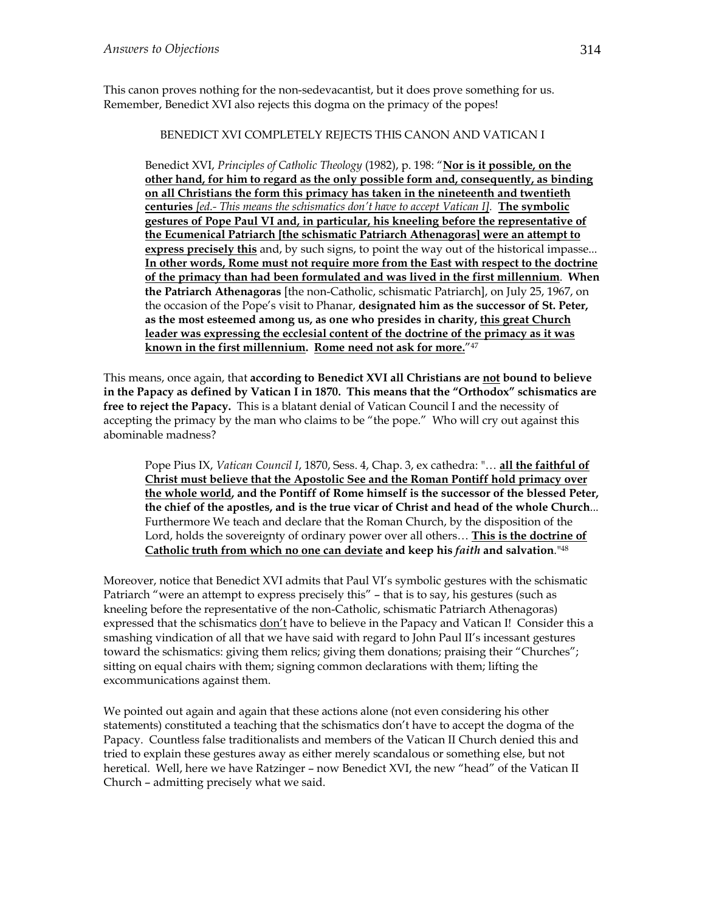This canon proves nothing for the non-sedevacantist, but it does prove something for us. Remember, Benedict XVI also rejects this dogma on the primacy of the popes!

#### BENEDICT XVI COMPLETELY REJECTS THIS CANON AND VATICAN I

Benedict XVI, *Principles of Catholic Theology* (1982), p. 198: "**Nor is it possible, on the other hand, for him to regard as the only possible form and, consequently, as binding on all Christians the form this primacy has taken in the nineteenth and twentieth centuries** *[ed.- This means the schismatics don't have to accept Vatican I].* **The symbolic gestures of Pope Paul VI and, in particular, his kneeling before the representative of the Ecumenical Patriarch [the schismatic Patriarch Athenagoras] were an attempt to express precisely this** and, by such signs, to point the way out of the historical impasse... **In other words, Rome must not require more from the East with respect to the doctrine of the primacy than had been formulated and was lived in the first millennium**. **When the Patriarch Athenagoras** [the non-Catholic, schismatic Patriarch], on July 25, 1967, on the occasion of the Pope's visit to Phanar, **designated him as the successor of St. Peter, as the most esteemed among us, as one who presides in charity, this great Church leader was expressing the ecclesial content of the doctrine of the primacy as it was known in the first millennium. Rome need not ask for more.**"47

This means, once again, that **according to Benedict XVI all Christians are not bound to believe in the Papacy as defined by Vatican I in 1870. This means that the "Orthodox" schismatics are free to reject the Papacy.** This is a blatant denial of Vatican Council I and the necessity of accepting the primacy by the man who claims to be "the pope." Who will cry out against this abominable madness?

Pope Pius IX, *Vatican Council I*, 1870, Sess. 4, Chap. 3, ex cathedra: "… **all the faithful of Christ must believe that the Apostolic See and the Roman Pontiff hold primacy over the whole world, and the Pontiff of Rome himself is the successor of the blessed Peter, the chief of the apostles, and is the true vicar of Christ and head of the whole Church**... Furthermore We teach and declare that the Roman Church, by the disposition of the Lord, holds the sovereignty of ordinary power over all others… **This is the doctrine of Catholic truth from which no one can deviate and keep his** *faith* **and salvation**."48

Moreover, notice that Benedict XVI admits that Paul VI's symbolic gestures with the schismatic Patriarch "were an attempt to express precisely this" – that is to say, his gestures (such as kneeling before the representative of the non-Catholic, schismatic Patriarch Athenagoras) expressed that the schismatics don't have to believe in the Papacy and Vatican I! Consider this a smashing vindication of all that we have said with regard to John Paul II's incessant gestures toward the schismatics: giving them relics; giving them donations; praising their "Churches"; sitting on equal chairs with them; signing common declarations with them; lifting the excommunications against them.

We pointed out again and again that these actions alone (not even considering his other statements) constituted a teaching that the schismatics don't have to accept the dogma of the Papacy. Countless false traditionalists and members of the Vatican II Church denied this and tried to explain these gestures away as either merely scandalous or something else, but not heretical. Well, here we have Ratzinger – now Benedict XVI, the new "head" of the Vatican II Church – admitting precisely what we said.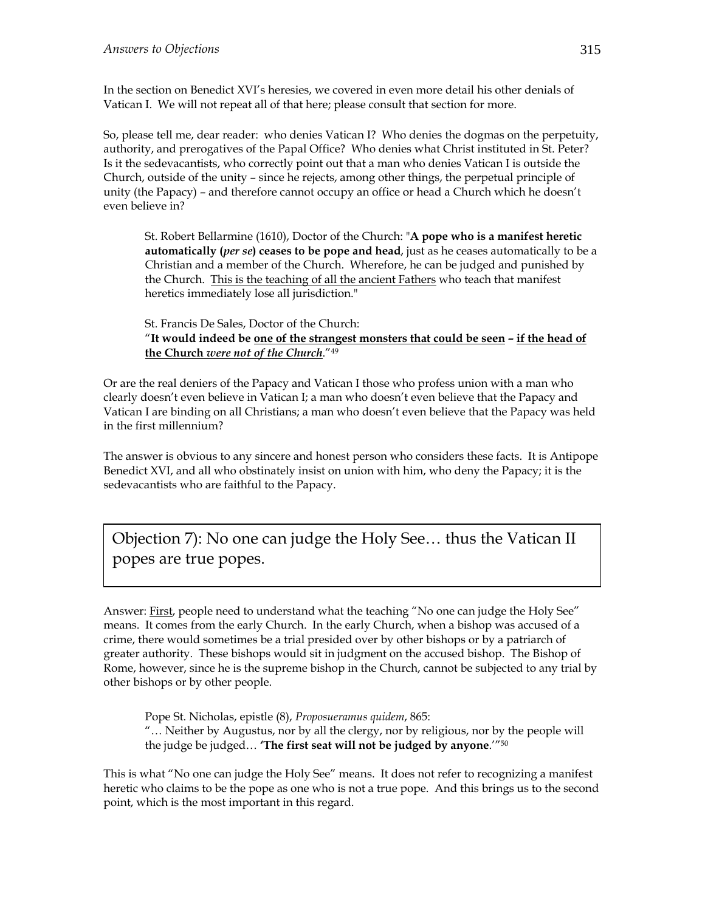In the section on Benedict XVI's heresies, we covered in even more detail his other denials of Vatican I. We will not repeat all of that here; please consult that section for more.

So, please tell me, dear reader: who denies Vatican I? Who denies the dogmas on the perpetuity, authority, and prerogatives of the Papal Office? Who denies what Christ instituted in St. Peter? Is it the sedevacantists, who correctly point out that a man who denies Vatican I is outside the Church, outside of the unity – since he rejects, among other things, the perpetual principle of unity (the Papacy) – and therefore cannot occupy an office or head a Church which he doesn't even believe in?

St. Robert Bellarmine (1610), Doctor of the Church: "**A pope who is a manifest heretic automatically (***per se***) ceases to be pope and head**, just as he ceases automatically to be a Christian and a member of the Church. Wherefore, he can be judged and punished by the Church. This is the teaching of all the ancient Fathers who teach that manifest heretics immediately lose all jurisdiction."

St. Francis De Sales, Doctor of the Church: "**It would indeed be one of the strangest monsters that could be seen – if the head of the Church** *were not of the Church*."49

Or are the real deniers of the Papacy and Vatican I those who profess union with a man who clearly doesn't even believe in Vatican I; a man who doesn't even believe that the Papacy and Vatican I are binding on all Christians; a man who doesn't even believe that the Papacy was held in the first millennium?

The answer is obvious to any sincere and honest person who considers these facts. It is Antipope Benedict XVI, and all who obstinately insist on union with him, who deny the Papacy; it is the sedevacantists who are faithful to the Papacy.

Objection 7): No one can judge the Holy See… thus the Vatican II popes are true popes.

Answer: First, people need to understand what the teaching "No one can judge the Holy See" means. It comes from the early Church. In the early Church, when a bishop was accused of a crime, there would sometimes be a trial presided over by other bishops or by a patriarch of greater authority. These bishops would sit in judgment on the accused bishop. The Bishop of Rome, however, since he is the supreme bishop in the Church, cannot be subjected to any trial by other bishops or by other people.

Pope St. Nicholas, epistle (8), *Proposueramus quidem*, 865: "… Neither by Augustus, nor by all the clergy, nor by religious, nor by the people will the judge be judged… **'The first seat will not be judged by anyone**.'"50

This is what "No one can judge the Holy See" means. It does not refer to recognizing a manifest heretic who claims to be the pope as one who is not a true pope. And this brings us to the second point, which is the most important in this regard.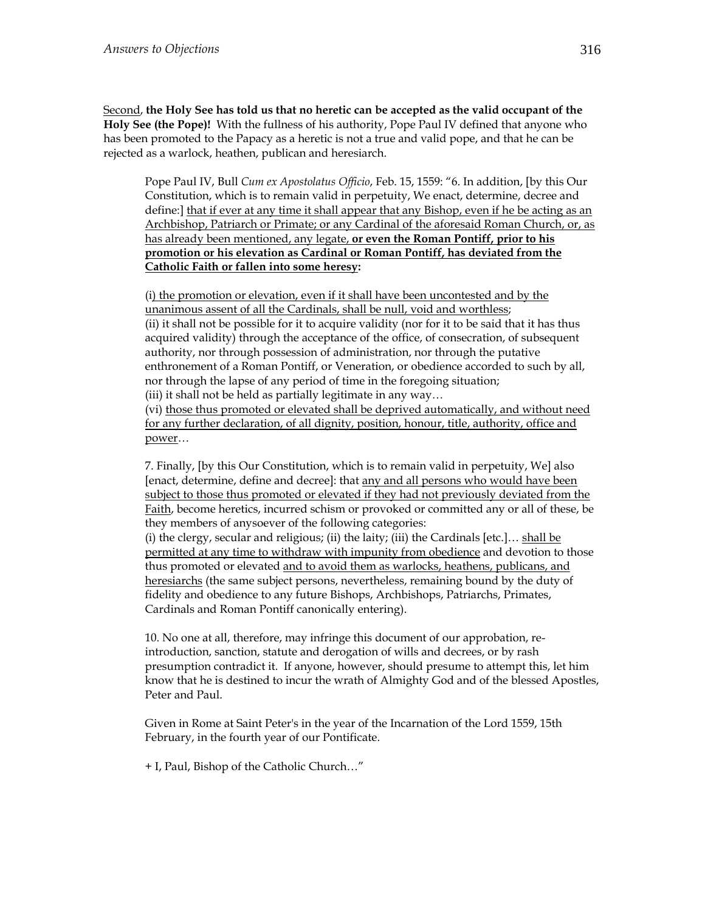Second, **the Holy See has told us that no heretic can be accepted as the valid occupant of the Holy See (the Pope)!** With the fullness of his authority, Pope Paul IV defined that anyone who has been promoted to the Papacy as a heretic is not a true and valid pope, and that he can be rejected as a warlock, heathen, publican and heresiarch.

Pope Paul IV, Bull *Cum ex Apostolatus Officio*, Feb. 15, 1559: "6. In addition, [by this Our Constitution, which is to remain valid in perpetuity, We enact, determine, decree and define:] that if ever at any time it shall appear that any Bishop, even if he be acting as an Archbishop, Patriarch or Primate; or any Cardinal of the aforesaid Roman Church, or, as has already been mentioned, any legate, **or even the Roman Pontiff, prior to his promotion or his elevation as Cardinal or Roman Pontiff, has deviated from the Catholic Faith or fallen into some heresy:**

(i) the promotion or elevation, even if it shall have been uncontested and by the unanimous assent of all the Cardinals, shall be null, void and worthless; (ii) it shall not be possible for it to acquire validity (nor for it to be said that it has thus acquired validity) through the acceptance of the office, of consecration, of subsequent authority, nor through possession of administration, nor through the putative enthronement of a Roman Pontiff, or Veneration, or obedience accorded to such by all, nor through the lapse of any period of time in the foregoing situation;

(iii) it shall not be held as partially legitimate in any way…

(vi) those thus promoted or elevated shall be deprived automatically, and without need for any further declaration, of all dignity, position, honour, title, authority, office and power…

7. Finally, [by this Our Constitution, which is to remain valid in perpetuity, We] also [enact, determine, define and decree]: that any and all persons who would have been subject to those thus promoted or elevated if they had not previously deviated from the Faith, become heretics, incurred schism or provoked or committed any or all of these, be they members of anysoever of the following categories:

(i) the clergy, secular and religious; (ii) the laity; (iii) the Cardinals [etc.]... shall be permitted at any time to withdraw with impunity from obedience and devotion to those thus promoted or elevated and to avoid them as warlocks, heathens, publicans, and heresiarchs (the same subject persons, nevertheless, remaining bound by the duty of fidelity and obedience to any future Bishops, Archbishops, Patriarchs, Primates, Cardinals and Roman Pontiff canonically entering).

10. No one at all, therefore, may infringe this document of our approbation, reintroduction, sanction, statute and derogation of wills and decrees, or by rash presumption contradict it. If anyone, however, should presume to attempt this, let him know that he is destined to incur the wrath of Almighty God and of the blessed Apostles, Peter and Paul.

Given in Rome at Saint Peter's in the year of the Incarnation of the Lord 1559, 15th February, in the fourth year of our Pontificate.

+ I, Paul, Bishop of the Catholic Church…"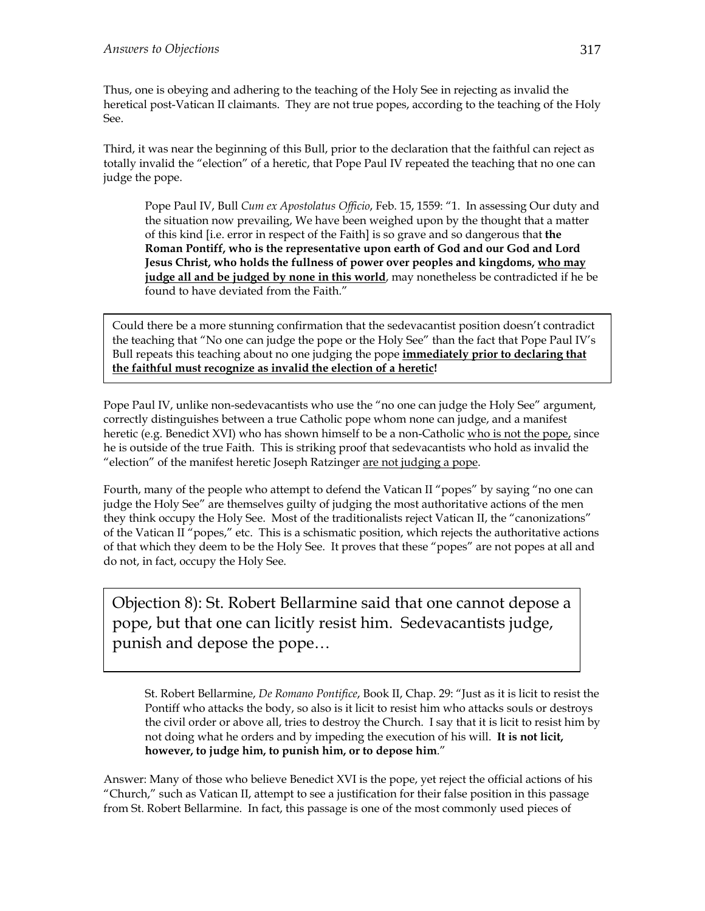Thus, one is obeying and adhering to the teaching of the Holy See in rejecting as invalid the heretical post-Vatican II claimants. They are not true popes, according to the teaching of the Holy See.

Third, it was near the beginning of this Bull, prior to the declaration that the faithful can reject as totally invalid the "election" of a heretic, that Pope Paul IV repeated the teaching that no one can judge the pope.

Pope Paul IV, Bull *Cum ex Apostolatus Officio*, Feb. 15, 1559: "1. In assessing Our duty and the situation now prevailing, We have been weighed upon by the thought that a matter of this kind [i.e. error in respect of the Faith] is so grave and so dangerous that **the Roman Pontiff, who is the representative upon earth of God and our God and Lord Jesus Christ, who holds the fullness of power over peoples and kingdoms, who may judge all and be judged by none in this world**, may nonetheless be contradicted if he be found to have deviated from the Faith."

Could there be a more stunning confirmation that the sedevacantist position doesn't contradict the teaching that "No one can judge the pope or the Holy See" than the fact that Pope Paul IV's Bull repeats this teaching about no one judging the pope **immediately prior to declaring that the faithful must recognize as invalid the election of a heretic!**

Pope Paul IV, unlike non-sedevacantists who use the "no one can judge the Holy See" argument, correctly distinguishes between a true Catholic pope whom none can judge, and a manifest heretic (e.g. Benedict XVI) who has shown himself to be a non-Catholic who is not the pope, since he is outside of the true Faith. This is striking proof that sedevacantists who hold as invalid the "election" of the manifest heretic Joseph Ratzinger are not judging a pope.

Fourth, many of the people who attempt to defend the Vatican II "popes" by saying "no one can judge the Holy See" are themselves guilty of judging the most authoritative actions of the men they think occupy the Holy See. Most of the traditionalists reject Vatican II, the "canonizations" of the Vatican II "popes," etc. This is a schismatic position, which rejects the authoritative actions of that which they deem to be the Holy See. It proves that these "popes" are not popes at all and do not, in fact, occupy the Holy See.

Objection 8): St. Robert Bellarmine said that one cannot depose a pope, but that one can licitly resist him. Sedevacantists judge, punish and depose the pope…

St. Robert Bellarmine, *De Romano Pontifice*, Book II, Chap. 29: "Just as it is licit to resist the Pontiff who attacks the body, so also is it licit to resist him who attacks souls or destroys the civil order or above all, tries to destroy the Church. I say that it is licit to resist him by not doing what he orders and by impeding the execution of his will. **It is not licit, however, to judge him, to punish him, or to depose him**."

Answer: Many of those who believe Benedict XVI is the pope, yet reject the official actions of his "Church," such as Vatican II, attempt to see a justification for their false position in this passage from St. Robert Bellarmine. In fact, this passage is one of the most commonly used pieces of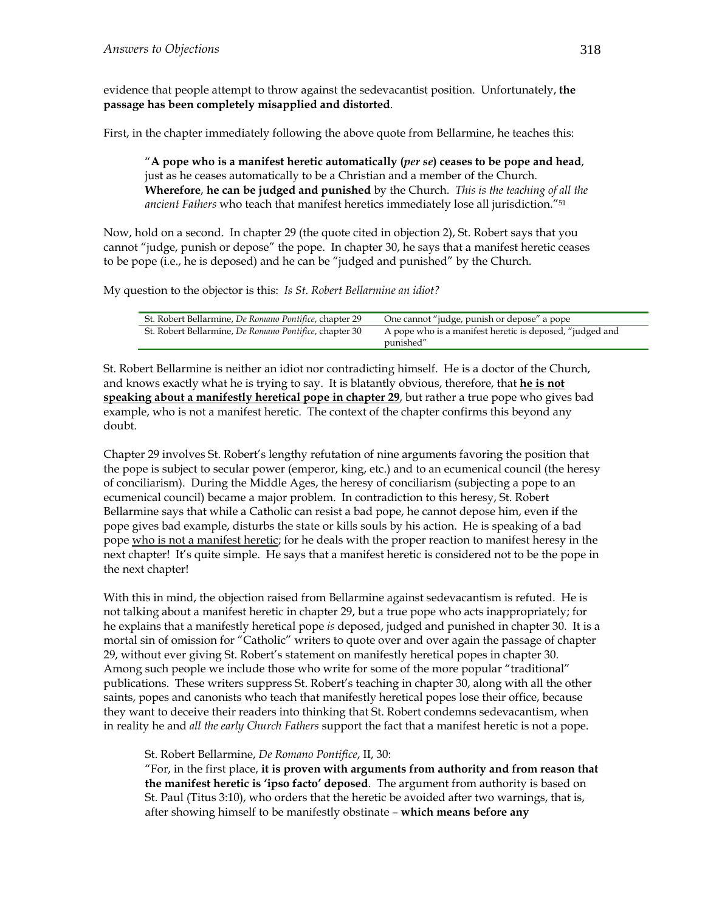evidence that people attempt to throw against the sedevacantist position. Unfortunately, **the passage has been completely misapplied and distorted**.

First, in the chapter immediately following the above quote from Bellarmine, he teaches this:

"**A pope who is a manifest heretic automatically (***per se***) ceases to be pope and head**, just as he ceases automatically to be a Christian and a member of the Church. **Wherefore**, **he can be judged and punished** by the Church. *This is the teaching of all the ancient Fathers* who teach that manifest heretics immediately lose all jurisdiction."51

Now, hold on a second. In chapter 29 (the quote cited in objection 2), St. Robert says that you cannot "judge, punish or depose" the pope. In chapter 30, he says that a manifest heretic ceases to be pope (i.e., he is deposed) and he can be "judged and punished" by the Church.

My question to the objector is this: *Is St. Robert Bellarmine an idiot?* 

| St. Robert Bellarmine, De Romano Pontifice, chapter 29 | One cannot "judge, punish or depose" a pope                           |
|--------------------------------------------------------|-----------------------------------------------------------------------|
| St. Robert Bellarmine, De Romano Pontifice, chapter 30 | A pope who is a manifest heretic is deposed, "judged and<br>punished" |

St. Robert Bellarmine is neither an idiot nor contradicting himself. He is a doctor of the Church, and knows exactly what he is trying to say. It is blatantly obvious, therefore, that **he is not speaking about a manifestly heretical pope in chapter 29**, but rather a true pope who gives bad example, who is not a manifest heretic. The context of the chapter confirms this beyond any doubt.

Chapter 29 involves St. Robert's lengthy refutation of nine arguments favoring the position that the pope is subject to secular power (emperor, king, etc.) and to an ecumenical council (the heresy of conciliarism). During the Middle Ages, the heresy of conciliarism (subjecting a pope to an ecumenical council) became a major problem. In contradiction to this heresy, St. Robert Bellarmine says that while a Catholic can resist a bad pope, he cannot depose him, even if the pope gives bad example, disturbs the state or kills souls by his action. He is speaking of a bad pope who is not a manifest heretic; for he deals with the proper reaction to manifest heresy in the next chapter! It's quite simple. He says that a manifest heretic is considered not to be the pope in the next chapter!

With this in mind, the objection raised from Bellarmine against sedevacantism is refuted. He is not talking about a manifest heretic in chapter 29, but a true pope who acts inappropriately; for he explains that a manifestly heretical pope *is* deposed, judged and punished in chapter 30. It is a mortal sin of omission for "Catholic" writers to quote over and over again the passage of chapter 29, without ever giving St. Robert's statement on manifestly heretical popes in chapter 30. Among such people we include those who write for some of the more popular "traditional" publications. These writers suppress St. Robert's teaching in chapter 30, along with all the other saints, popes and canonists who teach that manifestly heretical popes lose their office, because they want to deceive their readers into thinking that St. Robert condemns sedevacantism, when in reality he and *all the early Church Fathers* support the fact that a manifest heretic is not a pope.

St. Robert Bellarmine, *De Romano Pontifice*, II, 30:

"For, in the first place, **it is proven with arguments from authority and from reason that the manifest heretic is 'ipso facto' deposed**. The argument from authority is based on St. Paul (Titus 3:10), who orders that the heretic be avoided after two warnings, that is, after showing himself to be manifestly obstinate – **which means before any**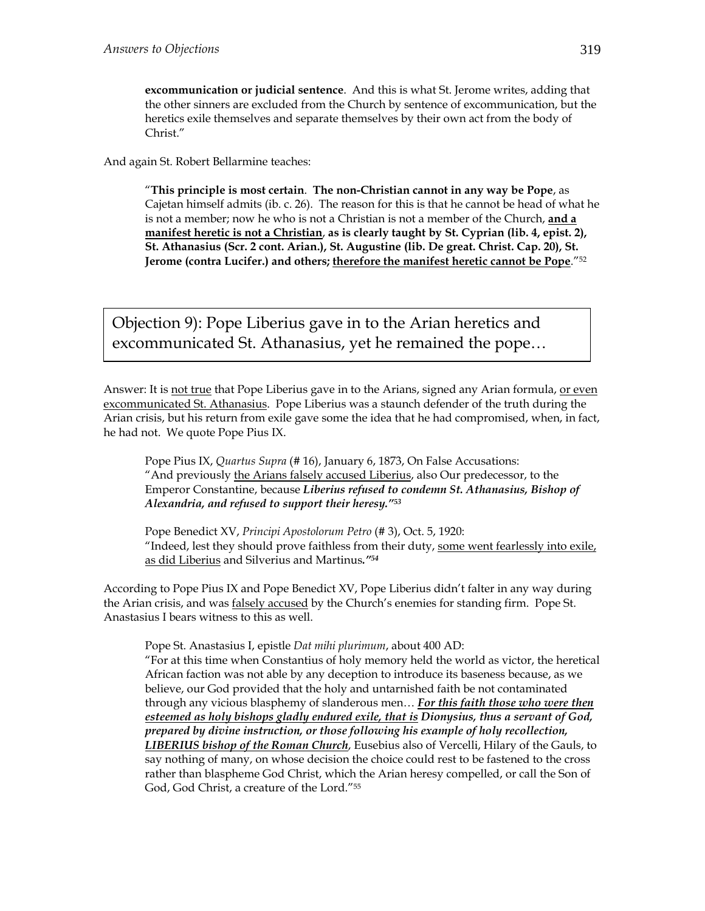**excommunication or judicial sentence**. And this is what St. Jerome writes, adding that the other sinners are excluded from the Church by sentence of excommunication, but the heretics exile themselves and separate themselves by their own act from the body of Christ."

And again St. Robert Bellarmine teaches:

"**This principle is most certain**. **The non-Christian cannot in any way be Pope**, as Cajetan himself admits (ib. c. 26). The reason for this is that he cannot be head of what he is not a member; now he who is not a Christian is not a member of the Church, **and a manifest heretic is not a Christian**, **as is clearly taught by St. Cyprian (lib. 4, epist. 2), St. Athanasius (Scr. 2 cont. Arian.), St. Augustine (lib. De great. Christ. Cap. 20), St. Jerome (contra Lucifer.) and others; therefore the manifest heretic cannot be Pope**."52

Objection 9): Pope Liberius gave in to the Arian heretics and excommunicated St. Athanasius, yet he remained the pope…

Answer: It is not true that Pope Liberius gave in to the Arians, signed any Arian formula, or even excommunicated St. Athanasius. Pope Liberius was a staunch defender of the truth during the Arian crisis, but his return from exile gave some the idea that he had compromised, when, in fact, he had not. We quote Pope Pius IX.

Pope Pius IX, *Quartus Supra* (# 16), January 6, 1873, On False Accusations: "And previously the Arians falsely accused Liberius, also Our predecessor, to the Emperor Constantine, because *Liberius refused to condemn St. Athanasius, Bishop of Alexandria, and refused to support their heresy."53* 

Pope Benedict XV, *Principi Apostolorum Petro* (# 3), Oct. 5, 1920: "Indeed, lest they should prove faithless from their duty, some went fearlessly into exile, as did Liberius and Silverius and Martinus*."54*

According to Pope Pius IX and Pope Benedict XV, Pope Liberius didn't falter in any way during the Arian crisis, and was falsely accused by the Church's enemies for standing firm. Pope St. Anastasius I bears witness to this as well.

Pope St. Anastasius I, epistle *Dat mihi plurimum*, about 400 AD:

"For at this time when Constantius of holy memory held the world as victor, the heretical African faction was not able by any deception to introduce its baseness because, as we believe, our God provided that the holy and untarnished faith be not contaminated through any vicious blasphemy of slanderous men… *For this faith those who were then esteemed as holy bishops gladly endured exile, that is Dionysius, thus a servant of God, prepared by divine instruction, or those following his example of holy recollection, LIBERIUS bishop of the Roman Church*, Eusebius also of Vercelli, Hilary of the Gauls, to say nothing of many, on whose decision the choice could rest to be fastened to the cross rather than blaspheme God Christ, which the Arian heresy compelled, or call the Son of God, God Christ, a creature of the Lord."55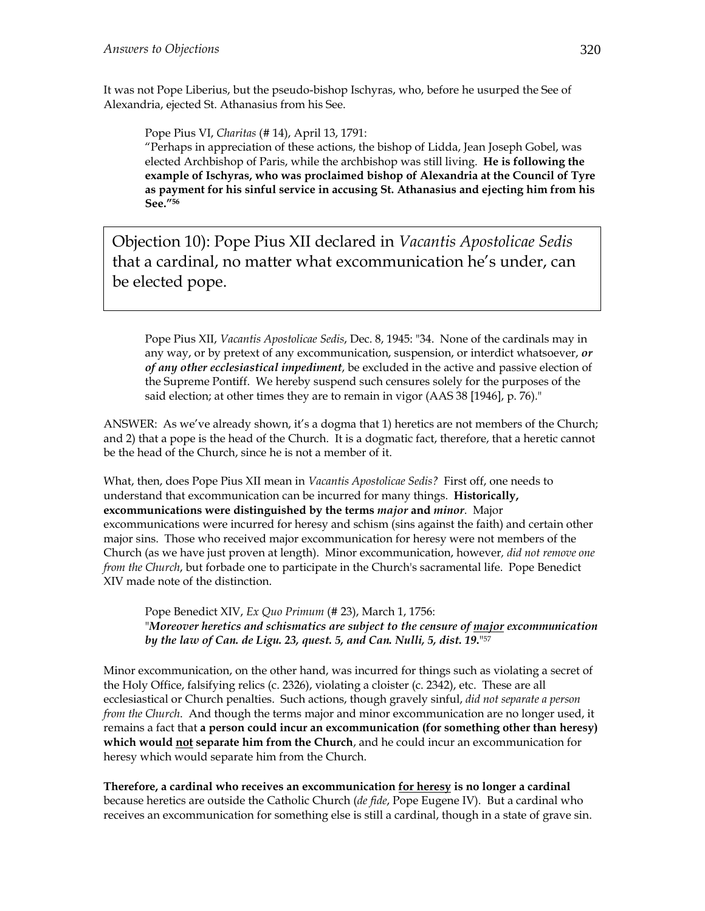It was not Pope Liberius, but the pseudo-bishop Ischyras, who, before he usurped the See of Alexandria, ejected St. Athanasius from his See.

Pope Pius VI, *Charitas* (# 14), April 13, 1791:

"Perhaps in appreciation of these actions, the bishop of Lidda, Jean Joseph Gobel, was elected Archbishop of Paris, while the archbishop was still living. **He is following the example of Ischyras, who was proclaimed bishop of Alexandria at the Council of Tyre as payment for his sinful service in accusing St. Athanasius and ejecting him from his See."56**

Objection 10): Pope Pius XII declared in *Vacantis Apostolicae Sedis* that a cardinal, no matter what excommunication he's under, can be elected pope.

Pope Pius XII, *Vacantis Apostolicae Sedis*, Dec. 8, 1945: "34. None of the cardinals may in any way, or by pretext of any excommunication, suspension, or interdict whatsoever, *or of any other ecclesiastical impediment*, be excluded in the active and passive election of the Supreme Pontiff. We hereby suspend such censures solely for the purposes of the said election; at other times they are to remain in vigor (AAS 38 [1946], p. 76)."

ANSWER: As we've already shown, it's a dogma that 1) heretics are not members of the Church; and 2) that a pope is the head of the Church. It is a dogmatic fact, therefore, that a heretic cannot be the head of the Church, since he is not a member of it.

What, then, does Pope Pius XII mean in *Vacantis Apostolicae Sedis?* First off, one needs to understand that excommunication can be incurred for many things. **Historically, excommunications were distinguished by the terms** *major* **and** *minor*. Major excommunications were incurred for heresy and schism (sins against the faith) and certain other major sins. Those who received major excommunication for heresy were not members of the Church (as we have just proven at length). Minor excommunication, however*, did not remove one from the Church*, but forbade one to participate in the Church's sacramental life. Pope Benedict XIV made note of the distinction.

Pope Benedict XIV, *Ex Quo Primum* (# 23), March 1, 1756: "*Moreover heretics and schismatics are subject to the censure of major excommunication by the law of Can. de Ligu. 23, quest. 5, and Can. Nulli, 5, dist. 19***.**"57

Minor excommunication, on the other hand, was incurred for things such as violating a secret of the Holy Office, falsifying relics (c. 2326), violating a cloister (c. 2342), etc. These are all ecclesiastical or Church penalties. Such actions, though gravely sinful, *did not separate a person from the Church*. And though the terms major and minor excommunication are no longer used, it remains a fact that **a person could incur an excommunication (for something other than heresy) which would not separate him from the Church**, and he could incur an excommunication for heresy which would separate him from the Church.

**Therefore, a cardinal who receives an excommunication for heresy is no longer a cardinal** because heretics are outside the Catholic Church (*de fide*, Pope Eugene IV). But a cardinal who receives an excommunication for something else is still a cardinal, though in a state of grave sin.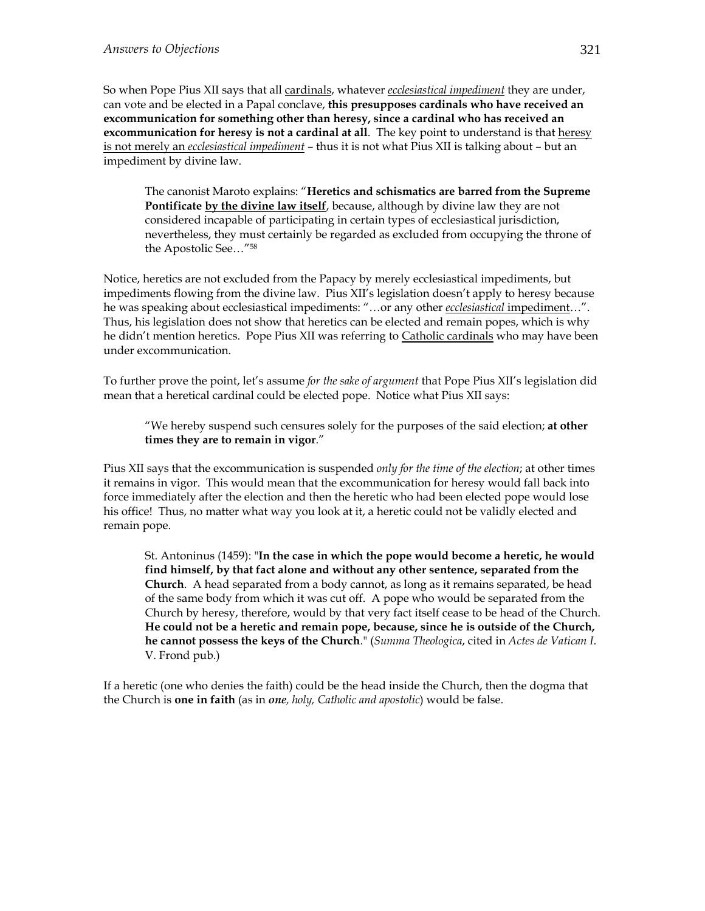So when Pope Pius XII says that all cardinals, whatever *ecclesiastical impediment* they are under, can vote and be elected in a Papal conclave, **this presupposes cardinals who have received an excommunication for something other than heresy, since a cardinal who has received an excommunication for heresy is not a cardinal at all**. The key point to understand is that heresy is not merely an *ecclesiastical impediment* – thus it is not what Pius XII is talking about – but an impediment by divine law.

The canonist Maroto explains: "**Heretics and schismatics are barred from the Supreme**  Pontificate by the divine law itself, because, although by divine law they are not considered incapable of participating in certain types of ecclesiastical jurisdiction, nevertheless, they must certainly be regarded as excluded from occupying the throne of the Apostolic See…"58

Notice, heretics are not excluded from the Papacy by merely ecclesiastical impediments, but impediments flowing from the divine law. Pius XII's legislation doesn't apply to heresy because he was speaking about ecclesiastical impediments: "…or any other *ecclesiastical* impediment…". Thus, his legislation does not show that heretics can be elected and remain popes, which is why he didn't mention heretics. Pope Pius XII was referring to Catholic cardinals who may have been under excommunication.

To further prove the point, let's assume *for the sake of argument* that Pope Pius XII's legislation did mean that a heretical cardinal could be elected pope. Notice what Pius XII says:

"We hereby suspend such censures solely for the purposes of the said election; **at other times they are to remain in vigor**."

Pius XII says that the excommunication is suspended *only for the time of the election*; at other times it remains in vigor. This would mean that the excommunication for heresy would fall back into force immediately after the election and then the heretic who had been elected pope would lose his office! Thus, no matter what way you look at it, a heretic could not be validly elected and remain pope.

St. Antoninus (1459): "**In the case in which the pope would become a heretic, he would find himself, by that fact alone and without any other sentence, separated from the Church**. A head separated from a body cannot, as long as it remains separated, be head of the same body from which it was cut off. A pope who would be separated from the Church by heresy, therefore, would by that very fact itself cease to be head of the Church. **He could not be a heretic and remain pope, because, since he is outside of the Church, he cannot possess the keys of the Church**." (*Summa Theologica*, cited in *Actes de Vatican I*. V. Frond pub.)

If a heretic (one who denies the faith) could be the head inside the Church, then the dogma that the Church is **one in faith** (as in *one, holy, Catholic and apostolic*) would be false.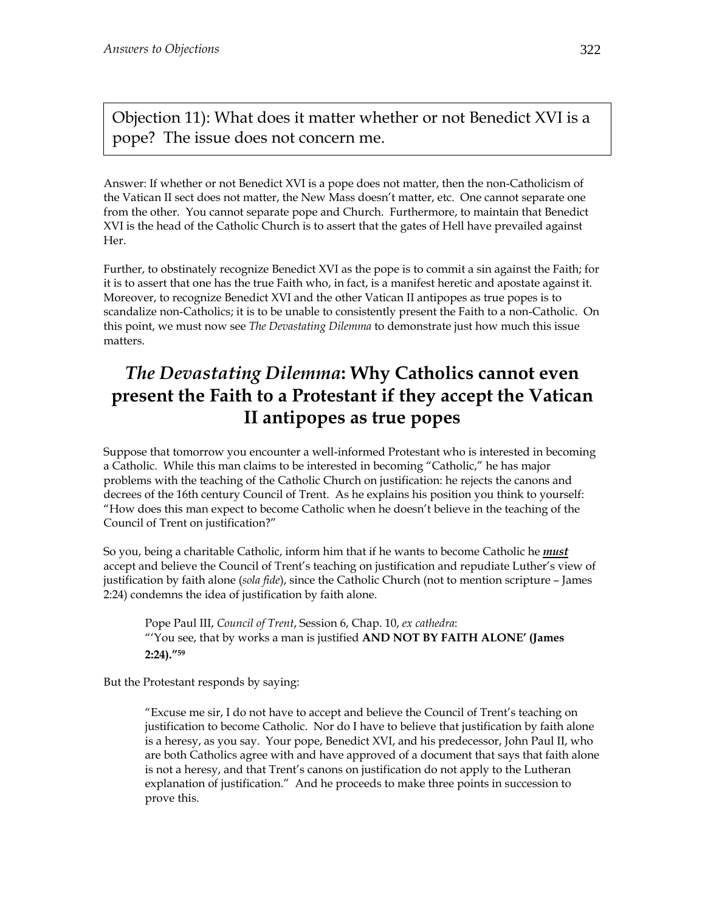Objection 11): What does it matter whether or not Benedict XVI is a pope? The issue does not concern me.

Answer: If whether or not Benedict XVI is a pope does not matter, then the non-Catholicism of the Vatican II sect does not matter, the New Mass doesn't matter, etc. One cannot separate one from the other. You cannot separate pope and Church. Furthermore, to maintain that Benedict XVI is the head of the Catholic Church is to assert that the gates of Hell have prevailed against Her.

Further, to obstinately recognize Benedict XVI as the pope is to commit a sin against the Faith; for it is to assert that one has the true Faith who, in fact, is a manifest heretic and apostate against it. Moreover, to recognize Benedict XVI and the other Vatican II antipopes as true popes is to scandalize non-Catholics; it is to be unable to consistently present the Faith to a non-Catholic. On this point, we must now see *The Devastating Dilemma* to demonstrate just how much this issue matters.

## *The Devastating Dilemma***: Why Catholics cannot even present the Faith to a Protestant if they accept the Vatican II antipopes as true popes**

Suppose that tomorrow you encounter a well-informed Protestant who is interested in becoming a Catholic. While this man claims to be interested in becoming "Catholic," he has major problems with the teaching of the Catholic Church on justification: he rejects the canons and decrees of the 16th century Council of Trent. As he explains his position you think to yourself: "How does this man expect to become Catholic when he doesn't believe in the teaching of the Council of Trent on justification?"

So you, being a charitable Catholic, inform him that if he wants to become Catholic he *must*  accept and believe the Council of Trent's teaching on justification and repudiate Luther's view of justification by faith alone (*sola fide*), since the Catholic Church (not to mention scripture – James 2:24) condemns the idea of justification by faith alone.

Pope Paul III, *Council of Trent*, Session 6, Chap. 10, *ex cathedra*: "'You see, that by works a man is justified **AND NOT BY FAITH ALONE' (James 2:24)."59**

But the Protestant responds by saying:

"Excuse me sir, I do not have to accept and believe the Council of Trent's teaching on justification to become Catholic. Nor do I have to believe that justification by faith alone is a heresy, as you say. Your pope, Benedict XVI, and his predecessor, John Paul II, who are both Catholics agree with and have approved of a document that says that faith alone is not a heresy, and that Trent's canons on justification do not apply to the Lutheran explanation of justification." And he proceeds to make three points in succession to prove this.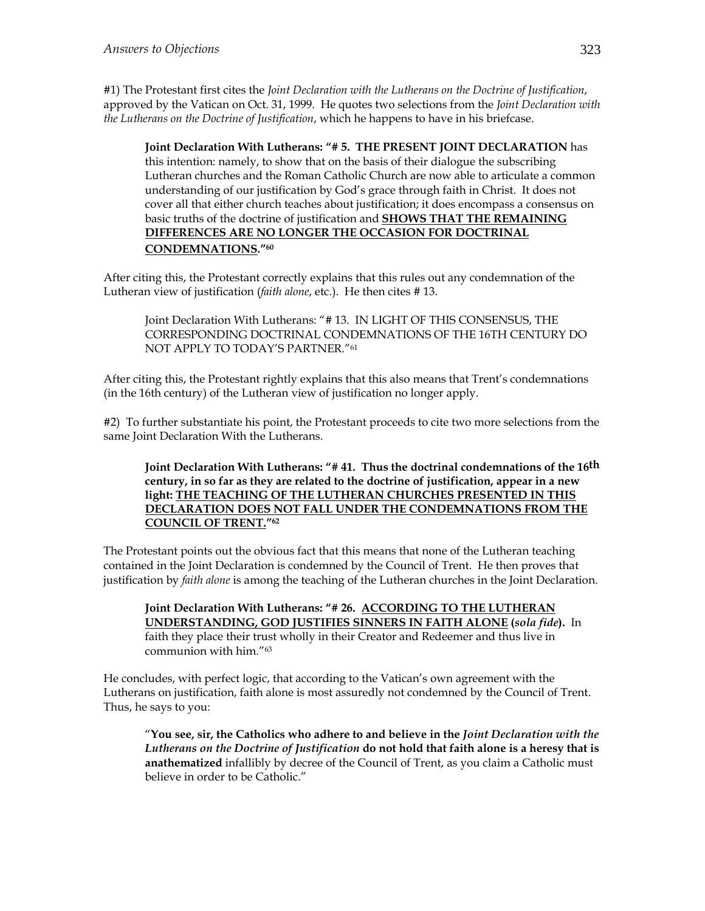#1) The Protestant first cites the *Joint Declaration with the Lutherans on the Doctrine of Justification*, approved by the Vatican on Oct. 31, 1999. He quotes two selections from the *Joint Declaration with the Lutherans on the Doctrine of Justification*, which he happens to have in his briefcase.

**Joint Declaration With Lutherans: "# 5. THE PRESENT JOINT DECLARATION** has this intention: namely, to show that on the basis of their dialogue the subscribing Lutheran churches and the Roman Catholic Church are now able to articulate a common understanding of our justification by God's grace through faith in Christ. It does not cover all that either church teaches about justification; it does encompass a consensus on basic truths of the doctrine of justification and **SHOWS THAT THE REMAINING DIFFERENCES ARE NO LONGER THE OCCASION FOR DOCTRINAL CONDEMNATIONS."60**

After citing this, the Protestant correctly explains that this rules out any condemnation of the Lutheran view of justification (*faith alone*, etc.). He then cites # 13.

Joint Declaration With Lutherans: "# 13. IN LIGHT OF THIS CONSENSUS, THE CORRESPONDING DOCTRINAL CONDEMNATIONS OF THE 16TH CENTURY DO NOT APPLY TO TODAY'S PARTNER."61

After citing this, the Protestant rightly explains that this also means that Trent's condemnations (in the 16th century) of the Lutheran view of justification no longer apply.

#2) To further substantiate his point, the Protestant proceeds to cite two more selections from the same Joint Declaration With the Lutherans.

#### **Joint Declaration With Lutherans: "# 41. Thus the doctrinal condemnations of the 16th century, in so far as they are related to the doctrine of justification, appear in a new light: THE TEACHING OF THE LUTHERAN CHURCHES PRESENTED IN THIS DECLARATION DOES NOT FALL UNDER THE CONDEMNATIONS FROM THE COUNCIL OF TRENT."62**

The Protestant points out the obvious fact that this means that none of the Lutheran teaching contained in the Joint Declaration is condemned by the Council of Trent. He then proves that justification by *faith alone* is among the teaching of the Lutheran churches in the Joint Declaration.

**Joint Declaration With Lutherans: "# 26. ACCORDING TO THE LUTHERAN UNDERSTANDING, GOD JUSTIFIES SINNERS IN FAITH ALONE (***sola fide***).** In faith they place their trust wholly in their Creator and Redeemer and thus live in communion with him."63

He concludes, with perfect logic, that according to the Vatican's own agreement with the Lutherans on justification, faith alone is most assuredly not condemned by the Council of Trent. Thus, he says to you:

"**You see, sir, the Catholics who adhere to and believe in the** *Joint Declaration with the Lutherans on the Doctrine of Justification* **do not hold that faith alone is a heresy that is anathematized** infallibly by decree of the Council of Trent, as you claim a Catholic must believe in order to be Catholic."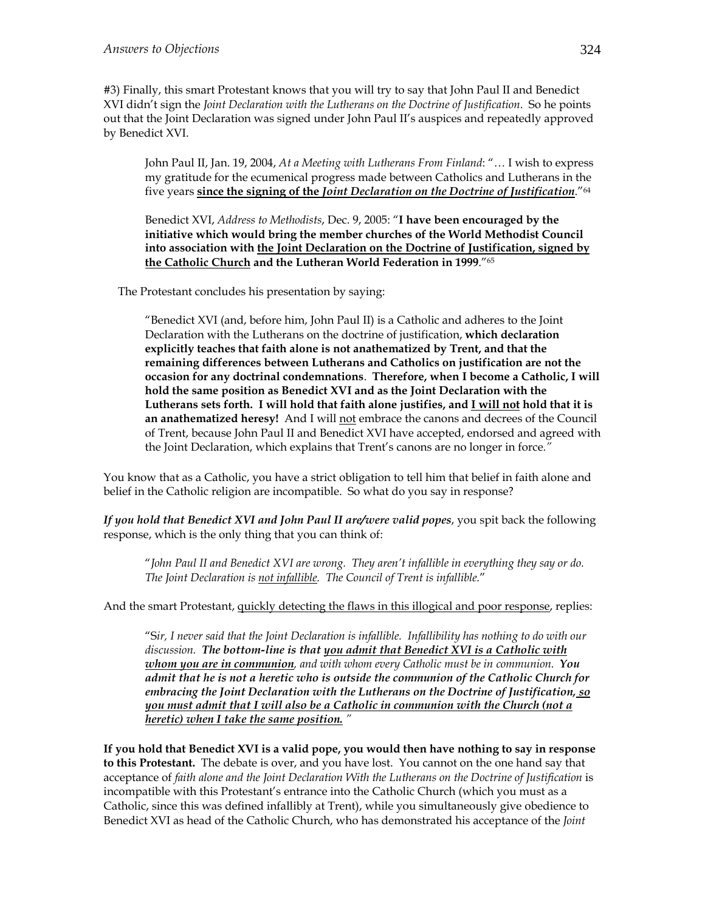#3) Finally, this smart Protestant knows that you will try to say that John Paul II and Benedict XVI didn't sign the *Joint Declaration with the Lutherans on the Doctrine of Justification*. So he points out that the Joint Declaration was signed under John Paul II's auspices and repeatedly approved by Benedict XVI.

John Paul II, Jan. 19, 2004, *At a Meeting with Lutherans From Finland*: "… I wish to express my gratitude for the ecumenical progress made between Catholics and Lutherans in the five years **since the signing of the** *Joint Declaration on the Doctrine of Justification*."64

Benedict XVI, *Address to Methodists*, Dec. 9, 2005: "**I have been encouraged by the initiative which would bring the member churches of the World Methodist Council into association with the Joint Declaration on the Doctrine of Justification, signed by the Catholic Church and the Lutheran World Federation in 1999**."65

The Protestant concludes his presentation by saying:

"Benedict XVI (and, before him, John Paul II) is a Catholic and adheres to the Joint Declaration with the Lutherans on the doctrine of justification, **which declaration explicitly teaches that faith alone is not anathematized by Trent, and that the remaining differences between Lutherans and Catholics on justification are not the occasion for any doctrinal condemnations**. **Therefore, when I become a Catholic, I will hold the same position as Benedict XVI and as the Joint Declaration with the Lutherans sets forth. I will hold that faith alone justifies, and I will not hold that it is an anathematized heresy!** And I will not embrace the canons and decrees of the Council of Trent, because John Paul II and Benedict XVI have accepted, endorsed and agreed with the Joint Declaration, which explains that Trent's canons are no longer in force*."*

You know that as a Catholic, you have a strict obligation to tell him that belief in faith alone and belief in the Catholic religion are incompatible. So what do you say in response?

*If you hold that Benedict XVI and John Paul II are/were valid popes*, you spit back the following response, which is the only thing that you can think of:

"*John Paul II and Benedict XVI are wrong. They aren't infallible in everything they say or do. The Joint Declaration is not infallible. The Council of Trent is infallible.*"

And the smart Protestant, quickly detecting the flaws in this illogical and poor response, replies:

"S*ir, I never said that the Joint Declaration is infallible. Infallibility has nothing to do with our discussion. The bottom-line is that you admit that Benedict XVI is a Catholic with whom you are in communion, and with whom every Catholic must be in communion. You admit that he is not a heretic who is outside the communion of the Catholic Church for embracing the Joint Declaration with the Lutherans on the Doctrine of Justification, so you must admit that I will also be a Catholic in communion with the Church (not a heretic) when I take the same position. "*

**If you hold that Benedict XVI is a valid pope, you would then have nothing to say in response to this Protestant.** The debate is over, and you have lost. You cannot on the one hand say that acceptance of *faith alone and the Joint Declaration With the Lutherans on the Doctrine of Justification* is incompatible with this Protestant's entrance into the Catholic Church (which you must as a Catholic, since this was defined infallibly at Trent), while you simultaneously give obedience to Benedict XVI as head of the Catholic Church, who has demonstrated his acceptance of the *Joint*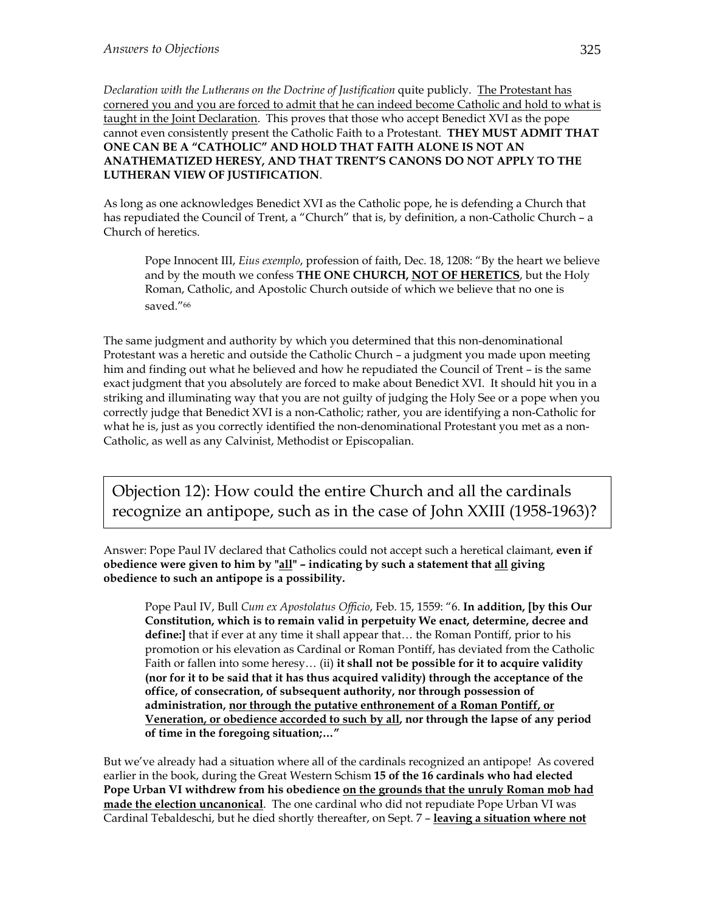*Declaration with the Lutherans on the Doctrine of Justification* quite publicly. The Protestant has cornered you and you are forced to admit that he can indeed become Catholic and hold to what is taught in the Joint Declaration. This proves that those who accept Benedict XVI as the pope cannot even consistently present the Catholic Faith to a Protestant. **THEY MUST ADMIT THAT ONE CAN BE A "CATHOLIC" AND HOLD THAT FAITH ALONE IS NOT AN ANATHEMATIZED HERESY, AND THAT TRENT'S CANONS DO NOT APPLY TO THE LUTHERAN VIEW OF JUSTIFICATION**.

As long as one acknowledges Benedict XVI as the Catholic pope, he is defending a Church that has repudiated the Council of Trent, a "Church" that is, by definition, a non-Catholic Church – a Church of heretics.

Pope Innocent III, *Eius exemplo*, profession of faith, Dec. 18, 1208: "By the heart we believe and by the mouth we confess **THE ONE CHURCH, NOT OF HERETICS**, but the Holy Roman, Catholic, and Apostolic Church outside of which we believe that no one is saved."66

The same judgment and authority by which you determined that this non-denominational Protestant was a heretic and outside the Catholic Church – a judgment you made upon meeting him and finding out what he believed and how he repudiated the Council of Trent – is the same exact judgment that you absolutely are forced to make about Benedict XVI. It should hit you in a striking and illuminating way that you are not guilty of judging the Holy See or a pope when you correctly judge that Benedict XVI is a non-Catholic; rather, you are identifying a non-Catholic for what he is, just as you correctly identified the non-denominational Protestant you met as a non-Catholic, as well as any Calvinist, Methodist or Episcopalian.

Objection 12): How could the entire Church and all the cardinals recognize an antipope, such as in the case of John XXIII (1958-1963)?

Answer: Pope Paul IV declared that Catholics could not accept such a heretical claimant, **even if obedience were given to him by "all" – indicating by such a statement that all giving obedience to such an antipope is a possibility.** 

Pope Paul IV, Bull *Cum ex Apostolatus Officio*, Feb. 15, 1559: "6. **In addition, [by this Our Constitution, which is to remain valid in perpetuity We enact, determine, decree and define:]** that if ever at any time it shall appear that… the Roman Pontiff, prior to his promotion or his elevation as Cardinal or Roman Pontiff, has deviated from the Catholic Faith or fallen into some heresy… (ii) **it shall not be possible for it to acquire validity (nor for it to be said that it has thus acquired validity) through the acceptance of the office, of consecration, of subsequent authority, nor through possession of administration, nor through the putative enthronement of a Roman Pontiff, or Veneration, or obedience accorded to such by all, nor through the lapse of any period of time in the foregoing situation;…"**

But we've already had a situation where all of the cardinals recognized an antipope! As covered earlier in the book, during the Great Western Schism **15 of the 16 cardinals who had elected Pope Urban VI withdrew from his obedience on the grounds that the unruly Roman mob had made the election uncanonical**. The one cardinal who did not repudiate Pope Urban VI was Cardinal Tebaldeschi, but he died shortly thereafter, on Sept. 7 – **leaving a situation where not**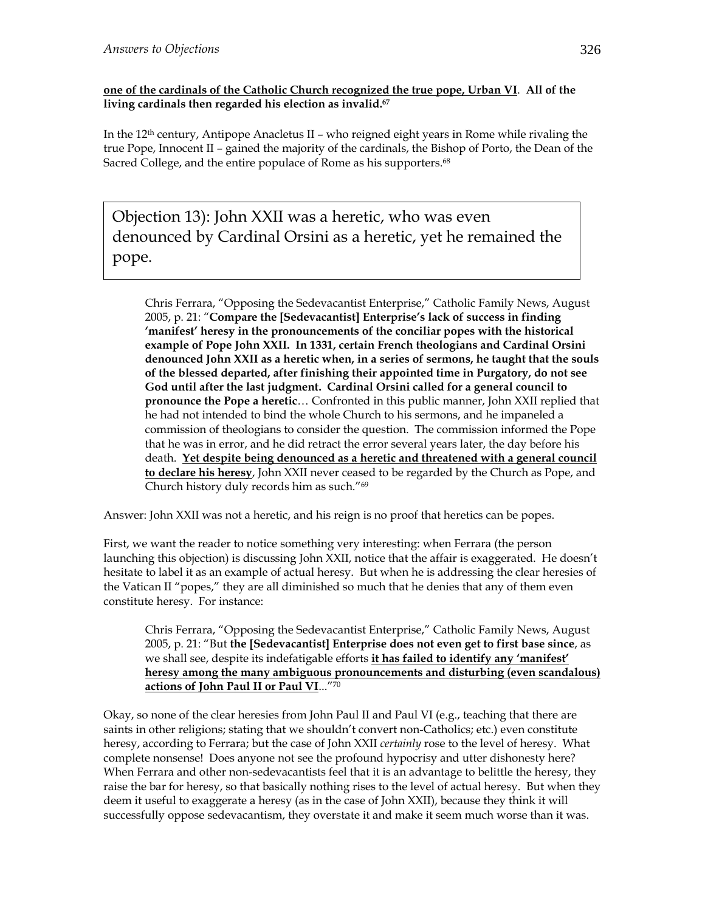#### **one of the cardinals of the Catholic Church recognized the true pope, Urban VI**. **All of the living cardinals then regarded his election as invalid.67**

In the  $12<sup>th</sup>$  century, Antipope Anacletus II – who reigned eight years in Rome while rivaling the true Pope, Innocent II – gained the majority of the cardinals, the Bishop of Porto, the Dean of the Sacred College, and the entire populace of Rome as his supporters.<sup>68</sup>

Objection 13): John XXII was a heretic, who was even denounced by Cardinal Orsini as a heretic, yet he remained the pope.

Chris Ferrara, "Opposing the Sedevacantist Enterprise," Catholic Family News, August 2005, p. 21: "**Compare the [Sedevacantist] Enterprise's lack of success in finding 'manifest' heresy in the pronouncements of the conciliar popes with the historical example of Pope John XXII. In 1331, certain French theologians and Cardinal Orsini denounced John XXII as a heretic when, in a series of sermons, he taught that the souls of the blessed departed, after finishing their appointed time in Purgatory, do not see God until after the last judgment. Cardinal Orsini called for a general council to pronounce the Pope a heretic**… Confronted in this public manner, John XXII replied that he had not intended to bind the whole Church to his sermons, and he impaneled a commission of theologians to consider the question. The commission informed the Pope that he was in error, and he did retract the error several years later, the day before his death. **Yet despite being denounced as a heretic and threatened with a general council to declare his heresy**, John XXII never ceased to be regarded by the Church as Pope, and Church history duly records him as such."69

Answer: John XXII was not a heretic, and his reign is no proof that heretics can be popes.

First, we want the reader to notice something very interesting: when Ferrara (the person launching this objection) is discussing John XXII, notice that the affair is exaggerated. He doesn't hesitate to label it as an example of actual heresy. But when he is addressing the clear heresies of the Vatican II "popes," they are all diminished so much that he denies that any of them even constitute heresy. For instance:

Chris Ferrara, "Opposing the Sedevacantist Enterprise," Catholic Family News, August 2005, p. 21: "But **the [Sedevacantist] Enterprise does not even get to first base since**, as we shall see, despite its indefatigable efforts **it has failed to identify any 'manifest' heresy among the many ambiguous pronouncements and disturbing (even scandalous) actions of John Paul II or Paul VI**..."70

Okay, so none of the clear heresies from John Paul II and Paul VI (e.g., teaching that there are saints in other religions; stating that we shouldn't convert non-Catholics; etc.) even constitute heresy, according to Ferrara; but the case of John XXII *certainly* rose to the level of heresy. What complete nonsense! Does anyone not see the profound hypocrisy and utter dishonesty here? When Ferrara and other non-sedevacantists feel that it is an advantage to belittle the heresy, they raise the bar for heresy, so that basically nothing rises to the level of actual heresy. But when they deem it useful to exaggerate a heresy (as in the case of John XXII), because they think it will successfully oppose sedevacantism, they overstate it and make it seem much worse than it was.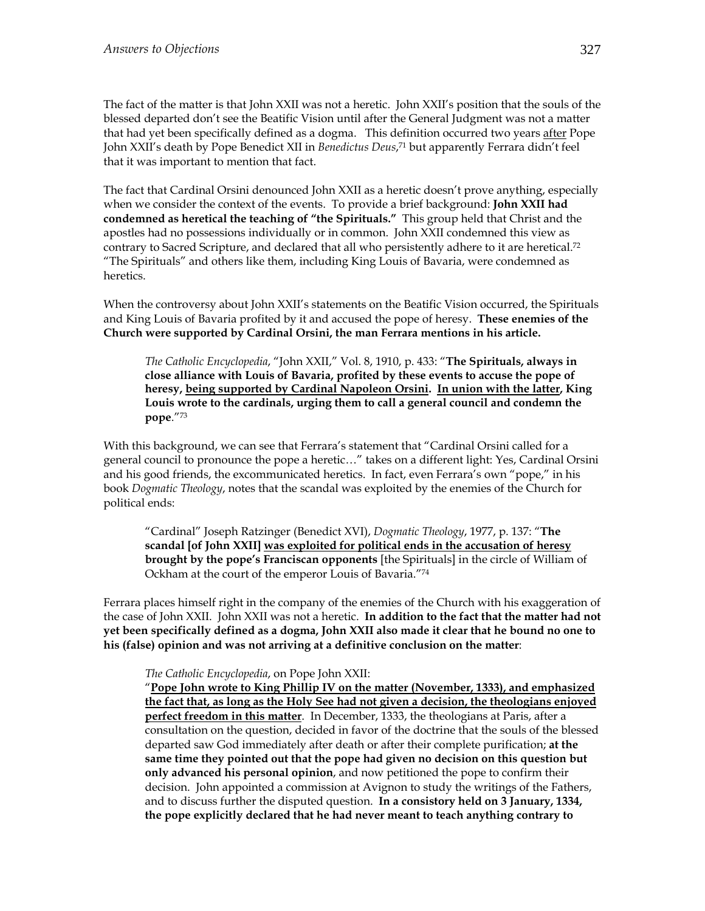The fact of the matter is that John XXII was not a heretic. John XXII's position that the souls of the blessed departed don't see the Beatific Vision until after the General Judgment was not a matter that had yet been specifically defined as a dogma. This definition occurred two years after Pope John XXII's death by Pope Benedict XII in *Benedictus Deus*, 71 but apparently Ferrara didn't feel that it was important to mention that fact.

The fact that Cardinal Orsini denounced John XXII as a heretic doesn't prove anything, especially when we consider the context of the events. To provide a brief background: **John XXII had condemned as heretical the teaching of "the Spirituals."** This group held that Christ and the apostles had no possessions individually or in common. John XXII condemned this view as contrary to Sacred Scripture, and declared that all who persistently adhere to it are heretical.<sup>72</sup> "The Spirituals" and others like them, including King Louis of Bavaria, were condemned as heretics.

When the controversy about John XXII's statements on the Beatific Vision occurred, the Spirituals and King Louis of Bavaria profited by it and accused the pope of heresy. **These enemies of the Church were supported by Cardinal Orsini, the man Ferrara mentions in his article.** 

*The Catholic Encyclopedia*, "John XXII," Vol. 8, 1910, p. 433: "**The Spirituals, always in close alliance with Louis of Bavaria, profited by these events to accuse the pope of heresy, being supported by Cardinal Napoleon Orsini. In union with the latter, King Louis wrote to the cardinals, urging them to call a general council and condemn the pope**."73

With this background, we can see that Ferrara's statement that "Cardinal Orsini called for a general council to pronounce the pope a heretic…" takes on a different light: Yes, Cardinal Orsini and his good friends, the excommunicated heretics. In fact, even Ferrara's own "pope," in his book *Dogmatic Theology*, notes that the scandal was exploited by the enemies of the Church for political ends:

"Cardinal" Joseph Ratzinger (Benedict XVI), *Dogmatic Theology*, 1977, p. 137: "**The scandal [of John XXII] was exploited for political ends in the accusation of heresy brought by the pope's Franciscan opponents** [the Spirituals] in the circle of William of Ockham at the court of the emperor Louis of Bavaria."74

Ferrara places himself right in the company of the enemies of the Church with his exaggeration of the case of John XXII. John XXII was not a heretic. **In addition to the fact that the matter had not yet been specifically defined as a dogma, John XXII also made it clear that he bound no one to his (false) opinion and was not arriving at a definitive conclusion on the matter**:

#### *The Catholic Encyclopedia*, on Pope John XXII:

"**Pope John wrote to King Phillip IV on the matter (November, 1333), and emphasized the fact that, as long as the Holy See had not given a decision, the theologians enjoyed perfect freedom in this matter**. In December, 1333, the theologians at Paris, after a consultation on the question, decided in favor of the doctrine that the souls of the blessed departed saw God immediately after death or after their complete purification; **at the same time they pointed out that the pope had given no decision on this question but only advanced his personal opinion**, and now petitioned the pope to confirm their decision. John appointed a commission at Avignon to study the writings of the Fathers, and to discuss further the disputed question. **In a consistory held on 3 January, 1334, the pope explicitly declared that he had never meant to teach anything contrary to**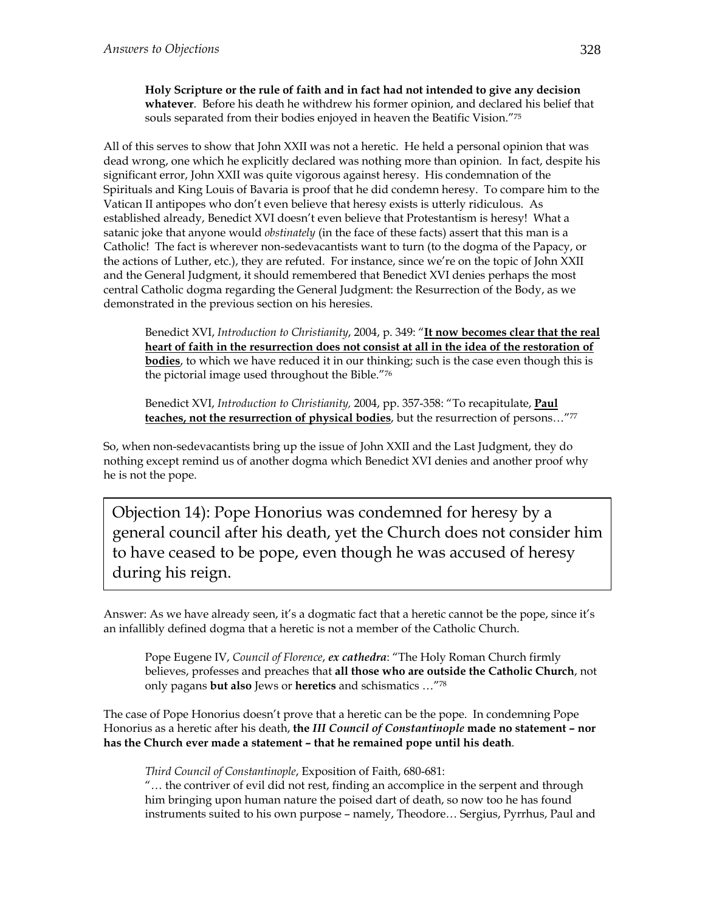**Holy Scripture or the rule of faith and in fact had not intended to give any decision whatever**. Before his death he withdrew his former opinion, and declared his belief that souls separated from their bodies enjoyed in heaven the Beatific Vision."75

All of this serves to show that John XXII was not a heretic. He held a personal opinion that was dead wrong, one which he explicitly declared was nothing more than opinion. In fact, despite his significant error, John XXII was quite vigorous against heresy. His condemnation of the Spirituals and King Louis of Bavaria is proof that he did condemn heresy. To compare him to the Vatican II antipopes who don't even believe that heresy exists is utterly ridiculous. As established already, Benedict XVI doesn't even believe that Protestantism is heresy! What a satanic joke that anyone would *obstinately* (in the face of these facts) assert that this man is a Catholic! The fact is wherever non-sedevacantists want to turn (to the dogma of the Papacy, or the actions of Luther, etc.), they are refuted. For instance, since we're on the topic of John XXII and the General Judgment, it should remembered that Benedict XVI denies perhaps the most central Catholic dogma regarding the General Judgment: the Resurrection of the Body, as we demonstrated in the previous section on his heresies.

Benedict XVI, *Introduction to Christianity*, 2004, p. 349: "**It now becomes clear that the real heart of faith in the resurrection does not consist at all in the idea of the restoration of bodies**, to which we have reduced it in our thinking; such is the case even though this is the pictorial image used throughout the Bible."76

Benedict XVI, *Introduction to Christianity,* 2004, pp. 357-358: "To recapitulate, **Paul teaches, not the resurrection of physical bodies**, but the resurrection of persons…"77

So, when non-sedevacantists bring up the issue of John XXII and the Last Judgment, they do nothing except remind us of another dogma which Benedict XVI denies and another proof why he is not the pope.

Objection 14): Pope Honorius was condemned for heresy by a general council after his death, yet the Church does not consider him to have ceased to be pope, even though he was accused of heresy during his reign.

Answer: As we have already seen, it's a dogmatic fact that a heretic cannot be the pope, since it's an infallibly defined dogma that a heretic is not a member of the Catholic Church.

Pope Eugene IV, *Council of Florence*, *ex cathedra*: "The Holy Roman Church firmly believes, professes and preaches that **all those who are outside the Catholic Church**, not only pagans **but also** Jews or **heretics** and schismatics …"78

The case of Pope Honorius doesn't prove that a heretic can be the pope. In condemning Pope Honorius as a heretic after his death, **the** *III Council of Constantinople* **made no statement – nor has the Church ever made a statement – that he remained pope until his death**.

*Third Council of Constantinople*, Exposition of Faith, 680-681:

"… the contriver of evil did not rest, finding an accomplice in the serpent and through him bringing upon human nature the poised dart of death, so now too he has found instruments suited to his own purpose – namely, Theodore… Sergius, Pyrrhus, Paul and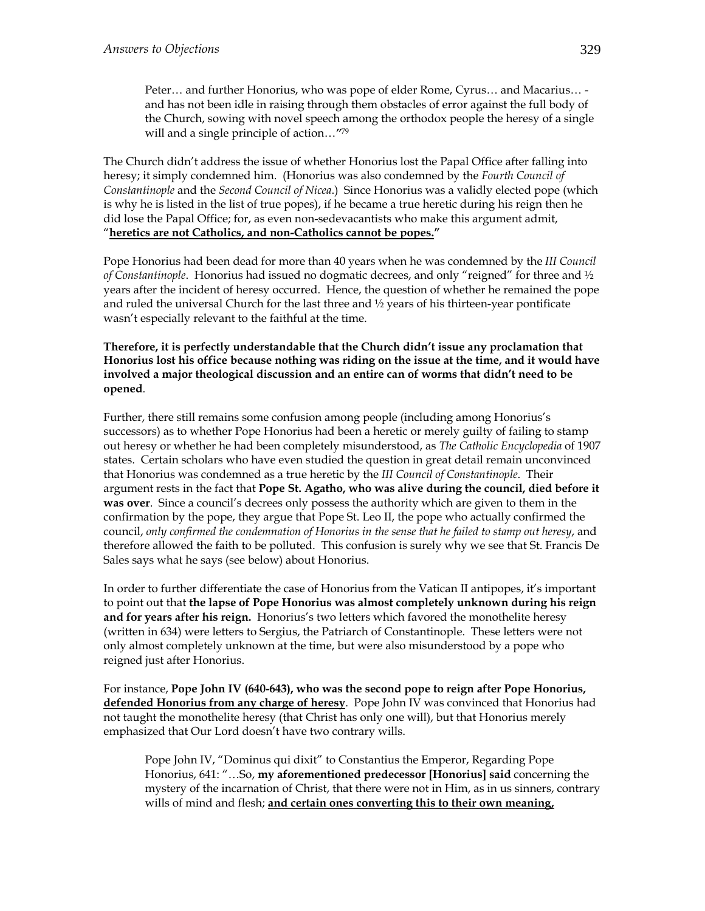Peter… and further Honorius, who was pope of elder Rome, Cyrus… and Macarius… and has not been idle in raising through them obstacles of error against the full body of the Church, sowing with novel speech among the orthodox people the heresy of a single will and a single principle of action…*"*<sup>79</sup>

The Church didn't address the issue of whether Honorius lost the Papal Office after falling into heresy; it simply condemned him. (Honorius was also condemned by the *Fourth Council of Constantinople* and the *Second Council of Nicea*.) Since Honorius was a validly elected pope (which is why he is listed in the list of true popes), if he became a true heretic during his reign then he did lose the Papal Office; for, as even non-sedevacantists who make this argument admit, "**heretics are not Catholics, and non-Catholics cannot be popes."** 

Pope Honorius had been dead for more than 40 years when he was condemned by the *III Council of Constantinople*. Honorius had issued no dogmatic decrees, and only "reigned" for three and ½ years after the incident of heresy occurred. Hence, the question of whether he remained the pope and ruled the universal Church for the last three and  $\frac{1}{2}$  years of his thirteen-year pontificate wasn't especially relevant to the faithful at the time.

**Therefore, it is perfectly understandable that the Church didn't issue any proclamation that Honorius lost his office because nothing was riding on the issue at the time, and it would have involved a major theological discussion and an entire can of worms that didn't need to be opened**.

Further, there still remains some confusion among people (including among Honorius's successors) as to whether Pope Honorius had been a heretic or merely guilty of failing to stamp out heresy or whether he had been completely misunderstood, as *The Catholic Encyclopedia* of 1907 states. Certain scholars who have even studied the question in great detail remain unconvinced that Honorius was condemned as a true heretic by the *III Council of Constantinople*. Their argument rests in the fact that **Pope St. Agatho, who was alive during the council, died before it was over**. Since a council's decrees only possess the authority which are given to them in the confirmation by the pope, they argue that Pope St. Leo II, the pope who actually confirmed the council, *only confirmed the condemnation of Honorius in the sense that he failed to stamp out heresy*, and therefore allowed the faith to be polluted. This confusion is surely why we see that St. Francis De Sales says what he says (see below) about Honorius.

In order to further differentiate the case of Honorius from the Vatican II antipopes, it's important to point out that **the lapse of Pope Honorius was almost completely unknown during his reign and for years after his reign.** Honorius's two letters which favored the monothelite heresy (written in 634) were letters to Sergius, the Patriarch of Constantinople. These letters were not only almost completely unknown at the time, but were also misunderstood by a pope who reigned just after Honorius.

For instance, **Pope John IV (640-643), who was the second pope to reign after Pope Honorius, defended Honorius from any charge of heresy**. Pope John IV was convinced that Honorius had not taught the monothelite heresy (that Christ has only one will), but that Honorius merely emphasized that Our Lord doesn't have two contrary wills.

Pope John IV, "Dominus qui dixit" to Constantius the Emperor, Regarding Pope Honorius, 641: "…So, **my aforementioned predecessor [Honorius] said** concerning the mystery of the incarnation of Christ, that there were not in Him, as in us sinners, contrary wills of mind and flesh; **and certain ones converting this to their own meaning,**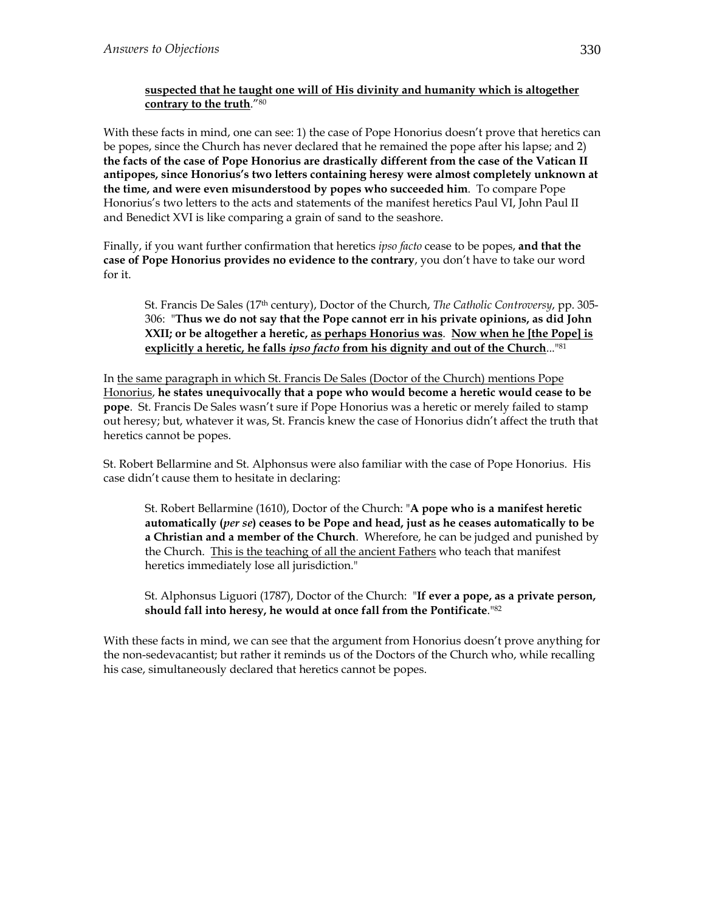#### **suspected that he taught one will of His divinity and humanity which is altogether contrary to the truth**."80

With these facts in mind, one can see: 1) the case of Pope Honorius doesn't prove that heretics can be popes, since the Church has never declared that he remained the pope after his lapse; and 2) **the facts of the case of Pope Honorius are drastically different from the case of the Vatican II antipopes, since Honorius's two letters containing heresy were almost completely unknown at the time, and were even misunderstood by popes who succeeded him**. To compare Pope Honorius's two letters to the acts and statements of the manifest heretics Paul VI, John Paul II and Benedict XVI is like comparing a grain of sand to the seashore.

Finally, if you want further confirmation that heretics *ipso facto* cease to be popes, **and that the case of Pope Honorius provides no evidence to the contrary**, you don't have to take our word for it.

St. Francis De Sales (17th century), Doctor of the Church, *The Catholic Controversy*, pp. 305- 306: "**Thus we do not say that the Pope cannot err in his private opinions, as did John XXII; or be altogether a heretic, as perhaps Honorius was**. **Now when he [the Pope] is explicitly a heretic, he falls** *ipso facto* **from his dignity and out of the Church**..."81

In the same paragraph in which St. Francis De Sales (Doctor of the Church) mentions Pope Honorius, **he states unequivocally that a pope who would become a heretic would cease to be pope**. St. Francis De Sales wasn't sure if Pope Honorius was a heretic or merely failed to stamp out heresy; but, whatever it was, St. Francis knew the case of Honorius didn't affect the truth that heretics cannot be popes.

St. Robert Bellarmine and St. Alphonsus were also familiar with the case of Pope Honorius. His case didn't cause them to hesitate in declaring:

St. Robert Bellarmine (1610), Doctor of the Church: "**A pope who is a manifest heretic automatically (***per se***) ceases to be Pope and head, just as he ceases automatically to be a Christian and a member of the Church**. Wherefore, he can be judged and punished by the Church. This is the teaching of all the ancient Fathers who teach that manifest heretics immediately lose all jurisdiction."

St. Alphonsus Liguori (1787), Doctor of the Church: "**If ever a pope, as a private person, should fall into heresy, he would at once fall from the Pontificate**."82

With these facts in mind, we can see that the argument from Honorius doesn't prove anything for the non-sedevacantist; but rather it reminds us of the Doctors of the Church who, while recalling his case, simultaneously declared that heretics cannot be popes.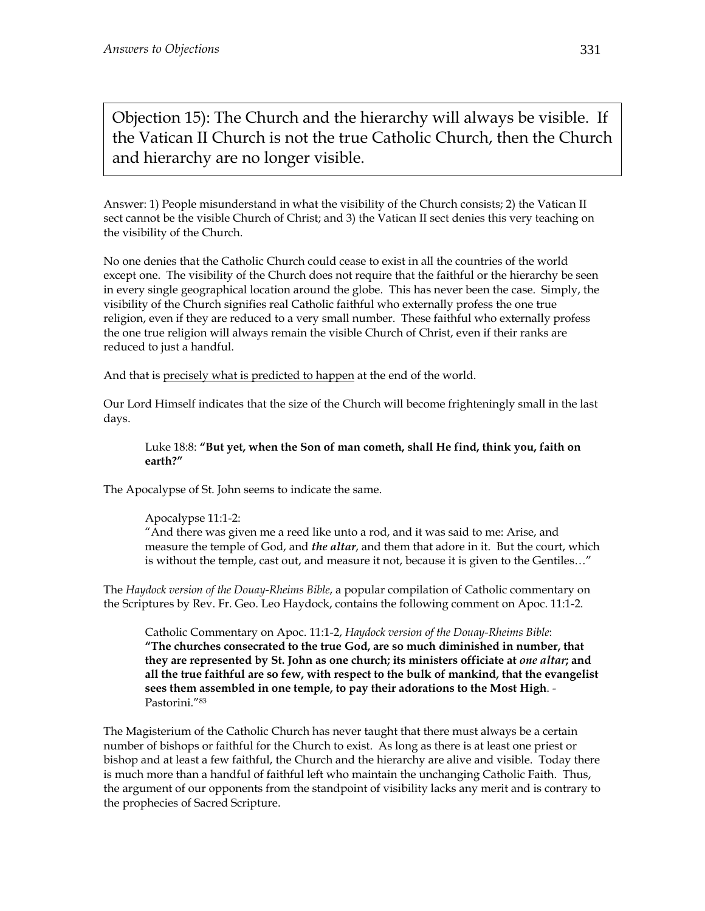Objection 15): The Church and the hierarchy will always be visible. If the Vatican II Church is not the true Catholic Church, then the Church and hierarchy are no longer visible.

Answer: 1) People misunderstand in what the visibility of the Church consists; 2) the Vatican II sect cannot be the visible Church of Christ; and 3) the Vatican II sect denies this very teaching on the visibility of the Church.

No one denies that the Catholic Church could cease to exist in all the countries of the world except one. The visibility of the Church does not require that the faithful or the hierarchy be seen in every single geographical location around the globe. This has never been the case. Simply, the visibility of the Church signifies real Catholic faithful who externally profess the one true religion, even if they are reduced to a very small number. These faithful who externally profess the one true religion will always remain the visible Church of Christ, even if their ranks are reduced to just a handful.

And that is precisely what is predicted to happen at the end of the world.

Our Lord Himself indicates that the size of the Church will become frighteningly small in the last days.

#### Luke 18:8: **"But yet, when the Son of man cometh, shall He find, think you, faith on earth?"**

The Apocalypse of St. John seems to indicate the same.

Apocalypse 11:1-2:

"And there was given me a reed like unto a rod, and it was said to me: Arise, and measure the temple of God, and *the altar*, and them that adore in it. But the court, which is without the temple, cast out, and measure it not, because it is given to the Gentiles…"

The *Haydock version of the Douay-Rheims Bible*, a popular compilation of Catholic commentary on the Scriptures by Rev. Fr. Geo. Leo Haydock, contains the following comment on Apoc. 11:1-2.

Catholic Commentary on Apoc. 11:1-2, *Haydock version of the Douay-Rheims Bible*: **"The churches consecrated to the true God, are so much diminished in number, that they are represented by St. John as one church; its ministers officiate at** *one altar***; and all the true faithful are so few, with respect to the bulk of mankind, that the evangelist sees them assembled in one temple, to pay their adorations to the Most High**. - Pastorini."83

The Magisterium of the Catholic Church has never taught that there must always be a certain number of bishops or faithful for the Church to exist. As long as there is at least one priest or bishop and at least a few faithful, the Church and the hierarchy are alive and visible. Today there is much more than a handful of faithful left who maintain the unchanging Catholic Faith. Thus, the argument of our opponents from the standpoint of visibility lacks any merit and is contrary to the prophecies of Sacred Scripture.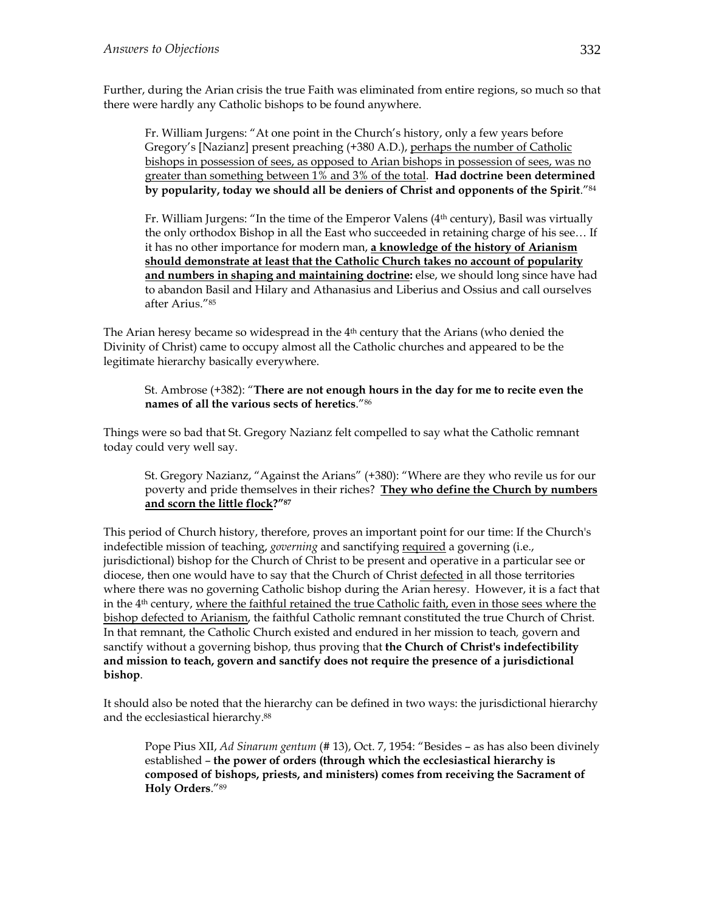Further, during the Arian crisis the true Faith was eliminated from entire regions, so much so that there were hardly any Catholic bishops to be found anywhere.

Fr. William Jurgens: "At one point in the Church's history, only a few years before Gregory's [Nazianz] present preaching (+380 A.D.), perhaps the number of Catholic bishops in possession of sees, as opposed to Arian bishops in possession of sees, was no greater than something between 1% and 3% of the total. **Had doctrine been determined by popularity, today we should all be deniers of Christ and opponents of the Spirit**."84

Fr. William Jurgens: "In the time of the Emperor Valens  $(4<sup>th</sup>$  century), Basil was virtually the only orthodox Bishop in all the East who succeeded in retaining charge of his see… If it has no other importance for modern man, **a knowledge of the history of Arianism should demonstrate at least that the Catholic Church takes no account of popularity and numbers in shaping and maintaining doctrine:** else, we should long since have had to abandon Basil and Hilary and Athanasius and Liberius and Ossius and call ourselves after Arius."85

The Arian heresy became so widespread in the  $4<sup>th</sup>$  century that the Arians (who denied the Divinity of Christ) came to occupy almost all the Catholic churches and appeared to be the legitimate hierarchy basically everywhere.

#### St. Ambrose (+382): "**There are not enough hours in the day for me to recite even the names of all the various sects of heretics**."86

Things were so bad that St. Gregory Nazianz felt compelled to say what the Catholic remnant today could very well say.

St. Gregory Nazianz, "Against the Arians" (+380): "Where are they who revile us for our poverty and pride themselves in their riches? **They who define the Church by numbers and scorn the little flock?"87**

This period of Church history, therefore, proves an important point for our time: If the Church's indefectible mission of teaching, *governing* and sanctifying required a governing (i.e., jurisdictional) bishop for the Church of Christ to be present and operative in a particular see or diocese, then one would have to say that the Church of Christ defected in all those territories where there was no governing Catholic bishop during the Arian heresy. However, it is a fact that in the 4th century, where the faithful retained the true Catholic faith, even in those sees where the bishop defected to Arianism, the faithful Catholic remnant constituted the true Church of Christ. In that remnant, the Catholic Church existed and endured in her mission to teach*,* govern and sanctify without a governing bishop, thus proving that **the Church of Christ's indefectibility and mission to teach, govern and sanctify does not require the presence of a jurisdictional bishop**.

It should also be noted that the hierarchy can be defined in two ways: the jurisdictional hierarchy and the ecclesiastical hierarchy.88

Pope Pius XII, *Ad Sinarum gentum* (# 13), Oct. 7, 1954: "Besides – as has also been divinely established – **the power of orders (through which the ecclesiastical hierarchy is composed of bishops, priests, and ministers) comes from receiving the Sacrament of Holy Orders**."89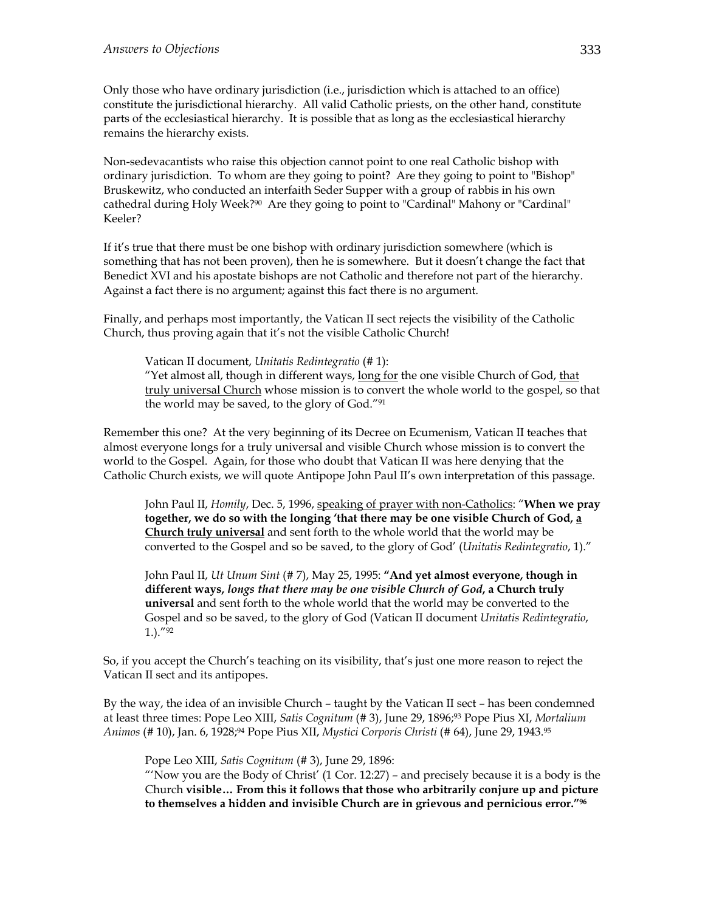Only those who have ordinary jurisdiction (i.e., jurisdiction which is attached to an office) constitute the jurisdictional hierarchy. All valid Catholic priests, on the other hand, constitute parts of the ecclesiastical hierarchy. It is possible that as long as the ecclesiastical hierarchy remains the hierarchy exists.

Non-sedevacantists who raise this objection cannot point to one real Catholic bishop with ordinary jurisdiction. To whom are they going to point? Are they going to point to "Bishop" Bruskewitz, who conducted an interfaith Seder Supper with a group of rabbis in his own cathedral during Holy Week?90 Are they going to point to "Cardinal" Mahony or "Cardinal" Keeler?

If it's true that there must be one bishop with ordinary jurisdiction somewhere (which is something that has not been proven), then he is somewhere. But it doesn't change the fact that Benedict XVI and his apostate bishops are not Catholic and therefore not part of the hierarchy. Against a fact there is no argument; against this fact there is no argument.

Finally, and perhaps most importantly, the Vatican II sect rejects the visibility of the Catholic Church, thus proving again that it's not the visible Catholic Church!

Vatican II document, *Unitatis Redintegratio* (# 1):

"Yet almost all, though in different ways, long for the one visible Church of God, that truly universal Church whose mission is to convert the whole world to the gospel, so that the world may be saved, to the glory of God."91

Remember this one? At the very beginning of its Decree on Ecumenism, Vatican II teaches that almost everyone longs for a truly universal and visible Church whose mission is to convert the world to the Gospel. Again, for those who doubt that Vatican II was here denying that the Catholic Church exists, we will quote Antipope John Paul II's own interpretation of this passage.

John Paul II, *Homily*, Dec. 5, 1996, speaking of prayer with non-Catholics: "**When we pray together, we do so with the longing 'that there may be one visible Church of God, a Church truly universal** and sent forth to the whole world that the world may be converted to the Gospel and so be saved, to the glory of God' (*Unitatis Redintegratio*, 1)."

John Paul II, *Ut Unum Sint* (# 7), May 25, 1995: **"And yet almost everyone, though in different ways,** *longs that there may be one visible Church of God***, a Church truly universal** and sent forth to the whole world that the world may be converted to the Gospel and so be saved, to the glory of God (Vatican II document *Unitatis Redintegratio*, 1.)."92

So, if you accept the Church's teaching on its visibility, that's just one more reason to reject the Vatican II sect and its antipopes.

By the way, the idea of an invisible Church – taught by the Vatican II sect – has been condemned at least three times: Pope Leo XIII, *Satis Cognitum* (# 3), June 29, 1896;93 Pope Pius XI, *Mortalium Animos* (# 10), Jan. 6, 1928;94 Pope Pius XII, *Mystici Corporis Christi* (# 64), June 29, 1943.95

Pope Leo XIII, *Satis Cognitum* (# 3), June 29, 1896:

"Now you are the Body of Christ"  $(1$  Cor. 12:27) – and precisely because it is a body is the Church **visible… From this it follows that those who arbitrarily conjure up and picture to themselves a hidden and invisible Church are in grievous and pernicious error."96**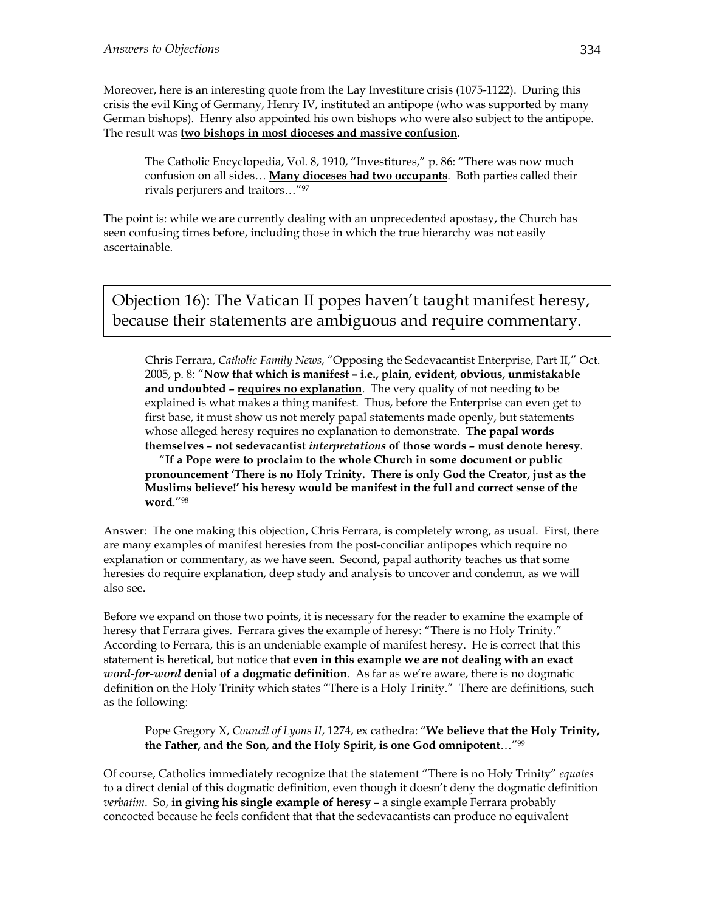Moreover, here is an interesting quote from the Lay Investiture crisis (1075-1122). During this crisis the evil King of Germany, Henry IV, instituted an antipope (who was supported by many German bishops). Henry also appointed his own bishops who were also subject to the antipope. The result was **two bishops in most dioceses and massive confusion**.

The Catholic Encyclopedia, Vol. 8, 1910, "Investitures," p. 86: "There was now much confusion on all sides… **Many dioceses had two occupants**. Both parties called their rivals perjurers and traitors…"97

The point is: while we are currently dealing with an unprecedented apostasy, the Church has seen confusing times before, including those in which the true hierarchy was not easily ascertainable.

Objection 16): The Vatican II popes haven't taught manifest heresy, because their statements are ambiguous and require commentary.

Chris Ferrara, *Catholic Family News*, "Opposing the Sedevacantist Enterprise, Part II," Oct. 2005, p. 8: "**Now that which is manifest – i.e., plain, evident, obvious, unmistakable and undoubted – requires no explanation**. The very quality of not needing to be explained is what makes a thing manifest. Thus, before the Enterprise can even get to first base, it must show us not merely papal statements made openly, but statements whose alleged heresy requires no explanation to demonstrate. **The papal words themselves – not sedevacantist** *interpretations* **of those words – must denote heresy**.

 "**If a Pope were to proclaim to the whole Church in some document or public pronouncement 'There is no Holy Trinity. There is only God the Creator, just as the Muslims believe!' his heresy would be manifest in the full and correct sense of the word**."98

Answer: The one making this objection, Chris Ferrara, is completely wrong, as usual. First, there are many examples of manifest heresies from the post-conciliar antipopes which require no explanation or commentary, as we have seen. Second, papal authority teaches us that some heresies do require explanation, deep study and analysis to uncover and condemn, as we will also see.

Before we expand on those two points, it is necessary for the reader to examine the example of heresy that Ferrara gives. Ferrara gives the example of heresy: "There is no Holy Trinity." According to Ferrara, this is an undeniable example of manifest heresy. He is correct that this statement is heretical, but notice that **even in this example we are not dealing with an exact**  *word-for-word* **denial of a dogmatic definition**. As far as we're aware, there is no dogmatic definition on the Holy Trinity which states "There is a Holy Trinity." There are definitions, such as the following:

Pope Gregory X, *Council of Lyons II*, 1274, ex cathedra: "**We believe that the Holy Trinity, the Father, and the Son, and the Holy Spirit, is one God omnipotent**…"99

Of course, Catholics immediately recognize that the statement "There is no Holy Trinity" *equates* to a direct denial of this dogmatic definition, even though it doesn't deny the dogmatic definition *verbatim*. So, **in giving his single example of heresy** – a single example Ferrara probably concocted because he feels confident that that the sedevacantists can produce no equivalent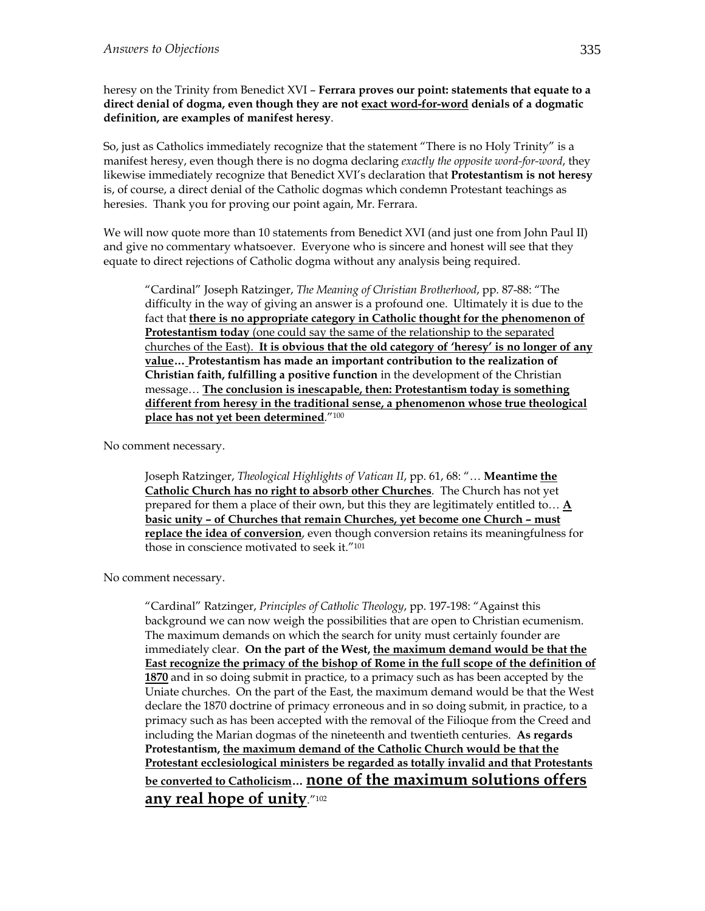heresy on the Trinity from Benedict XVI – **Ferrara proves our point: statements that equate to a direct denial of dogma, even though they are not exact word-for-word denials of a dogmatic definition, are examples of manifest heresy**.

So, just as Catholics immediately recognize that the statement "There is no Holy Trinity" is a manifest heresy, even though there is no dogma declaring *exactly the opposite word-for-word*, they likewise immediately recognize that Benedict XVI's declaration that **Protestantism is not heresy** is, of course, a direct denial of the Catholic dogmas which condemn Protestant teachings as heresies. Thank you for proving our point again, Mr. Ferrara.

We will now quote more than 10 statements from Benedict XVI (and just one from John Paul II) and give no commentary whatsoever. Everyone who is sincere and honest will see that they equate to direct rejections of Catholic dogma without any analysis being required.

"Cardinal" Joseph Ratzinger, *The Meaning of Christian Brotherhood*, pp. 87-88: "The difficulty in the way of giving an answer is a profound one. Ultimately it is due to the fact that **there is no appropriate category in Catholic thought for the phenomenon of Protestantism today** (one could say the same of the relationship to the separated churches of the East). **It is obvious that the old category of 'heresy' is no longer of any value… Protestantism has made an important contribution to the realization of Christian faith, fulfilling a positive function** in the development of the Christian message… **The conclusion is inescapable, then: Protestantism today is something different from heresy in the traditional sense, a phenomenon whose true theological place has not yet been determined**."100

No comment necessary.

Joseph Ratzinger, *Theological Highlights of Vatican II*, pp. 61, 68: "… **Meantime the Catholic Church has no right to absorb other Churches**. The Church has not yet prepared for them a place of their own, but this they are legitimately entitled to… **A basic unity – of Churches that remain Churches, yet become one Church – must replace the idea of conversion**, even though conversion retains its meaningfulness for those in conscience motivated to seek it."101

No comment necessary.

"Cardinal" Ratzinger, *Principles of Catholic Theology*, pp. 197-198: "Against this background we can now weigh the possibilities that are open to Christian ecumenism. The maximum demands on which the search for unity must certainly founder are immediately clear. **On the part of the West, the maximum demand would be that the East recognize the primacy of the bishop of Rome in the full scope of the definition of 1870** and in so doing submit in practice, to a primacy such as has been accepted by the Uniate churches.On the part of the East, the maximum demand would be that the West declare the 1870 doctrine of primacy erroneous and in so doing submit, in practice, to a primacy such as has been accepted with the removal of the Filioque from the Creed and including the Marian dogmas of the nineteenth and twentieth centuries. **As regards Protestantism, the maximum demand of the Catholic Church would be that the Protestant ecclesiological ministers be regarded as totally invalid and that Protestants be converted to Catholicism… none of the maximum solutions offers any real hope of unity**."102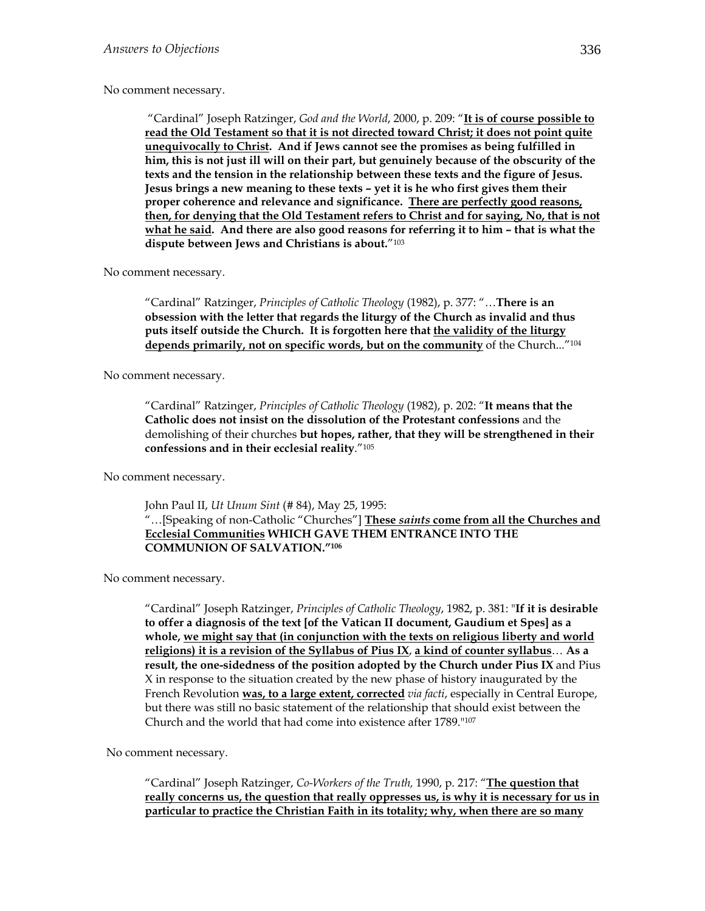#### No comment necessary.

 "Cardinal" Joseph Ratzinger, *God and the World*, 2000, p. 209: "**It is of course possible to read the Old Testament so that it is not directed toward Christ; it does not point quite unequivocally to Christ. And if Jews cannot see the promises as being fulfilled in him, this is not just ill will on their part, but genuinely because of the obscurity of the texts and the tension in the relationship between these texts and the figure of Jesus. Jesus brings a new meaning to these texts – yet it is he who first gives them their proper coherence and relevance and significance. There are perfectly good reasons, then, for denying that the Old Testament refers to Christ and for saying, No, that is not what he said. And there are also good reasons for referring it to him – that is what the dispute between Jews and Christians is about.**"103

No comment necessary.

"Cardinal" Ratzinger, *Principles of Catholic Theology* (1982), p. 377: "…**There is an obsession with the letter that regards the liturgy of the Church as invalid and thus puts itself outside the Church. It is forgotten here that the validity of the liturgy depends primarily, not on specific words, but on the community** of the Church..."104

No comment necessary.

"Cardinal" Ratzinger, *Principles of Catholic Theology* (1982), p. 202: "**It means that the Catholic does not insist on the dissolution of the Protestant confessions** and the demolishing of their churches **but hopes, rather, that they will be strengthened in their confessions and in their ecclesial reality**."105

No comment necessary.

John Paul II, *Ut Unum Sint* (# 84), May 25, 1995: "…[Speaking of non-Catholic "Churches"] **These** *saints* **come from all the Churches and Ecclesial Communities WHICH GAVE THEM ENTRANCE INTO THE COMMUNION OF SALVATION."106**

No comment necessary.

"Cardinal" Joseph Ratzinger, *Principles of Catholic Theology*, 1982, p. 381: "**If it is desirable to offer a diagnosis of the text [of the Vatican II document, Gaudium et Spes] as a whole, we might say that (in conjunction with the texts on religious liberty and world religions) it is a revision of the Syllabus of Pius IX**, **a kind of counter syllabus**… **As a result, the one-sidedness of the position adopted by the Church under Pius IX** and Pius X in response to the situation created by the new phase of history inaugurated by the French Revolution **was, to a large extent, corrected** *via facti*, especially in Central Europe, but there was still no basic statement of the relationship that should exist between the Church and the world that had come into existence after 1789."107

No comment necessary.

"Cardinal" Joseph Ratzinger, *Co-Workers of the Truth,* 1990, p. 217: "**The question that really concerns us, the question that really oppresses us, is why it is necessary for us in particular to practice the Christian Faith in its totality; why, when there are so many**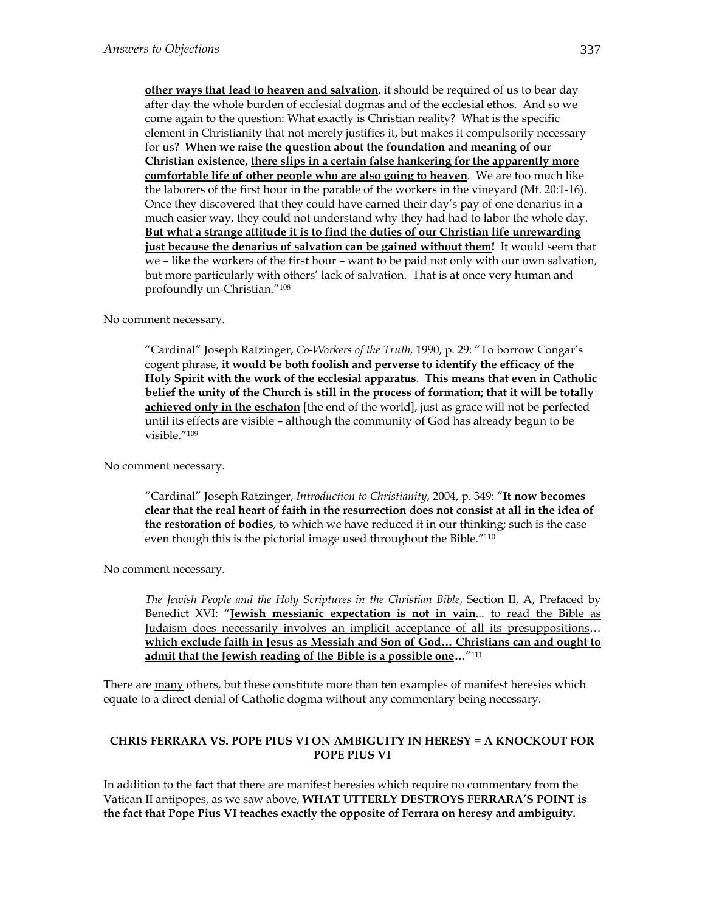**other ways that lead to heaven and salvation**, it should be required of us to bear day after day the whole burden of ecclesial dogmas and of the ecclesial ethos. And so we come again to the question: What exactly is Christian reality? What is the specific element in Christianity that not merely justifies it, but makes it compulsorily necessary for us? **When we raise the question about the foundation and meaning of our Christian existence, there slips in a certain false hankering for the apparently more comfortable life of other people who are also going to heaven**. We are too much like the laborers of the first hour in the parable of the workers in the vineyard (Mt. 20:1-16). Once they discovered that they could have earned their day's pay of one denarius in a much easier way, they could not understand why they had had to labor the whole day. **But what a strange attitude it is to find the duties of our Christian life unrewarding just because the denarius of salvation can be gained without them!** It would seem that we – like the workers of the first hour – want to be paid not only with our own salvation, but more particularly with others' lack of salvation. That is at once very human and profoundly un-Christian."108

No comment necessary.

"Cardinal" Joseph Ratzinger, *Co-Workers of the Truth,* 1990, p. 29: "To borrow Congar's cogent phrase, **it would be both foolish and perverse to identify the efficacy of the Holy Spirit with the work of the ecclesial apparatus**. **This means that even in Catholic belief the unity of the Church is still in the process of formation; that it will be totally achieved only in the eschaton** [the end of the world], just as grace will not be perfected until its effects are visible – although the community of God has already begun to be visible."109

No comment necessary.

"Cardinal" Joseph Ratzinger, *Introduction to Christianity*, 2004, p. 349: "**It now becomes clear that the real heart of faith in the resurrection does not consist at all in the idea of the restoration of bodies**, to which we have reduced it in our thinking; such is the case even though this is the pictorial image used throughout the Bible."110

No comment necessary.

*The Jewish People and the Holy Scriptures in the Christian Bible*, Section II, A, Prefaced by Benedict XVI: "**Jewish messianic expectation is not in vain**... to read the Bible as Judaism does necessarily involves an implicit acceptance of all its presuppositions… **which exclude faith in Jesus as Messiah and Son of God… Christians can and ought to admit that the Jewish reading of the Bible is a possible one…**"111

There are many others, but these constitute more than ten examples of manifest heresies which equate to a direct denial of Catholic dogma without any commentary being necessary.

#### **CHRIS FERRARA VS. POPE PIUS VI ON AMBIGUITY IN HERESY = A KNOCKOUT FOR POPE PIUS VI**

In addition to the fact that there are manifest heresies which require no commentary from the Vatican II antipopes, as we saw above, **WHAT UTTERLY DESTROYS FERRARA'S POINT is the fact that Pope Pius VI teaches exactly the opposite of Ferrara on heresy and ambiguity.**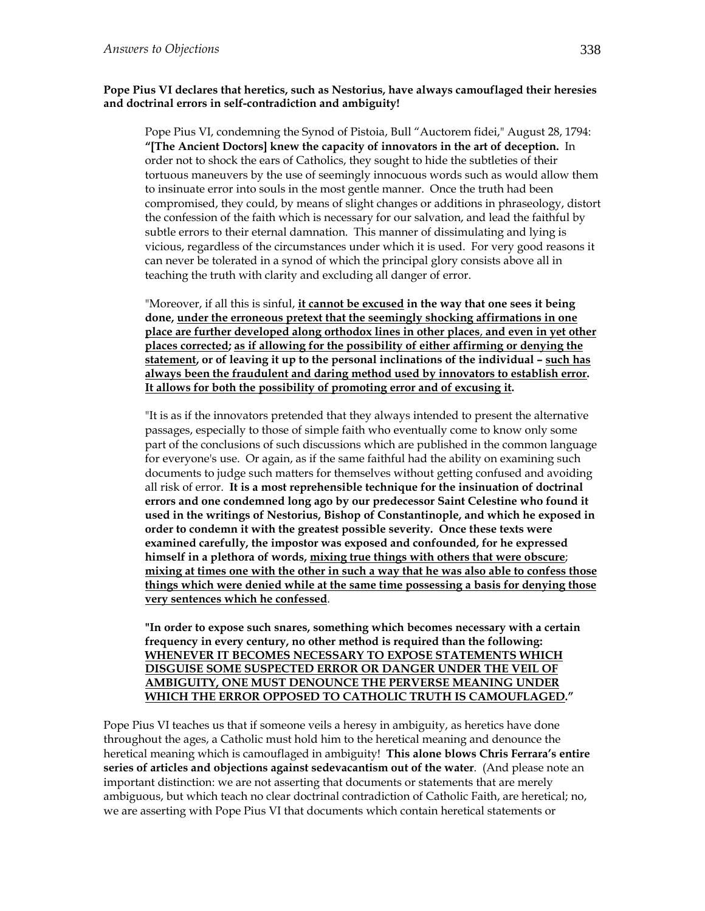#### **Pope Pius VI declares that heretics, such as Nestorius, have always camouflaged their heresies and doctrinal errors in self-contradiction and ambiguity!**

Pope Pius VI, condemning the Synod of Pistoia, Bull "Auctorem fidei," August 28, 1794: **"[The Ancient Doctors] knew the capacity of innovators in the art of deception.** In order not to shock the ears of Catholics, they sought to hide the subtleties of their tortuous maneuvers by the use of seemingly innocuous words such as would allow them to insinuate error into souls in the most gentle manner. Once the truth had been compromised, they could, by means of slight changes or additions in phraseology, distort the confession of the faith which is necessary for our salvation, and lead the faithful by subtle errors to their eternal damnation. This manner of dissimulating and lying is vicious, regardless of the circumstances under which it is used. For very good reasons it can never be tolerated in a synod of which the principal glory consists above all in teaching the truth with clarity and excluding all danger of error.

"Moreover, if all this is sinful, **it cannot be excused in the way that one sees it being done, under the erroneous pretext that the seemingly shocking affirmations in one place are further developed along orthodox lines in other places**, **and even in yet other places corrected; as if allowing for the possibility of either affirming or denying the statement, or of leaving it up to the personal inclinations of the individual – such has always been the fraudulent and daring method used by innovators to establish error. It allows for both the possibility of promoting error and of excusing it.** 

"It is as if the innovators pretended that they always intended to present the alternative passages, especially to those of simple faith who eventually come to know only some part of the conclusions of such discussions which are published in the common language for everyone's use. Or again, as if the same faithful had the ability on examining such documents to judge such matters for themselves without getting confused and avoiding all risk of error. **It is a most reprehensible technique for the insinuation of doctrinal errors and one condemned long ago by our predecessor Saint Celestine who found it used in the writings of Nestorius, Bishop of Constantinople, and which he exposed in order to condemn it with the greatest possible severity. Once these texts were examined carefully, the impostor was exposed and confounded, for he expressed himself in a plethora of words, mixing true things with others that were obscure**; **mixing at times one with the other in such a way that he was also able to confess those things which were denied while at the same time possessing a basis for denying those very sentences which he confessed**.

**"In order to expose such snares, something which becomes necessary with a certain frequency in every century, no other method is required than the following: WHENEVER IT BECOMES NECESSARY TO EXPOSE STATEMENTS WHICH DISGUISE SOME SUSPECTED ERROR OR DANGER UNDER THE VEIL OF AMBIGUITY, ONE MUST DENOUNCE THE PERVERSE MEANING UNDER WHICH THE ERROR OPPOSED TO CATHOLIC TRUTH IS CAMOUFLAGED."** 

Pope Pius VI teaches us that if someone veils a heresy in ambiguity, as heretics have done throughout the ages, a Catholic must hold him to the heretical meaning and denounce the heretical meaning which is camouflaged in ambiguity! **This alone blows Chris Ferrara's entire series of articles and objections against sedevacantism out of the water**. (And please note an important distinction: we are not asserting that documents or statements that are merely ambiguous, but which teach no clear doctrinal contradiction of Catholic Faith, are heretical; no, we are asserting with Pope Pius VI that documents which contain heretical statements or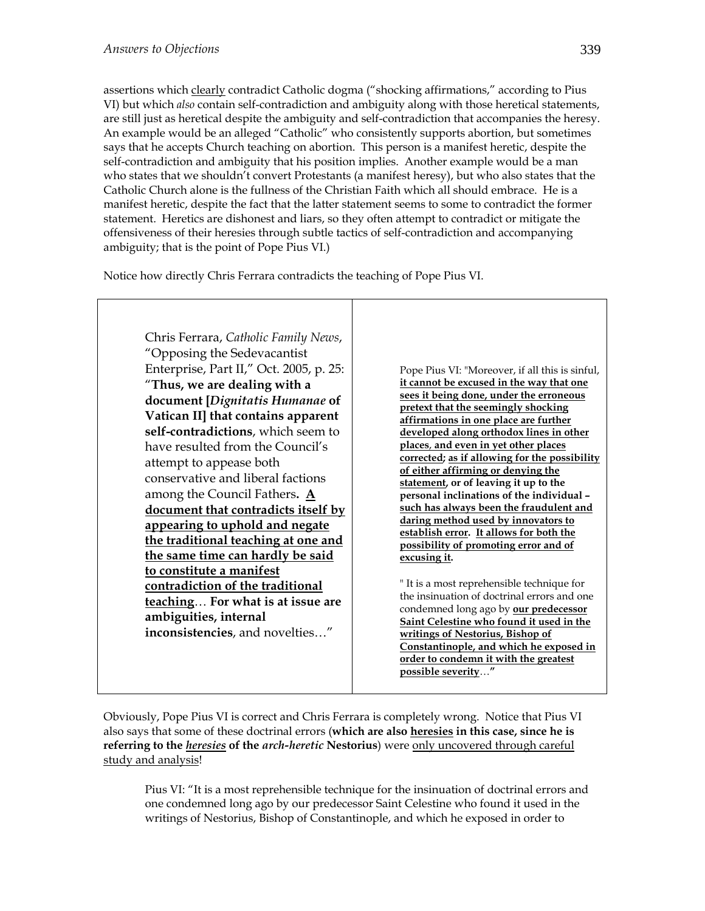assertions which clearly contradict Catholic dogma ("shocking affirmations," according to Pius VI) but which *also* contain self-contradiction and ambiguity along with those heretical statements, are still just as heretical despite the ambiguity and self-contradiction that accompanies the heresy. An example would be an alleged "Catholic" who consistently supports abortion, but sometimes says that he accepts Church teaching on abortion. This person is a manifest heretic, despite the self-contradiction and ambiguity that his position implies. Another example would be a man who states that we shouldn't convert Protestants (a manifest heresy), but who also states that the Catholic Church alone is the fullness of the Christian Faith which all should embrace. He is a manifest heretic, despite the fact that the latter statement seems to some to contradict the former statement. Heretics are dishonest and liars, so they often attempt to contradict or mitigate the offensiveness of their heresies through subtle tactics of self-contradiction and accompanying ambiguity; that is the point of Pope Pius VI.)

Notice how directly Chris Ferrara contradicts the teaching of Pope Pius VI.



Obviously, Pope Pius VI is correct and Chris Ferrara is completely wrong. Notice that Pius VI also says that some of these doctrinal errors (**which are also heresies in this case, since he is referring to the** *heresies* **of the** *arch-heretic* **Nestorius**) were only uncovered through careful study and analysis!

Pius VI: "It is a most reprehensible technique for the insinuation of doctrinal errors and one condemned long ago by our predecessor Saint Celestine who found it used in the writings of Nestorius, Bishop of Constantinople, and which he exposed in order to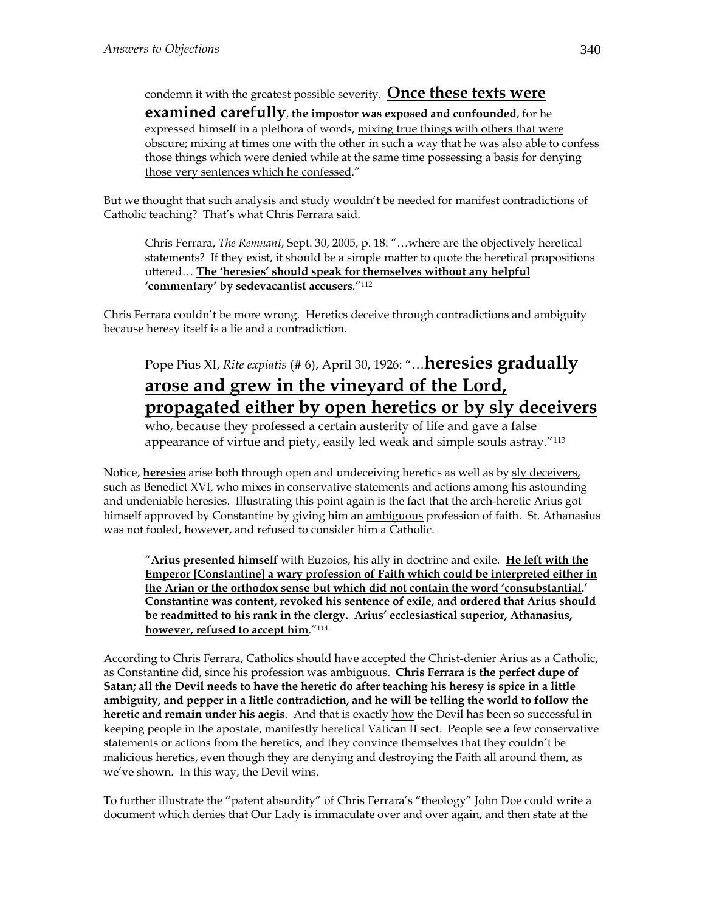### condemn it with the greatest possible severity. **Once these texts were**

**examined carefully**, **the impostor was exposed and confounded**, for he expressed himself in a plethora of words, mixing true things with others that were obscure; mixing at times one with the other in such a way that he was also able to confess those things which were denied while at the same time possessing a basis for denying those very sentences which he confessed."

But we thought that such analysis and study wouldn't be needed for manifest contradictions of Catholic teaching? That's what Chris Ferrara said.

Chris Ferrara, *The Remnant*, Sept. 30, 2005, p. 18: "…where are the objectively heretical statements? If they exist, it should be a simple matter to quote the heretical propositions uttered… **The 'heresies' should speak for themselves without any helpful 'commentary' by sedevacantist accusers**."112

Chris Ferrara couldn't be more wrong. Heretics deceive through contradictions and ambiguity because heresy itself is a lie and a contradiction.

### Pope Pius XI, *Rite expiatis* (# 6), April 30, 1926: "…**heresies gradually arose and grew in the vineyard of the Lord, propagated either by open heretics or by sly deceivers**

who, because they professed a certain austerity of life and gave a false appearance of virtue and piety, easily led weak and simple souls astray."113

Notice, **heresies** arise both through open and undeceiving heretics as well as by sly deceivers, such as Benedict XVI, who mixes in conservative statements and actions among his astounding and undeniable heresies. Illustrating this point again is the fact that the arch-heretic Arius got himself approved by Constantine by giving him an ambiguous profession of faith. St. Athanasius was not fooled, however, and refused to consider him a Catholic.

"**Arius presented himself** with Euzoios, his ally in doctrine and exile. **He left with the Emperor [Constantine] a wary profession of Faith which could be interpreted either in the Arian or the orthodox sense but which did not contain the word 'consubstantial.' Constantine was content, revoked his sentence of exile, and ordered that Arius should be readmitted to his rank in the clergy. Arius' ecclesiastical superior, Athanasius, however, refused to accept him**."114

According to Chris Ferrara, Catholics should have accepted the Christ-denier Arius as a Catholic, as Constantine did, since his profession was ambiguous. **Chris Ferrara is the perfect dupe of Satan; all the Devil needs to have the heretic do after teaching his heresy is spice in a little ambiguity, and pepper in a little contradiction, and he will be telling the world to follow the heretic and remain under his aegis**. And that is exactly how the Devil has been so successful in keeping people in the apostate, manifestly heretical Vatican II sect. People see a few conservative statements or actions from the heretics, and they convince themselves that they couldn't be malicious heretics, even though they are denying and destroying the Faith all around them, as we've shown. In this way, the Devil wins.

To further illustrate the "patent absurdity" of Chris Ferrara's "theology" John Doe could write a document which denies that Our Lady is immaculate over and over again, and then state at the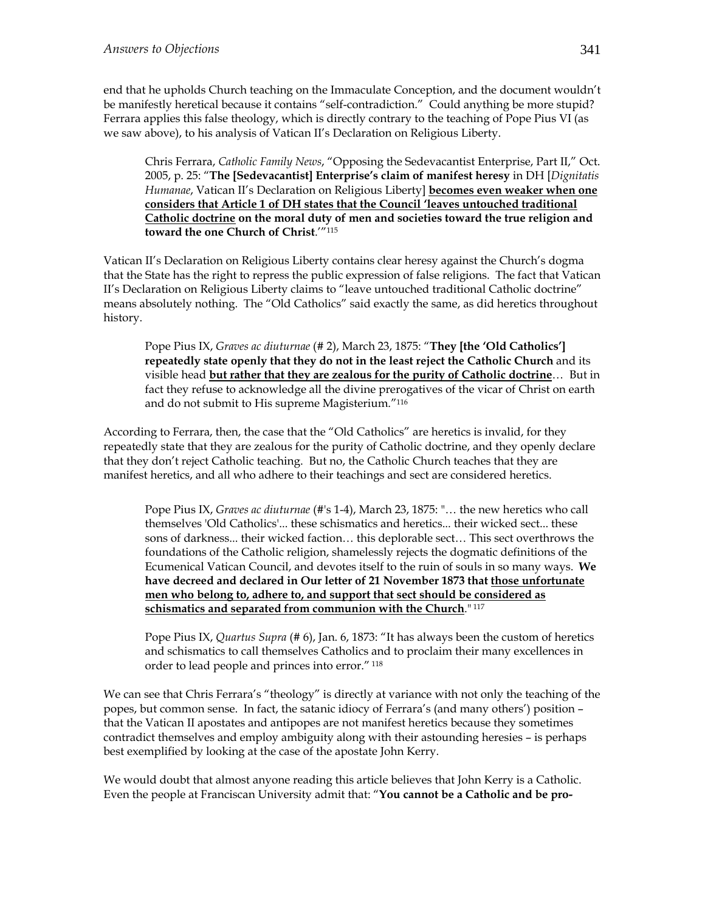end that he upholds Church teaching on the Immaculate Conception, and the document wouldn't be manifestly heretical because it contains "self-contradiction." Could anything be more stupid? Ferrara applies this false theology, which is directly contrary to the teaching of Pope Pius VI (as we saw above), to his analysis of Vatican II's Declaration on Religious Liberty.

Chris Ferrara, *Catholic Family News*, "Opposing the Sedevacantist Enterprise, Part II," Oct. 2005, p. 25: "**The [Sedevacantist] Enterprise's claim of manifest heresy** in DH [*Dignitatis Humanae*, Vatican II's Declaration on Religious Liberty] **becomes even weaker when one considers that Article 1 of DH states that the Council 'leaves untouched traditional Catholic doctrine on the moral duty of men and societies toward the true religion and toward the one Church of Christ**.'"115

Vatican II's Declaration on Religious Liberty contains clear heresy against the Church's dogma that the State has the right to repress the public expression of false religions. The fact that Vatican II's Declaration on Religious Liberty claims to "leave untouched traditional Catholic doctrine" means absolutely nothing. The "Old Catholics" said exactly the same, as did heretics throughout history.

Pope Pius IX, *Graves ac diuturnae* (# 2), March 23, 1875: "**They [the 'Old Catholics'] repeatedly state openly that they do not in the least reject the Catholic Church** and its visible head **but rather that they are zealous for the purity of Catholic doctrine**… But in fact they refuse to acknowledge all the divine prerogatives of the vicar of Christ on earth and do not submit to His supreme Magisterium."116

According to Ferrara, then, the case that the "Old Catholics" are heretics is invalid, for they repeatedly state that they are zealous for the purity of Catholic doctrine, and they openly declare that they don't reject Catholic teaching. But no, the Catholic Church teaches that they are manifest heretics, and all who adhere to their teachings and sect are considered heretics.

Pope Pius IX, *Graves ac diuturnae* (#'s 1-4), March 23, 1875: "… the new heretics who call themselves 'Old Catholics'... these schismatics and heretics... their wicked sect... these sons of darkness... their wicked faction… this deplorable sect… This sect overthrows the foundations of the Catholic religion, shamelessly rejects the dogmatic definitions of the Ecumenical Vatican Council, and devotes itself to the ruin of souls in so many ways. **We have decreed and declared in Our letter of 21 November 1873 that those unfortunate men who belong to, adhere to, and support that sect should be considered as schismatics and separated from communion with the Church**." 117

Pope Pius IX, *Quartus Supra* (# 6), Jan. 6, 1873: "It has always been the custom of heretics and schismatics to call themselves Catholics and to proclaim their many excellences in order to lead people and princes into error." 118

We can see that Chris Ferrara's "theology" is directly at variance with not only the teaching of the popes, but common sense. In fact, the satanic idiocy of Ferrara's (and many others') position – that the Vatican II apostates and antipopes are not manifest heretics because they sometimes contradict themselves and employ ambiguity along with their astounding heresies – is perhaps best exemplified by looking at the case of the apostate John Kerry.

We would doubt that almost anyone reading this article believes that John Kerry is a Catholic. Even the people at Franciscan University admit that: "**You cannot be a Catholic and be pro-**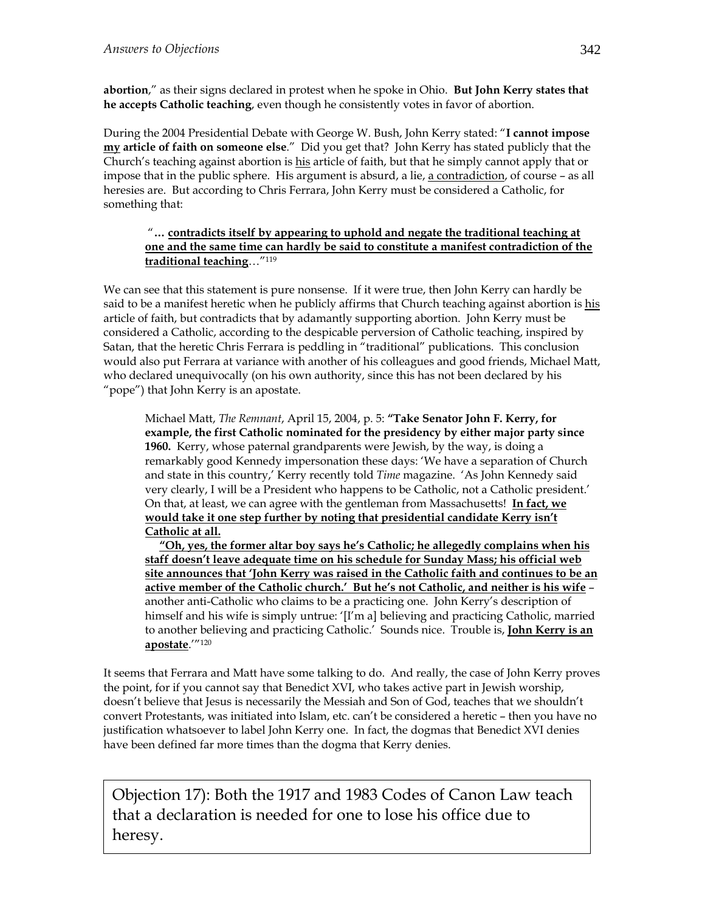**abortion**," as their signs declared in protest when he spoke in Ohio. **But John Kerry states that he accepts Catholic teaching**, even though he consistently votes in favor of abortion.

During the 2004 Presidential Debate with George W. Bush, John Kerry stated: "**I cannot impose my article of faith on someone else**." Did you get that? John Kerry has stated publicly that the Church's teaching against abortion is his article of faith, but that he simply cannot apply that or impose that in the public sphere. His argument is absurd, a lie, a contradiction, of course – as all heresies are. But according to Chris Ferrara, John Kerry must be considered a Catholic, for something that:

#### "**… contradicts itself by appearing to uphold and negate the traditional teaching at one and the same time can hardly be said to constitute a manifest contradiction of the traditional teaching**…"119

We can see that this statement is pure nonsense. If it were true, then John Kerry can hardly be said to be a manifest heretic when he publicly affirms that Church teaching against abortion is his article of faith, but contradicts that by adamantly supporting abortion. John Kerry must be considered a Catholic, according to the despicable perversion of Catholic teaching, inspired by Satan, that the heretic Chris Ferrara is peddling in "traditional" publications. This conclusion would also put Ferrara at variance with another of his colleagues and good friends, Michael Matt, who declared unequivocally (on his own authority, since this has not been declared by his "pope") that John Kerry is an apostate.

Michael Matt, *The Remnant*, April 15, 2004, p. 5: **"Take Senator John F. Kerry, for example, the first Catholic nominated for the presidency by either major party since 1960.** Kerry, whose paternal grandparents were Jewish, by the way, is doing a remarkably good Kennedy impersonation these days: 'We have a separation of Church and state in this country,' Kerry recently told *Time* magazine. 'As John Kennedy said very clearly, I will be a President who happens to be Catholic, not a Catholic president.' On that, at least, we can agree with the gentleman from Massachusetts! **In fact, we would take it one step further by noting that presidential candidate Kerry isn't Catholic at all.** 

 **"Oh, yes, the former altar boy says he's Catholic; he allegedly complains when his staff doesn't leave adequate time on his schedule for Sunday Mass; his official web site announces that 'John Kerry was raised in the Catholic faith and continues to be an active member of the Catholic church.' But he's not Catholic, and neither is his wife** – another anti-Catholic who claims to be a practicing one. John Kerry's description of himself and his wife is simply untrue: '[I'm a] believing and practicing Catholic, married to another believing and practicing Catholic.' Sounds nice. Trouble is, **John Kerry is an apostate**.'"120

It seems that Ferrara and Matt have some talking to do. And really, the case of John Kerry proves the point, for if you cannot say that Benedict XVI, who takes active part in Jewish worship, doesn't believe that Jesus is necessarily the Messiah and Son of God, teaches that we shouldn't convert Protestants, was initiated into Islam, etc. can't be considered a heretic – then you have no justification whatsoever to label John Kerry one. In fact, the dogmas that Benedict XVI denies have been defined far more times than the dogma that Kerry denies.

Objection 17): Both the 1917 and 1983 Codes of Canon Law teach that a declaration is needed for one to lose his office due to heresy.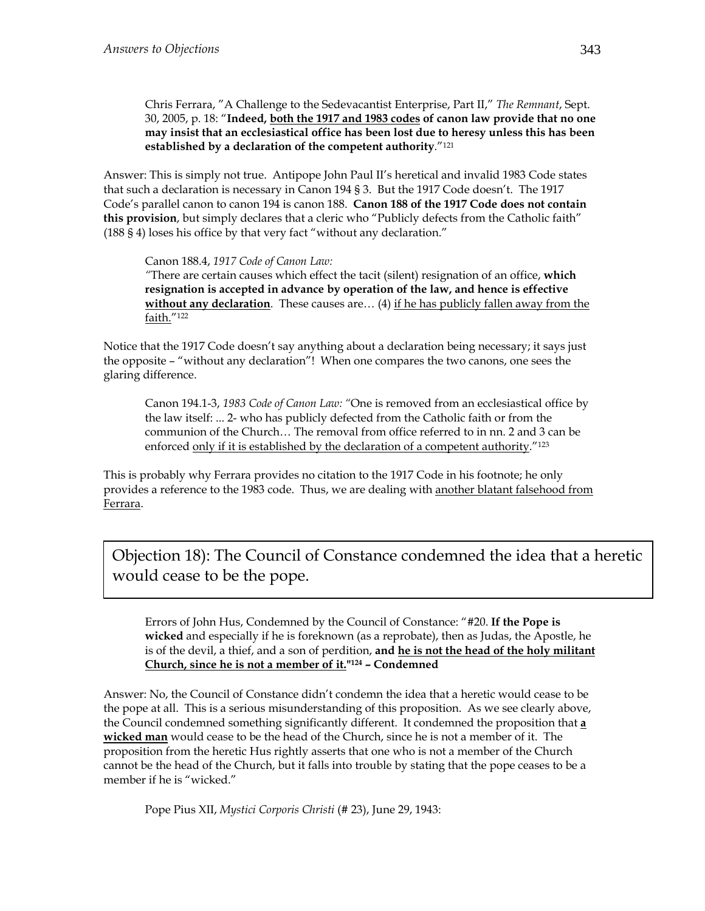Chris Ferrara, "A Challenge to the Sedevacantist Enterprise, Part II," *The Remnant*, Sept. 30, 2005, p. 18: "**Indeed, both the 1917 and 1983 codes of canon law provide that no one may insist that an ecclesiastical office has been lost due to heresy unless this has been established by a declaration of the competent authority**."121

Answer: This is simply not true. Antipope John Paul II's heretical and invalid 1983 Code states that such a declaration is necessary in Canon 194 § 3. But the 1917 Code doesn't. The 1917 Code's parallel canon to canon 194 is canon 188. **Canon 188 of the 1917 Code does not contain this provision**, but simply declares that a cleric who "Publicly defects from the Catholic faith" (188 § 4) loses his office by that very fact "without any declaration."

Canon 188.4, *1917 Code of Canon Law:* 

*"*There are certain causes which effect the tacit (silent) resignation of an office, **which resignation is accepted in advance by operation of the law, and hence is effective without any declaration**. These causes are... (4) if he has publicly fallen away from the faith."122

Notice that the 1917 Code doesn't say anything about a declaration being necessary; it says just the opposite – "without any declaration"! When one compares the two canons, one sees the glaring difference.

Canon 194.1-3, *1983 Code of Canon Law: "*One is removed from an ecclesiastical office by the law itself: ... 2- who has publicly defected from the Catholic faith or from the communion of the Church… The removal from office referred to in nn. 2 and 3 can be enforced only if it is established by the declaration of a competent authority.<sup>"123</sup>

This is probably why Ferrara provides no citation to the 1917 Code in his footnote; he only provides a reference to the 1983 code. Thus, we are dealing with another blatant falsehood from Ferrara.

Objection 18): The Council of Constance condemned the idea that a heretic would cease to be the pope.

Errors of John Hus, Condemned by the Council of Constance: "#20. **If the Pope is wicked** and especially if he is foreknown (as a reprobate), then as Judas, the Apostle, he is of the devil, a thief, and a son of perdition, **and he is not the head of the holy militant Church, since he is not a member of it."124 – Condemned** 

Answer: No, the Council of Constance didn't condemn the idea that a heretic would cease to be the pope at all. This is a serious misunderstanding of this proposition. As we see clearly above, the Council condemned something significantly different. It condemned the proposition that **a wicked man** would cease to be the head of the Church, since he is not a member of it. The proposition from the heretic Hus rightly asserts that one who is not a member of the Church cannot be the head of the Church, but it falls into trouble by stating that the pope ceases to be a member if he is "wicked."

Pope Pius XII, *Mystici Corporis Christi* (# 23), June 29, 1943: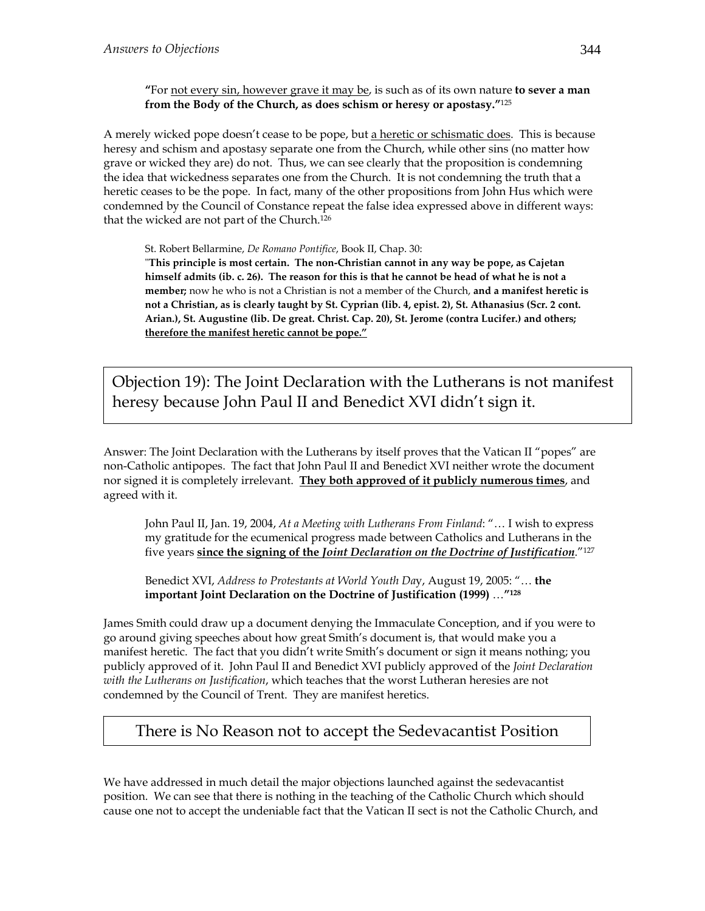**"**For not every sin, however grave it may be, is such as of its own nature **to sever a man from the Body of the Church, as does schism or heresy or apostasy."**<sup>125</sup>

A merely wicked pope doesn't cease to be pope, but a heretic or schismatic does. This is because heresy and schism and apostasy separate one from the Church, while other sins (no matter how grave or wicked they are) do not. Thus, we can see clearly that the proposition is condemning the idea that wickedness separates one from the Church. It is not condemning the truth that a heretic ceases to be the pope. In fact, many of the other propositions from John Hus which were condemned by the Council of Constance repeat the false idea expressed above in different ways: that the wicked are not part of the Church.126

St. Robert Bellarmine, *De Romano Pontifice*, Book II, Chap. 30:

ʺ**This principle is most certain. The non‐Christian cannot in any way be pope, as Cajetan** himself admits (ib. c. 26). The reason for this is that he cannot be head of what he is not a **member;** now he who is not a Christian is not a member of the Church, **and a manifest heretic is** not a Christian, as is clearly taught by St. Cyprian (lib. 4, epist. 2), St. Athanasius (Scr. 2 cont. **Arian.), St. Augustine (lib. De great. Christ. Cap. 20), St. Jerome (contra Lucifer.) and others; therefore the manifest heretic cannot be pope."**

Objection 19): The Joint Declaration with the Lutherans is not manifest heresy because John Paul II and Benedict XVI didn't sign it.

Answer: The Joint Declaration with the Lutherans by itself proves that the Vatican II "popes" are non-Catholic antipopes. The fact that John Paul II and Benedict XVI neither wrote the document nor signed it is completely irrelevant. **They both approved of it publicly numerous times**, and agreed with it.

John Paul II, Jan. 19, 2004, *At a Meeting with Lutherans From Finland*: "… I wish to express my gratitude for the ecumenical progress made between Catholics and Lutherans in the five years **since the signing of the** *Joint Declaration on the Doctrine of Justification*."127

Benedict XVI, *Address to Protestants at World Youth Da*y, August 19, 2005: "… **the important Joint Declaration on the Doctrine of Justification (1999)** …**"128**

James Smith could draw up a document denying the Immaculate Conception, and if you were to go around giving speeches about how great Smith's document is, that would make you a manifest heretic. The fact that you didn't write Smith's document or sign it means nothing; you publicly approved of it. John Paul II and Benedict XVI publicly approved of the *Joint Declaration with the Lutherans on Justification*, which teaches that the worst Lutheran heresies are not condemned by the Council of Trent. They are manifest heretics.

### There is No Reason not to accept the Sedevacantist Position

We have addressed in much detail the major objections launched against the sedevacantist position. We can see that there is nothing in the teaching of the Catholic Church which should cause one not to accept the undeniable fact that the Vatican II sect is not the Catholic Church, and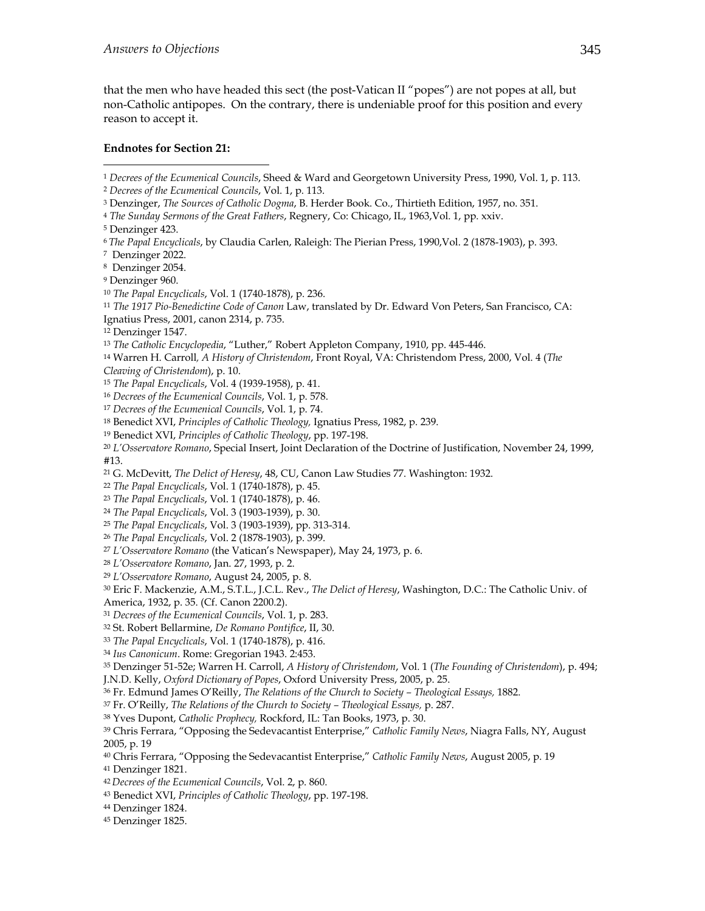that the men who have headed this sect (the post-Vatican II "popes") are not popes at all, but non-Catholic antipopes. On the contrary, there is undeniable proof for this position and every reason to accept it.

#### **Endnotes for Section 21:**

<sup>1</sup> *Decrees of the Ecumenical Councils*, Sheed & Ward and Georgetown University Press, 1990, Vol. 1, p. 113.

3 Denzinger, *The Sources of Catholic Dogma*, B. Herder Book. Co., Thirtieth Edition, 1957, no. 351.

5 Denzinger 423.

 $\overline{a}$ 

- <sup>6</sup>*The Papal Encyclicals*, by Claudia Carlen, Raleigh: The Pierian Press, 1990,Vol. 2 (1878-1903), p. 393.
- 7 Denzinger 2022.
- 8 Denzinger 2054.
- 9 Denzinger 960.
- <sup>10</sup> *The Papal Encyclicals*, Vol. 1 (1740-1878), p. 236.
- <sup>11</sup> *The 1917 Pio-Benedictine Code of Canon* Law, translated by Dr. Edward Von Peters, San Francisco, CA:
- Ignatius Press, 2001, canon 2314, p. 735.
- 12 Denzinger 1547.
- <sup>13</sup> *The Catholic Encyclopedia*, "Luther," Robert Appleton Company, 1910, pp. 445-446.
- 14 Warren H. Carroll*, A History of Christendom*, Front Royal, VA: Christendom Press, 2000, Vol. 4 (*The*
- *Cleaving of Christendom*), p. 10.
- <sup>15</sup> *The Papal Encyclicals*, Vol. 4 (1939-1958), p. 41.
- <sup>16</sup> *Decrees of the Ecumenical Councils*, Vol. 1, p. 578.
- <sup>17</sup> *Decrees of the Ecumenical Councils*, Vol. 1, p. 74.
- 18 Benedict XVI, *Principles of Catholic Theology,* Ignatius Press, 1982, p. 239.
- 19 Benedict XVI, *Principles of Catholic Theology*, pp. 197-198.
- <sup>20</sup> *L'Osservatore Romano*, Special Insert, Joint Declaration of the Doctrine of Justification, November 24, 1999, #13.
- 21 G. McDevitt, *The Delict of Heresy*, 48, CU, Canon Law Studies 77. Washington: 1932.
- <sup>22</sup> *The Papal Encyclicals*, Vol. 1 (1740-1878), p. 45.
- <sup>23</sup> *The Papal Encyclicals*, Vol. 1 (1740-1878), p. 46.
- <sup>24</sup> *The Papal Encyclicals*, Vol. 3 (1903-1939), p. 30.
- <sup>25</sup> *The Papal Encyclicals*, Vol. 3 (1903-1939), pp. 313-314.
- <sup>26</sup> *The Papal Encyclicals*, Vol. 2 (1878-1903), p. 399.
- <sup>27</sup> *L'Osservatore Romano* (the Vatican's Newspaper), May 24, 1973, p. 6.
- <sup>28</sup> *L'Osservatore Romano*, Jan. 27, 1993, p. 2.
- <sup>29</sup> *L'Osservatore Romano*, August 24, 2005, p. 8.
- 30 Eric F. Mackenzie, A.M., S.T.L., J.C.L. Rev., *The Delict of Heresy*, Washington, D.C.: The Catholic Univ. of
- America, 1932, p. 35. (Cf. Canon 2200.2).
- <sup>31</sup> *Decrees of the Ecumenical Councils*, Vol. 1, p. 283.
- 32 St. Robert Bellarmine, *De Romano Pontifice*, II, 30.
- <sup>33</sup> *The Papal Encyclicals*, Vol. 1 (1740-1878), p. 416.
- <sup>34</sup> *Ius Canonicum*. Rome: Gregorian 1943. 2:453.
- 35 Denzinger 51-52e; Warren H. Carroll, *A History of Christendom*, Vol. 1 (*The Founding of Christendom*), p. 494;
- J.N.D. Kelly, *Oxford Dictionary of Popes*, Oxford University Press, 2005, p. 25.
- 36 Fr. Edmund James O'Reilly, *The Relations of the Church to Society Theological Essays,* 1882.
- 37 Fr. O'Reilly, *The Relations of the Church to Society Theological Essays,* p. 287.
- 38 Yves Dupont, *Catholic Prophecy,* Rockford, IL: Tan Books, 1973, p. 30.
- 39 Chris Ferrara, "Opposing the Sedevacantist Enterprise," *Catholic Family News*, Niagra Falls, NY, August 2005, p. 19
- 40 Chris Ferrara, "Opposing the Sedevacantist Enterprise," *Catholic Family News*, August 2005, p. 19
- 41 Denzinger 1821.
- <sup>42</sup>*Decrees of the Ecumenical Councils*, Vol. 2, p. 860.
- 43 Benedict XVI, *Principles of Catholic Theology*, pp. 197-198.
- 44 Denzinger 1824.
- 45 Denzinger 1825.

<sup>2</sup> *Decrees of the Ecumenical Councils*, Vol. 1, p. 113.

<sup>4</sup> *The Sunday Sermons of the Great Fathers*, Regnery, Co: Chicago, IL, 1963,Vol. 1, pp. xxiv.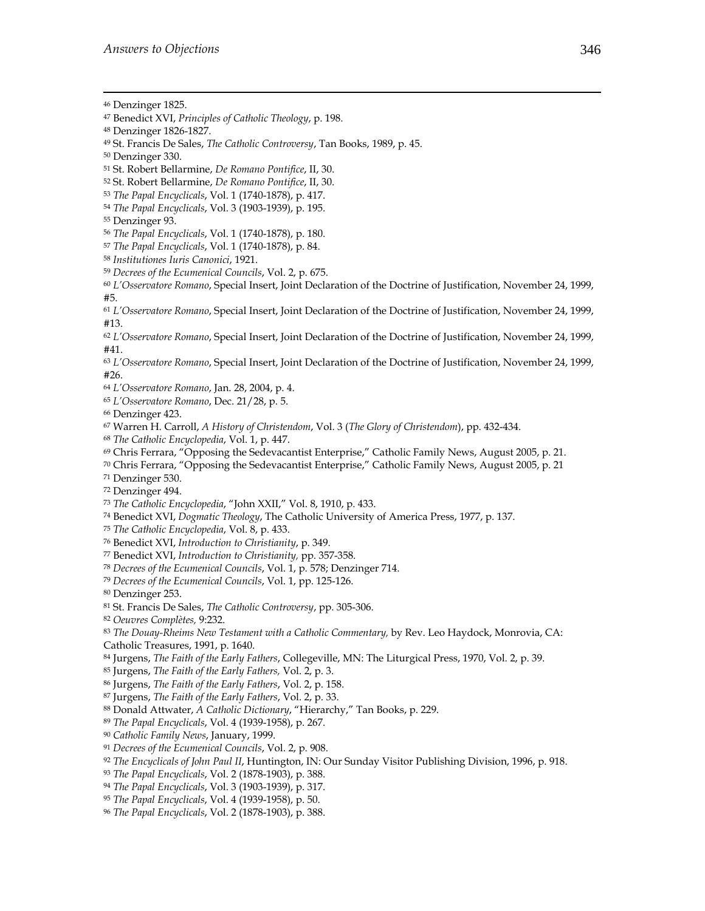1

- <sup>53</sup> *The Papal Encyclicals*, Vol. 1 (1740-1878), p. 417.
- <sup>54</sup> *The Papal Encyclicals*, Vol. 3 (1903-1939), p. 195.
- 55 Denzinger 93.
- <sup>56</sup> *The Papal Encyclicals*, Vol. 1 (1740-1878), p. 180.
- <sup>57</sup> *The Papal Encyclicals*, Vol. 1 (1740-1878), p. 84.
- <sup>58</sup> *Institutiones Iuris Canonici*, 1921.
- <sup>59</sup> *Decrees of the Ecumenical Councils*, Vol. 2, p. 675.

<sup>60</sup> *L'Osservatore Romano*, Special Insert, Joint Declaration of the Doctrine of Justification, November 24, 1999, #5.

<sup>61</sup> *L'Osservatore Romano*, Special Insert, Joint Declaration of the Doctrine of Justification, November 24, 1999, #13.

<sup>62</sup> *L'Osservatore Romano*, Special Insert, Joint Declaration of the Doctrine of Justification, November 24, 1999, #41.

<sup>63</sup> *L'Osservatore Romano*, Special Insert, Joint Declaration of the Doctrine of Justification, November 24, 1999, #26.

<sup>64</sup> *L'Osservatore Romano*, Jan. 28, 2004, p. 4.

<sup>65</sup> *L'Osservatore Romano*, Dec. 21/28, p. 5.

66 Denzinger 423.

67 Warren H. Carroll, *A History of Christendom*, Vol. 3 (*The Glory of Christendom*), pp. 432-434.

<sup>68</sup> *The Catholic Encyclopedia*, Vol. 1, p. 447.

69 Chris Ferrara, "Opposing the Sedevacantist Enterprise," Catholic Family News, August 2005, p. 21.

70 Chris Ferrara, "Opposing the Sedevacantist Enterprise," Catholic Family News, August 2005, p. 21

71 Denzinger 530.

72 Denzinger 494.

<sup>73</sup> *The Catholic Encyclopedia*, "John XXII," Vol. 8, 1910, p. 433.

74 Benedict XVI, *Dogmatic Theology*, The Catholic University of America Press, 1977, p. 137.

<sup>75</sup> *The Catholic Encyclopedia*, Vol. 8, p. 433.

76 Benedict XVI, *Introduction to Christianity*, p. 349.

77 Benedict XVI, *Introduction to Christianity,* pp. 357-358.

<sup>78</sup> *Decrees of the Ecumenical Councils*, Vol. 1, p. 578; Denzinger 714.

<sup>79</sup> *Decrees of the Ecumenical Councils*, Vol. 1, pp. 125-126.

- 80 Denzinger 253.
- 81 St. Francis De Sales, *The Catholic Controversy*, pp. 305-306.

<sup>82</sup> *Oeuvres Complètes,* 9:232.

83 The Douay-Rheims New Testament with a Catholic Commentary, by Rev. Leo Haydock, Monrovia, CA:

Catholic Treasures, 1991, p. 1640.

84 Jurgens, *The Faith of the Early Fathers*, Collegeville, MN: The Liturgical Press, 1970, Vol. 2, p. 39.

85 Jurgens, *The Faith of the Early Fathers,* Vol. 2, p. 3.

86 Jurgens, *The Faith of the Early Fathers*, Vol. 2, p. 158.

87 Jurgens, *The Faith of the Early Fathers*, Vol. 2, p. 33.

88 Donald Attwater, *A Catholic Dictionary*, "Hierarchy," Tan Books, p. 229.

<sup>89</sup> *The Papal Encyclicals*, Vol. 4 (1939-1958), p. 267.

<sup>90</sup> *Catholic Family News*, January, 1999.

<sup>91</sup> *Decrees of the Ecumenical Councils*, Vol. 2, p. 908.

<sup>92</sup> *The Encyclicals of John Paul II*, Huntington, IN: Our Sunday Visitor Publishing Division, 1996, p. 918.

<sup>93</sup> *The Papal Encyclicals*, Vol. 2 (1878-1903), p. 388.

<sup>94</sup> *The Papal Encyclicals*, Vol. 3 (1903-1939), p. 317.

<sup>95</sup> *The Papal Encyclicals*, Vol. 4 (1939-1958), p. 50.

<sup>96</sup> *The Papal Encyclicals*, Vol. 2 (1878-1903), p. 388.

<sup>46</sup> Denzinger 1825.

<sup>47</sup> Benedict XVI, *Principles of Catholic Theology*, p. 198.

<sup>48</sup> Denzinger 1826-1827.

<sup>49</sup> St. Francis De Sales, *The Catholic Controversy*, Tan Books, 1989, p. 45.

<sup>50</sup> Denzinger 330.

<sup>51</sup> St. Robert Bellarmine, *De Romano Pontifice*, II, 30.

<sup>52</sup> St. Robert Bellarmine, *De Romano Pontifice*, II, 30.